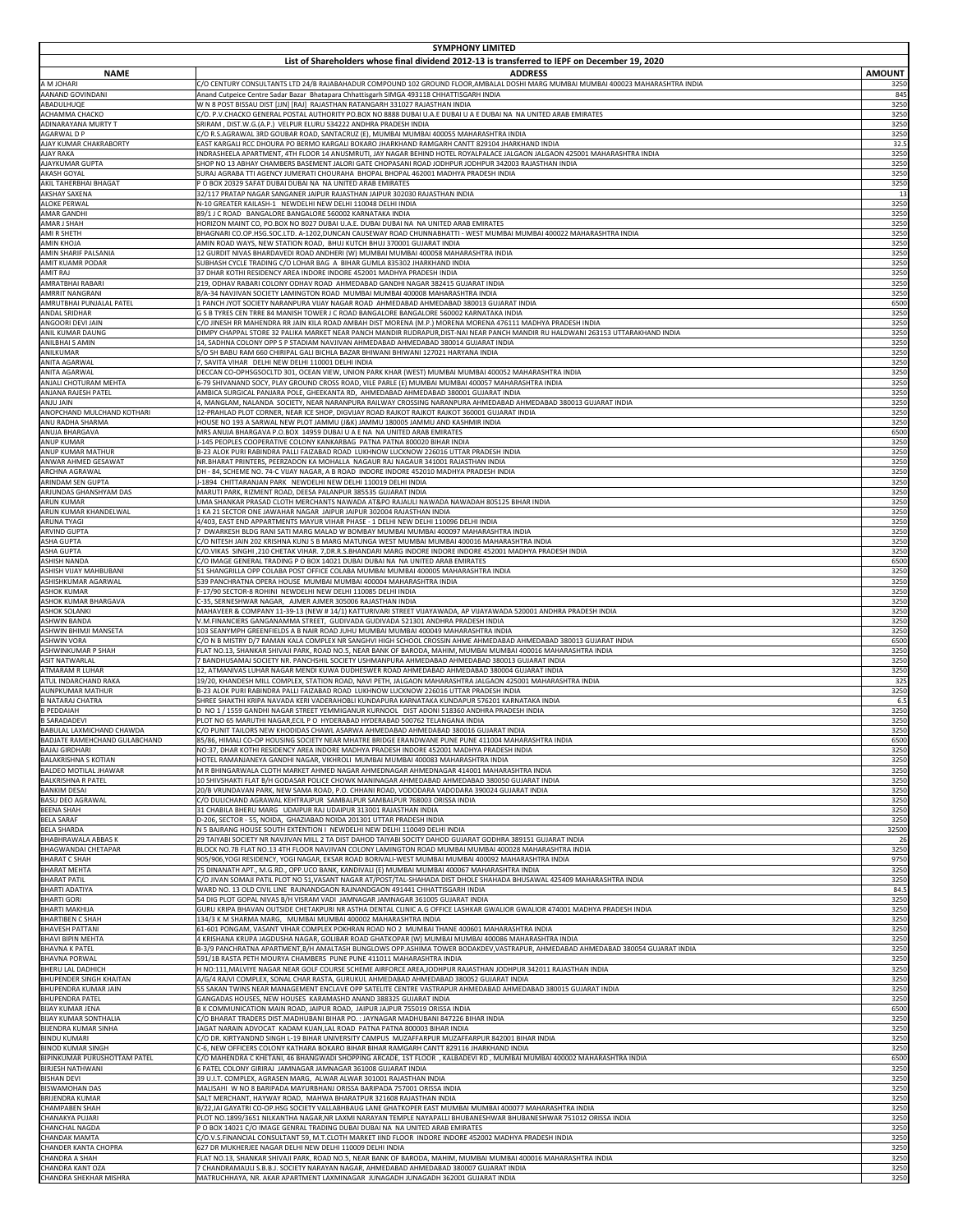| <b>SYMPHONY LIMITED</b><br>List of Shareholders whose final dividend 2012-13 is transferred to IEPF on December 19, 2020 |                                                                                                                                                                                                                    |               |
|--------------------------------------------------------------------------------------------------------------------------|--------------------------------------------------------------------------------------------------------------------------------------------------------------------------------------------------------------------|---------------|
| <b>NAME</b>                                                                                                              | <b>ADDRESS</b>                                                                                                                                                                                                     | <b>AMOUNT</b> |
| A M JOHARI                                                                                                               | C/O CENTURY CONSULTANTS LTD 24/B RAJABAHADUR COMPOUND 102 GROUND FLOOR,AMBALAL DOSHI MARG MUMBAI MUMBAI 400023 MAHARASHTRA INDIA                                                                                   | 3250          |
| <b>AANAND GOVINDANI</b>                                                                                                  | Anand Cutpeice Centre Sadar Bazar Bhatapara Chhattisgarh SIMGA 493118 CHHATTISGARH INDIA                                                                                                                           | 845           |
| ABADULHUQE                                                                                                               | W N 8 POST BISSAU DIST [JJN] [RAJ] RAJASTHAN RATANGARH 331027 RAJASTHAN INDIA                                                                                                                                      | 3250          |
| ACHAMMA CHACKO                                                                                                           | C/O. P.V.CHACKO GENERAL POSTAL AUTHORITY PO.BOX NO 8888 DUBAI U.A.E DUBAI U A E DUBAI NA NA UNITED ARAB EMIRATES                                                                                                   | 3250          |
| ADINARAYANA MURTY T                                                                                                      | SRIRAM, DIST.W.G.(A.P.) VELPUR ELURU 534222 ANDHRA PRADESH INDIA                                                                                                                                                   | 3250          |
| <b>AGARWALDP</b>                                                                                                         | C/O R.S.AGRAWAL 3RD GOUBAR ROAD, SANTACRUZ (E), MUMBAI MUMBAI 400055 MAHARASHTRA INDIA                                                                                                                             | 3250          |
| AJAY KUMAR CHAKRABORTY                                                                                                   | EAST KARGALI RCC DHOURA PO BERMO KARGALI BOKARO JHARKHAND RAMGARH CANTT 829104 JHARKHAND INDIA                                                                                                                     | 32.5          |
| <b>AJAY RAKA</b>                                                                                                         | INDRASHEELA APARTMENT, 4TH FLOOR 14 ANUSMRUTI, JAY NAGAR BEHIND HOTEL ROYALPALACE JALGAON JALGAON 425001 MAHARASHTRA INDIA                                                                                         | 3250          |
| AJAYKUMAR GUPTA                                                                                                          | SHOP NO 13 ABHAY CHAMBERS BASEMENT JALORI GATE CHOPASANI ROAD JODHPUR JODHPUR 342003 RAJASTHAN INDIA                                                                                                               | 3250          |
| <b>AKASH GOYAL</b>                                                                                                       | SURAJ AGRABA TTI AGENCY JUMERATI CHOURAHA BHOPAL BHOPAL 462001 MADHYA PRADESH INDIA                                                                                                                                | 3250          |
| AKIL TAHERBHAI BHAGAT                                                                                                    | P O BOX 20329 SAFAT DUBAI DUBAI NA NA UNITED ARAB EMIRATES                                                                                                                                                         | 3250          |
| <b>AKSHAY SAXENA</b>                                                                                                     | 32/117 PRATAP NAGAR SANGANER JAIPUR RAJASTHAN JAIPUR 302030 RAJASTHAN INDIA                                                                                                                                        | 13            |
| <b>ALOKE PERWAL</b>                                                                                                      | N-10 GREATER KAILASH-1 NEWDELHI NEW DELHI 110048 DELHI INDIA                                                                                                                                                       | 3250          |
| <b>AMAR GANDHI</b>                                                                                                       | 89/1 J C ROAD BANGALORE BANGALORE 560002 KARNATAKA INDIA                                                                                                                                                           | 3250          |
| <b>AMAR J SHAH</b>                                                                                                       | HORIZON MAINT CO, PO.BOX NO 8027 DUBAI U.A.E. DUBAI DUBAI NA NA UNITED ARAB EMIRATES                                                                                                                               | 3250          |
| AMI R SHETH                                                                                                              | BHAGNARI CO.OP.HSG.SOC.LTD. A-1202,DUNCAN CAUSEWAY ROAD CHUNNABHATTI - WEST MUMBAI MUMBAI 400022 MAHARASHTRA INDIA                                                                                                 | 3250          |
| <b>AMIN KHOJA</b>                                                                                                        | AMIN ROAD WAYS, NEW STATION ROAD, BHUJ KUTCH BHUJ 370001 GUJARAT INDIA                                                                                                                                             | 3250          |
| <b>AMIN SHARIF PALSANIA</b>                                                                                              | 12 GURDIT NIVAS BHARDAVEDI ROAD ANDHERI (W) MUMBAI MUMBAI 400058 MAHARASHTRA INDIA                                                                                                                                 | 3250          |
| <b>AMIT KUAMR PODAR</b>                                                                                                  | SUBHASH CYCLE TRADING C/O LOHAR BAG A BIHAR GUMLA 835302 JHARKHAND INDIA                                                                                                                                           | 3250          |
| AMIT RAJ                                                                                                                 | 37 DHAR KOTHI RESIDENCY AREA INDORE INDORE 452001 MADHYA PRADESH INDIA                                                                                                                                             | 3250          |
| AMRATBHAI RABARI                                                                                                         | 219, ODHAV RABARI COLONY ODHAV ROAD AHMEDABAD GANDHI NAGAR 382415 GUJARAT INDIA                                                                                                                                    | 3250          |
| AMRRIT NANGRANI                                                                                                          | 8/A-34 NAVJIVAN SOCIETY LAMINGTON ROAD MUMBAI MUMBAI 400008 MAHARASHTRA INDIA                                                                                                                                      | 3250          |
| AMRUTBHAI PUNJALAL PATEL                                                                                                 | 1 PANCH JYOT SOCIETY NARANPURA VIJAY NAGAR ROAD  AHMEDABAD AHMEDABAD 380013 GUJARAT INDIA                                                                                                                          | 6500          |
| ANDAL SRIDHAR                                                                                                            | G S B TYRES CEN TRRE 84 MANISH TOWER J C ROAD BANGALORE BANGALORE 560002 KARNATAKA INDIA                                                                                                                           | 3250          |
| ANGOORI DEVI JAIN                                                                                                        | C/O JINESH RR MAHENDRA RR JAIN KILA ROAD AMBAH DIST MORENA (M.P.) MORENA MORENA 476111 MADHYA PRADESH INDIA                                                                                                        | 3250          |
| <b>ANIL KUMAR DAUNG</b>                                                                                                  | DIMPY CHAPPAL STORE 32 PALIKA MARKET NEAR PANCH MANDIR RUDRAPUR, DIST-NAI NEAR PANCH MANDIR RU HALDWANI 263153 UTTARAKHAND INDIA                                                                                   | 3250          |
| <b>ANILBHAI S AMIN</b>                                                                                                   | 14, SADHNA COLONY OPP S P STADIAM NAVJIVAN AHMEDABAD AHMEDABAD 380014 GUJARAT INDIA                                                                                                                                | 3250          |
| ANILKUMAR                                                                                                                | S/O SH BABU RAM 660 CHIRIPAL GALI BICHLA BAZAR BHIWANI BHIWANI 127021 HARYANA INDIA                                                                                                                                | 3250          |
| <b>ANITA AGARWAL</b>                                                                                                     | 7, SAVITA VIHAR DELHI NEW DELHI 110001 DELHI INDIA                                                                                                                                                                 | 3250          |
| <b>ANITA AGARWAL</b>                                                                                                     | DECCAN CO-OPHSGSOCLTD 301, OCEAN VIEW, UNION PARK KHAR (WEST) MUMBAI MUMBAI 400052 MAHARASHTRA INDIA                                                                                                               | 3250          |
| ANJALI CHOTURAM MEHTA                                                                                                    | 6-79 SHIVANAND SOCY, PLAY GROUND CROSS ROAD, VILE PARLE (E) MUMBAI MUMBAI 400057 MAHARASHTRA INDIA                                                                                                                 | 3250          |
| <b>ANJANA RAJESH PATEL</b><br><b>ANJU JAIN</b>                                                                           | AMBICA SURGICAL PANJARA POLE, GHEEKANTA RD, AHMEDABAD AHMEDABAD 380001 GUJARAT INDIA                                                                                                                               | 3250          |
| ANOPCHAND MULCHAND KOTHARI                                                                                               | 4, MANGLAM, NALANDA  SOCIETY, NEAR NARANPURA RAILWAY CROSSING NARANPURA AHMEDABAD AHMEDABAD 380013 GUJARAT INDIA<br>12-PRAHLAD PLOT CORNER, NEAR ICE SHOP, DIGVIJAY ROAD RAJKOT RAJKOT RAJKOT 360001 GUJARAT INDIA | 3250<br>3250  |
| ANU RADHA SHARMA                                                                                                         | HOUSE NO 193 A SARWAL NEW PLOT JAMMU (J&K) JAMMU 180005 JAMMU AND KASHMIR INDIA                                                                                                                                    | 3250          |
| ANUJA BHARGAVA                                                                                                           | MRS ANUJA BHARGAVA P.O.BOX 14959 DUBAI U A E NA NA UNITED ARAB EMIRATES                                                                                                                                            | 6500          |
| <b>ANUP KUMAR</b>                                                                                                        | -145 PEOPLES COOPERATIVE COLONY KANKARBAG PATNA PATNA 800020 BIHAR INDIA                                                                                                                                           | 3250          |
| <b>ANUP KUMAR MATHUR</b>                                                                                                 | B-23 ALOK PURI RABINDRA PALLI FAIZABAD ROAD LUKHNOW LUCKNOW 226016 UTTAR PRADESH INDIA                                                                                                                             | 3250          |
| <b>ANWAR AHMED GESAWAT</b>                                                                                               | NR.BHARAT PRINTERS, PEERZADON KA MOHALLA NAGAUR RAJ NAGAUR 341001 RAJASTHAN INDIA                                                                                                                                  | 3250          |
| ARCHNA AGRAWAL                                                                                                           | DH - 84, SCHEME NO. 74-C VIJAY NAGAR, A B ROAD INDORE INDORE 452010 MADHYA PRADESH INDIA                                                                                                                           | 3250          |
| <b>ARINDAM SEN GUPTA</b>                                                                                                 | -1894 CHITTARANJAN PARK NEWDELHI NEW DELHI 110019 DELHI INDIA                                                                                                                                                      | 3250          |
| ARJUNDAS GHANSHYAM DAS                                                                                                   | MARUTI PARK, RIZMENT ROAD, DEESA PALANPUR 385535 GUJARAT INDIA                                                                                                                                                     | 3250          |
| <b>ARUN KUMAR</b>                                                                                                        | UMA SHANKAR PRASAD CLOTH MERCHANTS NAWADA AT&PO RAJAULI NAWADA NAWADAH 805125 BIHAR INDIA                                                                                                                          | 3250          |
| ARUN KUMAR KHANDELWAL                                                                                                    | 1 KA 21 SECTOR ONE JAWAHAR NAGAR JAIPUR JAIPUR 302004 RAJASTHAN INDIA                                                                                                                                              | 3250          |
| <b>ARUNA TYAGI</b>                                                                                                       | 4/403, EAST END APPARTMENTS MAYUR VIHAR PHASE - 1 DELHI NEW DELHI 110096 DELHI INDIA                                                                                                                               | 3250          |
| <b>ARVIND GUPTA</b>                                                                                                      | DWARKESH BLDG RANI SATI MARG MALAD W BOMBAY MUMBAI MUMBAI 400097 MAHARASHTRA INDIA                                                                                                                                 | 3250          |
| <b>ASHA GUPTA</b>                                                                                                        | C/O NITESH JAIN 202 KRISHNA KUNJ S B MARG MATUNGA WEST MUMBAI MUMBAI 400016 MAHARASHTRA INDIA                                                                                                                      | 3250          |
| <b>ASHA GUPTA</b>                                                                                                        | C/O.VIKAS SINGHI ,210 CHETAK VIHAR. 7,DR.R.S.BHANDARI MARG INDORE INDORE INDORE 452001 MADHYA PRADESH INDIA                                                                                                        | 3250          |
| <b>ASHISH NANDA</b>                                                                                                      | C/O IMAGE GENERAL TRADING P O BOX 14021 DUBAI DUBAI NA NA UNITED ARAB EMIRATES                                                                                                                                     | 6500          |
| <b>ASHISH VIJAY MAHBUBANI</b>                                                                                            | 51 SHANGRILLA OPP COLABA POST OFFICE COLABA MUMBAI MUMBAI 400005 MAHARASHTRA INDIA                                                                                                                                 | 3250          |
| ASHISHKUMAR AGARWAL                                                                                                      | 539 PANCHRATNA OPERA HOUSE MUMBAI MUMBAI 400004 MAHARASHTRA INDIA                                                                                                                                                  | 3250          |
| <b>ASHOK KUMAR</b>                                                                                                       | F-17/90 SECTOR-8 ROHINI NEWDELHI NEW DELHI 110085 DELHI INDIA                                                                                                                                                      | 3250          |
| ASHOK KUMAR BHARGAVA                                                                                                     | C-35, SERNESHWAR NAGAR, AJMER AJMER 305006 RAJASTHAN INDIA                                                                                                                                                         | 3250          |
| <b>ASHOK SOLANKI</b>                                                                                                     | MAHAVEER & COMPANY 11-39-13 (NEW # 14/1) KATTURIVARI STREET VIJAYAWADA, AP VIJAYAWADA 520001 ANDHRA PRADESH INDIA                                                                                                  | 3250          |
| <b>ASHWIN BANDA</b>                                                                                                      | V.M.FINANCIERS GANGANAMMA STREET, GUDIVADA GUDIVADA 521301 ANDHRA PRADESH INDIA                                                                                                                                    | 3250          |
| ASHWIN BHIMJI MANSETA                                                                                                    | 103 SEANYMPH GREENFIELDS A B NAIR ROAD JUHU MUMBAI MUMBAI 400049 MAHARASHTRA INDIA                                                                                                                                 | 3250          |
| <b>ASHWIN VORA</b>                                                                                                       | C/O N B MISTRY D/7 RAMAN KALA COMPLEX NR SANGHVI HIGH SCHOOL CROSSIN AHME AHMEDABAD AHMEDABAD 380013 GUJARAT INDIA                                                                                                 | 6500          |
| <b>ASHWINKUMAR P SHAH</b>                                                                                                | FLAT NO.13, SHANKAR SHIVAJI PARK, ROAD NO.5, NEAR BANK OF BARODA, MAHIM, MUMBAI MUMBAI 400016 MAHARASHTRA INDIA                                                                                                    | 3250          |
| <b>ASIT NATWARLAL</b>                                                                                                    | 7 BANDHUSAMAJ SOCIETY NR. PANCHSHIL SOCIETY USHMANPURA AHMEDABAD AHMEDABAD 380013 GUJARAT INDIA                                                                                                                    | 3250          |
| <b>ATMARAM R LUHAR</b><br>ATUL INDARCHAND RAKA                                                                           | 12, ATMANIVAS LUHAR NAGAR MENDI KUWA DUDHESWER ROAD AHMEDABAD AHMEDABAD 380004 GUJARAT INDIA                                                                                                                       | 3250<br>325   |
| <b>AUNPKUMAR MATHUR</b>                                                                                                  | 19/20, KHANDESH MILL COMPLEX, STATION ROAD, NAVI PETH, JALGAON MAHARASHTRA JALGAON 425001 MAHARASHTRA INDIA<br>B-23 ALOK PURI RABINDRA PALLI FAIZABAD ROAD LUKHNOW LUCKNOW 226016 UTTAR PRADESH INDIA              | 3250          |
| <b>B NATARAJ CHATRA</b>                                                                                                  | SHREE SHAKTHI KRIPA NAVADA KERI VADERAHOBLI KUNDAPURA KARNATAKA KUNDAPUR 576201 KARNATAKA INDIA                                                                                                                    | 6.5           |
| <b>B PEDDAIAH</b>                                                                                                        | D NO 1 / 1559 GANDHI NAGAR STREET YEMMIGANUR KURNOOL DIST ADONI 518360 ANDHRA PRADESH INDIA                                                                                                                        | 3250          |
| <b>B SARADADEVI</b>                                                                                                      | PLOT NO 65 MARUTHI NAGAR, ECIL P O HYDERABAD HYDERABAD 500762 TELANGANA INDIA<br>C/O PUNIT TAILORS NEW KHODIDAS CHAWL ASARWA AHMEDABAD AHMEDABAD 380016 GUJARAT INDIA                                              | 3250          |
| BABULAL LAXMICHAND CHAWDA<br><b>BADJATE RAMEHCHAND GULABCHAND</b>                                                        | 85/86, HIMALI CO-OP HOUSING SOCIETY NEAR MHATRE BRIDGE ERANDWANE PUNE PUNE 411004 MAHARASHTRA INDIA                                                                                                                | 3250<br>6500  |
| <b>BAJAJ GIRDHARI</b>                                                                                                    | NO:37, DHAR KOTHI RESIDENCY AREA INDORE MADHYA PRADESH INDORE 452001 MADHYA PRADESH INDIA                                                                                                                          | 3250          |
| <b>BALAKRISHNA S KOTIAN</b>                                                                                              | HOTEL RAMANJANEYA GANDHI NAGAR, VIKHROLI MUMBAI MUMBAI 400083 MAHARASHTRA INDIA                                                                                                                                    | 3250          |
| <b>BALDEO MOTILAL JHAWAR</b>                                                                                             | M R BHINGARWALA CLOTH MARKET AHMED NAGAR AHMEDNAGAR AHMEDNAGAR 414001 MAHARASHTRA INDIA                                                                                                                            | 3250          |
| <b>BALKRISHNA R PATEL</b>                                                                                                | 10 SHIVSHAKTI FLAT B/H GODASAR POLICE CHOWK MANINAGAR AHMEDABAD AHMEDABAD 380050 GUJARAT INDIA                                                                                                                     | 3250          |
| <b>BANKIM DESAI</b>                                                                                                      | 20/B VRUNDAVAN PARK, NEW SAMA ROAD, P.O. CHHANI ROAD, VODODARA VADODARA 390024 GUJARAT INDIA                                                                                                                       | 3250          |
| <b>BASU DEO AGRAWAL</b>                                                                                                  | C/O DULICHAND AGRAWAL KEHTRAJPUR SAMBALPUR SAMBALPUR 768003 ORISSA INDIA                                                                                                                                           | 3250          |
| <b>BEENA SHAH</b>                                                                                                        | 31 CHABILA BHERU MARG UDAIPUR RAJ UDAIPUR 313001 RAJASTHAN INDIA                                                                                                                                                   | 3250          |
| <b>BELA SARAF</b>                                                                                                        | D-206, SECTOR - 55, NOIDA, GHAZIABAD NOIDA 201301 UTTAR PRADESH INDIA                                                                                                                                              | 3250          |
| <b>BELA SHARDA</b>                                                                                                       | N 5 BAJRANG HOUSE SOUTH EXTENTION I NEWDELHI NEW DELHI 110049 DELHI INDIA                                                                                                                                          | 32500         |
| <b>BHABHRAWALA ABBASK</b>                                                                                                | 29 TAIYABI SOCIETY NR NAVJIVAN MILL 2 TA DIST DAHOD TAIYABI SOCITY DAHOD GUJARAT GODHRA 389151 GUJARAT INDIA                                                                                                       | 26            |
| <b>BHAGWANDAI CHETAPAR</b>                                                                                               | BLOCK NO.7B FLAT NO.13 4TH FLOOR NAVJIVAN COLONY LAMINGTON ROAD MUMBAI MUMBAI 400028 MAHARASHTRA INDIA                                                                                                             | 3250          |
| <b>BHARAT C SHAH</b>                                                                                                     | 905/906,YOGI RESIDENCY, YOGI NAGAR, EKSAR ROAD BORIVALI-WEST MUMBAI MUMBAI 400092 MAHARASHTRA INDIA                                                                                                                | 9750          |
| <b>BHARAT MEHTA</b>                                                                                                      | 75 DINANATH APT., M.G.RD., OPP.UCO BANK, KANDIVALI (E) MUMBAI MUMBAI 400067 MAHARASHTRA INDIA                                                                                                                      | 3250          |
| <b>BHARAT PATIL</b>                                                                                                      | C/O JIVAN SOMAJI PATIL PLOT NO 51,VASANT NAGAR AT/POST/TAL-SHAHADA DIST DHOLE SHAHADA BHUSAWAL 425409 MAHARASHTRA INDIA                                                                                            | 3250          |
| <b>BHARTI ADATIYA</b>                                                                                                    | WARD NO. 13 OLD CIVIL LINE RAJNANDGAON RAJNANDGAON 491441 CHHATTISGARH INDIA                                                                                                                                       | 84.5          |
| <b>BHARTI GORI</b>                                                                                                       | 54 DIG PLOT GOPAL NIVAS B/H VISRAM VADI JAMNAGAR JAMNAGAR 361005 GUJARAT INDIA                                                                                                                                     | 3250          |
| <b>BHARTI MAKHIJA</b>                                                                                                    | GURU KRIPA BHAVAN OUTSIDE CHETAKPURI NR ASTHA DENTAL CLINIC A.G OFFICE LASHKAR GWALIOR GWALIOR 474001 MADHYA PRADESH INDIA                                                                                         | 3250          |
| <b>BHARTIBEN C SHAH</b>                                                                                                  | 134/3 K M SHARMA MARG, MUMBAI MUMBAI 400002 MAHARASHTRA INDIA                                                                                                                                                      | 3250          |
| <b>BHAVESH PATTANI</b>                                                                                                   | 61-601 PONGAM, VASANT VIHAR COMPLEX POKHRAN ROAD NO 2 MUMBAI THANE 400601 MAHARASHTRA INDIA                                                                                                                        | 3250          |
| <b>BHAVI BIPIN MEHTA</b>                                                                                                 | 4 KRISHANA KRUPA JAGDUSHA NAGAR, GOLIBAR ROAD GHATKOPAR (W) MUMBAI MUMBAI 400086 MAHARASHTRA INDIA                                                                                                                 | 3250          |
| <b>BHAVNA K PATEL</b>                                                                                                    | B-3/9 PANCHRATNA APARTMENT,B/H AMALTASH BUNGLOWS OPP.ASHIMA TOWER BODAKDEV,VASTRAPUR, AHMEDABAD AHMEDABAD 380054 GUJARAT INDIA                                                                                     | 3250          |
| <b>BHAVNA PORWAL</b>                                                                                                     | 591/1B RASTA PETH MOURYA CHAMBERS PUNE PUNE 411011 MAHARASHTRA INDIA                                                                                                                                               | 3250          |
| BHERU LAL DADHICH                                                                                                        | H NO:111,MALVIYE NAGAR NEAR GOLF COURSE SCHEME AIRFORCE AREA,JODHPUR RAJASTHAN JODHPUR 342011 RAJASTHAN INDIA                                                                                                      | 3250          |
| <b>BHUPENDER SINGH KHAITAN</b>                                                                                           | A/G/4 RAJVI COMPLEX, SONAL CHAR RASTA, GURUKUL AHMEDABAD AHMEDABAD 380052 GUJARAT INDIA                                                                                                                            | 3250          |
| <b>BHUPENDRA KUMAR JAIN</b>                                                                                              | 55 SAKAN TWINS NEAR MANAGEMENT ENCLAVE OPP SATELITE CENTRE VASTRAPUR AHMEDABAD AHMEDABAD 380015 GUJARAT INDIA                                                                                                      | 3250          |
| <b>BHUPENDRA PATEL</b>                                                                                                   | GANGADAS HOUSES, NEW HOUSES KARAMASHD ANAND 388325 GUJARAT INDIA                                                                                                                                                   | 3250          |
| <b>BIJAY KUMAR JENA</b>                                                                                                  | B K COMMUNICATION MAIN ROAD, JAIPUR ROAD, JAIPUR JAJPUR 755019 ORISSA INDIA                                                                                                                                        | 6500          |
| <b>BIJAY KUMAR SONTHALIA</b>                                                                                             | C/O BHARAT TRADERS DIST.MADHUBANI BIHAR PO.: JAYNAGAR MADHUBANI 847226 BIHAR INDIA                                                                                                                                 | 3250          |
| <b>BIJENDRA KUMAR SINHA</b>                                                                                              | JAGAT NARAIN ADVOCAT KADAM KUAN,LAL ROAD PATNA PATNA 800003 BIHAR INDIA                                                                                                                                            | 3250          |
| <b>BINDU KUMARI</b>                                                                                                      | C/O DR. KIRTYANDND SINGH L-19 BIHAR UNIVERSITY CAMPUS MUZAFFARPUR MUZAFFARPUR 842001 BIHAR INDIA                                                                                                                   | 3250          |
| <b>BINOD KUMAR SINGH</b>                                                                                                 | C-6, NEW OFFICERS COLONY KATHARA BOKARO BIHAR BIHAR RAMGARH CANTT 829116 JHARKHAND INDIA                                                                                                                           | 3250          |
| BIPINKUMAR PURUSHOTTAM PATEL                                                                                             | C/O MAHENDRA C KHETANI, 46 BHANGWADI SHOPPING ARCADE, 1ST FLOOR , KALBADEVI RD, MUMBAI MUMBAI 400002 MAHARASHTRA INDIA                                                                                             | 6500          |
| <b>BIRJESH NATHWANI</b>                                                                                                  | 6 PATEL COLONY GIRIRAJ JAMNAGAR JAMNAGAR 361008 GUJARAT INDIA                                                                                                                                                      | 3250          |
| <b>BISHAN DEVI</b>                                                                                                       | 39 U.I.T. COMPLEX, AGRASEN MARG, ALWAR ALWAR 301001 RAJASTHAN INDIA                                                                                                                                                | 3250          |
| <b>BISWAMOHAN DAS</b>                                                                                                    | MALISAHI W NO 8 BARIPADA MAYURBHANJ ORISSA BARIPADA 757001 ORISSA INDIA                                                                                                                                            | 3250          |
| <b>BRIJENDRA KUMAR</b>                                                                                                   | SALT MERCHANT, HAYWAY ROAD, MAHWA BHARATPUR 321608 RAJASTHAN INDIA                                                                                                                                                 | 3250          |
| <b>CHAMPABEN SHAH</b>                                                                                                    | B/22,JAI GAYATRI CO-OP.HSG SOCIETY VALLABHBAUG LANE GHATKOPER EAST MUMBAI MUMBAI 400077 MAHARASHTRA INDIA                                                                                                          | 3250          |
| CHANAKYA PUJARI                                                                                                          | PLOT NO.1899/3651 NILKANTHA NAGAR,NR LAXMI NARAYAN TEMPLE NAYAPALLI BHUBANESHWAR BHUBANESHWAR 751012 ORISSA INDIA                                                                                                  | 3250          |
| <b>CHANCHAL NAGDA</b>                                                                                                    | P O BOX 14021 C/O IMAGE GENRAL TRADING DUBAI DUBAI NA NA UNITED ARAB EMIRATES                                                                                                                                      | 3250          |
| <b>CHANDAK MAMTA</b>                                                                                                     | C/O.V.S.FINANCIAL CONSULTANT 59, M.T.CLOTH MARKET IIND FLOOR  INDORE INDORE 452002 MADHYA PRADESH INDIA                                                                                                            | 3250          |
| <b>CHANDER KANTA CHOPRA</b>                                                                                              | 627 DR MUKHERJEE NAGAR DELHI NEW DELHI 110009 DELHI INDIA                                                                                                                                                          | 3250          |
| <b>CHANDRA A SHAH</b>                                                                                                    | FLAT NO.13, SHANKAR SHIVAJI PARK, ROAD NO.5, NEAR BANK OF BARODA, MAHIM, MUMBAI MUMBAI 400016 MAHARASHTRA INDIA                                                                                                    | 3250          |
| <b>CHANDRA KANT OZA</b>                                                                                                  | 7 CHANDRAMAULI S.B.B.J. SOCIETY NARAYAN NAGAR, AHMEDABAD AHMEDABAD 380007 GUJARAT INDIA                                                                                                                            | 3250          |
| <b>CHANDRA SHEKHAR MISHRA</b>                                                                                            | MATRUCHHAYA, NR. AKAR APARTMENT LAXMINAGAR JUNAGADH JUNAGADH 362001 GUJARAT INDIA                                                                                                                                  | 3250          |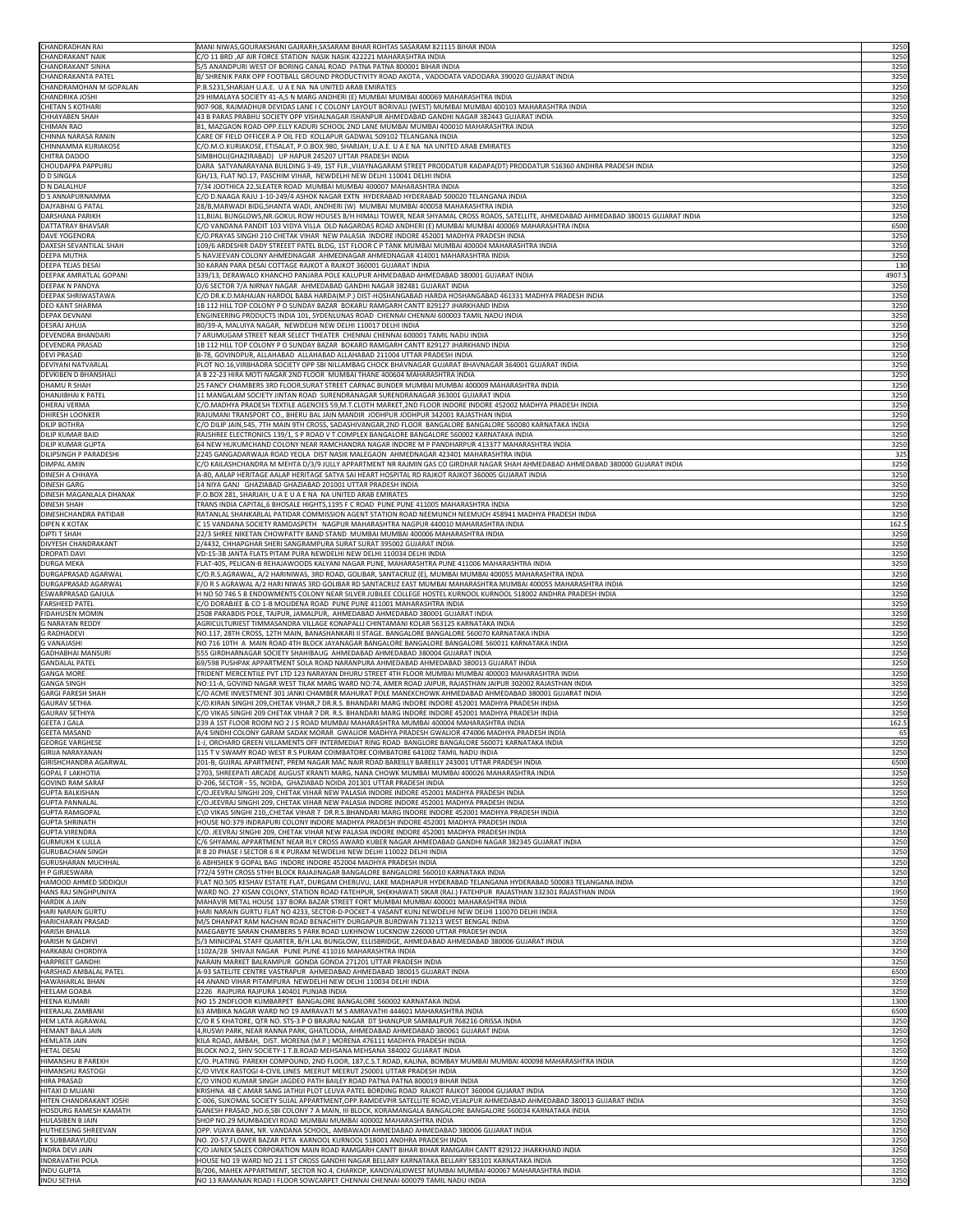| <b>CHANDRADHAN RAI</b>         | MANI NIWAS, GOURAKSHANI GAJRARH, SASARAM BIHAR ROHTAS SASARAM 821115 BIHAR INDIA                                                      | 3250   |
|--------------------------------|---------------------------------------------------------------------------------------------------------------------------------------|--------|
| <b>CHANDRAKANT NAIK</b>        | C/O 11 BRD ,AF AIR FORCE STATION NASIK NASIK 422221 MAHARASHTRA INDIA                                                                 | 3250   |
| <b>CHANDRAKANT SINHA</b>       | 5/5 ANANDPURI WEST OF BORING CANAL ROAD PATNA PATNA 800001 BIHAR INDIA                                                                | 3250   |
| <b>CHANDRAKANTA PATEL</b>      | B/ SHRENIK PARK OPP FOOTBALL GROUND PRODUCTIVITY ROAD AKOTA , VADODATA VADODARA 390020 GUJARAT INDIA                                  | 3250   |
| CHANDRAMOHAN M GOPALAN         | P.B.5231, SHARJAH U.A.E. U A E NA NA UNITED ARAB EMIRATES                                                                             | 3250   |
| <b>CHANDRIKA JOSHI</b>         | 29 HIMALAYA SOCIETY 41-A,S N MARG ANDHERI (E) MUMBAI MUMBAI 400069 MAHARASHTRA INDIA                                                  | 3250   |
| <b>CHETAN S KOTHARI</b>        | 907-908, RAJMADHUR DEVIDAS LANE I C COLONY LAYOUT BORIVALI (WEST) MUMBAI MUMBAI 400103 MAHARASHTRA INDIA                              | 3250   |
| <b>CHHAYABEN SHAH</b>          | 43 B PARAS PRABHU SOCIETY OPP VISHALNAGAR ISHANPUR AHMEDABAD GANDHI NAGAR 382443 GUJARAT INDIA                                        | 3250   |
| <b>CHIMAN RAO</b>              | 81, MAZGAON ROAD OPP.ELLY KADURI SCHOOL 2ND LANE MUMBAI MUMBAI 400010 MAHARASHTRA INDIA                                               | 3250   |
| CHINNA NARASA RANIN            | CARE OF FIELD OFFICER A P OIL FED KOLLAPUR GADWAL 509102 TELANGANA INDIA                                                              | 3250   |
| <b>CHINNAMMA KURIAKOSE</b>     | C/O.M.O.KURIAKOSE, ETISALAT, P.O.BOX.980, SHARJAH, U.A.E. U A E NA  NA UNITED ARAB EMIRATES                                           | 3250   |
| <b>CHITRA DADOO</b>            | SIMBHOLI(GHAZIRABAD) UP HAPUR 245207 UTTAR PRADESH INDIA                                                                              | 3250   |
| <b>CHOUDAPPA PAPPURU</b>       | DARA SATYANARAYANA BUILDING 3-49, 1ST FLR., VIJAYNAGARAM STREET PRODDATUR KADAPA(DT) PRODDATUR 516360 ANDHRA PRADESH INDIA            | 3250   |
| <b>D D SINGLA</b>              | GH/13, FLAT NO.17, PASCHIM VIHAR, NEWDELHI NEW DELHI 110041 DELHI INDIA                                                               | 3250   |
| <b>D N DALALHUF</b>            | 7/34 JOOTHICA 22,SLEATER ROAD MUMBAI MUMBAI 400007 MAHARASHTRA INDIA                                                                  | 3250   |
| D S ANNAPURNAMMA               | C/O D.NAAGA RAJU 1-10-249/4 ASHOK NAGAR EXTN HYDERABAD HYDERABAD 500020 TELANGANA INDIA                                               | 3250   |
| <b>DAJYABHAI G PATAL</b>       | 28/B,MARWADI BIDG,SHANTA WADI, ANDHERI (W) MUMBAI MUMBAI 400058 MAHARASHTRA INDIA                                                     | 3250   |
| <b>DARSHANA PARIKH</b>         | 11,BIJAL BUNGLOWS,NR.GOKUL ROW HOUSES B/H HIMALI TOWER, NEAR SHYAMAL CROSS ROADS, SATELLITE, AHMEDABAD AHMEDABAD 380015 GUJARAT INDIA | 3250   |
| <b>DATTATRAY BHAVSAR</b>       | C/O VANDANA PANDIT 103 VIDYA VILLA  OLD NAGARDAS ROAD ANDHERI (E) MUMBAI MUMBAI 400069 MAHARASHTRA INDIA                              | 6500   |
| <b>DAVE YOGENDRA</b>           | C/O.PRAYAS SINGHI 210 CHETAK VIHAR NEW PALASIA INDORE INDORE 452001 MADHYA PRADESH INDIA                                              | 3250   |
| <b>DAXESH SEVANTILAL SHAH</b>  | 109/6 ARDESHIR DADY STREEET PATEL BLDG, 1ST FLOOR C P TANK MUMBAI MUMBAI 400004 MAHARASHTRA INDIA                                     | 3250   |
| <b>DEEPA MUTHA</b>             | 5 NAVJEEVAN COLONY AHMEDNAGAR AHMEDNAGAR AHMEDNAGAR 414001 MAHARASHTRA INDIA                                                          | 3250   |
| <b>DEEPA TEJAS DESAI</b>       | 30 KARAN PARA DESAI COTTAGE RAJKOT A RAJKOT 360001 GUJARAT INDIA                                                                      | 130    |
| <b>DEEPAK AMRATLAL GOPANI</b>  | 339/13, DERAWALO KHANCHO PANJARA POLE KALUPUR AHMEDABAD AHMEDABAD 380001 GUJARAT INDIA                                                | 4907.5 |
| <b>DEEPAK N PANDYA</b>         | O/6 SECTOR 7/A NIRNAY NAGAR AHMEDABAD GANDHI NAGAR 382481 GUJARAT INDIA                                                               | 3250   |
| <b>DEEPAK SHRIWASTAWA</b>      | C/O DR.K.D.MAHAJAN HARDOL BABA HARDA(M.P.) DIST-HOSHANGABAD HARDA HOSHANGABAD 461331 MADHYA PRADESH INDIA                             | 3250   |
| <b>DEO KANT SHARMA</b>         | 1B 112 HILL TOP COLONY P O SUNDAY BAZAR BOKARU RAMGARH CANTT 829127 JHARKHAND INDIA                                                   | 3250   |
| <b>DEPAK DEVNANI</b>           | ENGINEERING PRODUCTS INDIA 101, SYDENLUNAS ROAD CHENNAI CHENNAI 600003 TAMIL NADU INDIA                                               | 3250   |
| <b>DESRAJ AHUJA</b>            | 80/39-A, MALUIYA NAGAR, NEWDELHI NEW DELHI 110017 DELHI INDIA                                                                         | 3250   |
| <b>DEVENDRA BHANDARI</b>       | 7 ARUMUGAM STREET NEAR SELECT THEATER CHENNAI CHENNAI 600001 TAMIL NADU INDIA                                                         | 3250   |
| <b>DEVENDRA PRASAD</b>         | 1B 112 HILL TOP COLONY P O SUNDAY BAZAR BOKARO RAMGARH CANTT 829127 JHARKHAND INDIA                                                   | 3250   |
| <b>DEVI PRASAD</b>             | B-78, GOVINDPUR, ALLAHABAD ALLAHABAD ALLAHABAD 211004 UTTAR PRADESH INDIA                                                             | 3250   |
| <b>DEVIYANI NATVARLAL</b>      | PLOT NO.16, VIRBHADRA SOCIETY OPP SBI NILLAMBAG CHOCK BHAVNAGAR GUJARAT BHAVNAGAR 364001 GUJARAT INDIA                                | 3250   |
| <b>DEVKIBEN D BHANSHALI</b>    | A B 22-23 HIRA MOTI NAGAR 2ND FLOOR MUMBAI THANE 400604 MAHARASHTRA INDIA                                                             | 3250   |
| <b>DHAMUR SHAH</b>             | 25 FANCY CHAMBERS 3RD FLOOR,SURAT STREET CARNAC BUNDER MUMBAI MUMBAI 400009 MAHARASHTRA INDIA                                         | 3250   |
| <b>DHANJIBHAI K PATEL</b>      | 11 MANGALAM SOCIETY JINTAN ROAD SURENDRANAGAR SURENDRANAGAR 363001 GUJARAT INDIA                                                      | 3250   |
| <b>DHERAJ VERMA</b>            | C/O.MADHYA PRADESH TEXTILE AGENCIES 59,M.T.CLOTH MARKET,2ND FLOOR INDORE INDORE 452002 MADHYA PRADESH INDIA                           | 3250   |
| <b>DHIRESH LOONKER</b>         | RAJUMANI TRANSPORT CO., BHERU BAL JAIN MANDIR JODHPUR JODHPUR 342001 RAJASTHAN INDIA                                                  | 3250   |
| <b>DILIP BOTHRA</b>            | C/O DILIP JAIN,545, 7TH MAIN 9TH CROSS, SADASHIVANGAR,2ND FLOOR BANGALORE BANGALORE 560080 KARNATAKA INDIA                            | 3250   |
| <b>DILIP KUMAR BAID</b>        | RAJSHREE ELECTRONICS 139/1, S P ROAD V T COMPLEX BANGALORE BANGALORE 560002 KARNATAKA INDIA                                           | 3250   |
| <b>DILIP KUMAR GUPTA</b>       | 64 NEW HUKUMCHAND COLONY NEAR RAMCHANDRA NAGAR INDORE M P PANDHARPUR 413377 MAHARASHTRA INDIA                                         | 3250   |
| <b>DILIPSINGH P PARADESHI</b>  | 2245 GANGADARWAJA ROAD YEOLA DIST NASIK MALEGAON AHMEDNAGAR 423401 MAHARASHTRA INDIA                                                  | 325    |
| <b>DIMPAL AMIN</b>             | C/O KAILASHCHANDRA M MEHTA D/3/9 JULLY APPARTMENT NR RAJMIN GAS CO GIRDHAR NAGAR SHAH AHMEDABAD AHMEDABAD 380000 GUJARAT INDIA        | 3250   |
| <b>DINESH A CHHAYA</b>         | A-80, AALAP HERITAGE AALAP HERITAGE SATYA SAI HEART HOSPITAL RD RAJKOT RAJKOT 360005 GUJARAT INDIA                                    | 3250   |
| <b>DINESH GARG</b>             | 14 NIYA GANJ GHAZIABAD GHAZIABAD 201001 UTTAR PRADESH INDIA                                                                           | 3250   |
| <b>DINESH MAGANLALA DHANAK</b> | P.O.BOX 281, SHARJAH, U A E U A E NA NA UNITED ARAB EMIRATES                                                                          | 3250   |
| <b>DINESH SHAH</b>             | TRANS INDIA CAPITAL,6 BHOSALE HIGHTS,1195 F C ROAD PUNE PUNE 411005 MAHARASHTRA INDIA                                                 | 3250   |
| DINESHCHANDRA PATIDAR          | RATANLAL SHANKARLAL PATIDAR COMMISSION AGENT STATION ROAD NEEMUNCH NEEMUCH 458941 MADHYA PRADESH INDIA                                | 3250   |
| <b>DIPEN K KOTAK</b>           | . 15 VANDANA SOCIETY RAMDASPETH   NAGPUR MAHARASHTRA NAGPUR 440010 MAHARASHTRA INDIA                                                  | 162.5  |
| <b>DIPTI T SHAH</b>            | 22/3 SHREE NIKETAN CHOWPATTY BAND STAND  MUMBAI MUMBAI 400006 MAHARASHTRA INDIA                                                       | 3250   |
| <b>DIVYESH CHANDRAKANT</b>     | 2/4432, CHHAPGHAR SHERI SANGRAMPURA SURAT SURAT 395002 GUJARAT INDIA                                                                  | 3250   |
| <b>DROPATI DAVI</b>            | VD-15-3B JANTA FLATS PITAM PURA NEWDELHI NEW DELHI 110034 DELHI INDIA                                                                 | 3250   |
| <b>DURGA MEKA</b>              | FLAT-405, PELICAN-B REHAJAWOODS KALYANI NAGAR PUNE, MAHARASHTRA PUNE 411006 MAHARASHTRA INDIA                                         | 3250   |
| DURGAPRASAD AGARWAL            | C/O.R.S.AGRAWAL, A/2 HARINIWAS, 3RD ROAD, GOLIBAR, SANTACRUZ (E), MUMBAI MUMBAI 400055 MAHARASHTRA INDIA                              | 3250   |
| DURGAPRASAD AGARWAL            | F/O R S AGRAWAL A/2 HARI NIWAS 3RD GOLIBAR RD SANTACRUZ EAST MUMBAI MAHARASHTRA MUMBAI 400055 MAHARASHTRA INDIA                       | 3250   |
| <b>ESWARPRASAD GAJULA</b>      | H NO 50 746 5 B ENDOWMENTS COLONY NEAR SILVER JUBILEE COLLEGE HOSTEL KURNOOL KURNOOL 518002 ANDHRA PRADESH INDIA                      | 3250   |
| <b>FARSHEED PATEL</b>          | C/O DORABJEE & CO 1-B MOLIDENA ROAD PUNE PUNE 411001 MAHARASHTRA INDIA                                                                | 3250   |
| <b>FIDAHUSEN MOMIN</b>         | 2508 PARABDIS POLE, TAJPUR, JAMALPUR,  AHMEDABAD AHMEDABAD 380001 GUJARAT INDIA                                                       | 3250   |
| <b>G NARAYAN REDDY</b>         | AGRICULTURIEST TIMMASANDRA VILLAGE KONAPALLI CHINTAMANI KOLAR 563125 KARNATAKA INDIA                                                  | 3250   |
| <b>G RADHADEVI</b>             | NO.117, 28TH CROSS, 12TH MAIN, BANASHANKARI II STAGE. BANGALORE BANGALORE 560070 KARNATAKA INDIA                                      | 3250   |
| <b>G VANAJASHI</b>             | NO 716 10TH  A  MAIN ROAD 4TH BLOCK JAYANAGAR BANGALORE BANGALORE BANGALORE 560011 KARNATAKA INDIA                                    | 3250   |
| <b>GADHABHAI MANSURI</b>       | 555 GIRDHARNAGAR SOCIETY SHAHIBAUG AHMEDABAD AHMEDABAD 380004 GUJARAT INDIA                                                           | 3250   |
| <b>GANDALAL PATEL</b>          | 69/598 PUSHPAK APPARTMENT SOLA ROAD NARANPURA AHMEDABAD AHMEDABAD 380013 GUJARAT INDIA                                                | 3250   |
| <b>GANGA MORE</b>              | TRIDENT MERCENTILE PVT LTD 123 NARAYAN DHURU STREET 4TH FLOOR MUMBAI MUMBAI 400003 MAHARASHTRA INDIA                                  | 3250   |
| <b>GANGA SINGH</b>             | NO:11-A, GOVIND NAGAR WEST TILAK MARG WARD NO:74, AMER ROAD JAIPUR, RAJASTHAN JAIPUR 302002 RAJASTHAN INDIA                           | 3250   |
| <b>GARGI PARESH SHAH</b>       | C/O ACME INVESTMENT 301 JANKI CHAMBER MAHURAT POLE MANEKCHOWK AHMEDABAD AHMEDABAD 380001 GUJARAT INDIA                                | 3250   |
| <b>GAURAV SETHIA</b>           | C/O.KIRAN SINGHI 209,CHETAK VIHAR,7 DR.R.S. BHANDARI MARG INDORE INDORE 452001 MADHYA PRADESH INDIA                                   | 3250   |
| <b>GAURAV SETHIYA</b>          | C/O VIKAS SINGHI 209 CHETAK VIHAR 7 DR. R.S. BHANDARI MARG INDORE INDORE 452001 MADHYA PRADESH INDIA                                  | 3250   |
| <b>GEETA J GALA</b>            | 239 A 1ST FLOOR ROOM NO 2 J S ROAD MUMBAI MAHARASHTRA MUMBAI 400004 MAHARASHTRA INDIA                                                 | 162.5  |
| <b>GEETA MASAND</b>            | A/4 SINDHI COLONY GARAM SADAK MORAR GWALIOR MADHYA PRADESH GWALIOR 474006 MADHYA PRADESH INDIA                                        | 65     |
| <b>GEORGE VARGHESE</b>         | 1-J, ORCHARD GREEN VILLAMENTS OFF INTERMEDIAT RING ROAD BANGLORE BANGALORE 560071 KARNATAKA INDIA                                     | 3250   |
| <b>GIRIJA NARAYANAN</b>        | 115 T V SWAMY ROAD WEST R S PURAM COIMBATORE COIMBATORE 641002 TAMIL NADU INDIA                                                       | 3250   |
| GIRISHCHANDRA AGARWAL          | 201-B, GUJRAL APARTMENT, PREM NAGAR MAC NAIR ROAD BAREILLY BAREILLY 243001 UTTAR PRADESH INDIA                                        | 6500   |
| <b>GOPAL F LAKHOTIA</b>        | 2703, SHREEPATI ARCADE AUGUST KRANTI MARG, NANA CHOWK MUMBAI MUMBAI 400026 MAHARASHTRA INDIA                                          | 3250   |
| <b>GOVIND RAM SARAF</b>        | D-206, SECTOR - 55, NOIDA, GHAZIABAD NOIDA 201301 UTTAR PRADESH INDIA                                                                 | 3250   |
| <b>GUPTA BALKISHAN</b>         | C/O.JEEVRAJ SINGHI 209, CHETAK VIHAR NEW PALASIA INDORE INDORE 452001 MADHYA PRADESH INDIA                                            | 3250   |
| <b>GUPTA PANNALAL</b>          | C/O.JEEVRAJ SINGHI 209, CHETAK VIHAR NEW PALASIA INDORE INDORE 452001 MADHYA PRADESH INDIA                                            | 3250   |
| <b>GUPTA RAMGOPAL</b>          | C\O VIKAS SINGHI 210,,CHETAK VIHAR 7  DR.R.S.BHANDARI MARG INDORE INDORE 452001 MADHYA PRADESH INDIA                                  | 3250   |
| <b>GUPTA SHRINATH</b>          | HOUSE NO:379 INDRAPURI COLONY INDORE MADHYA PRADESH INDORE 452001 MADHYA PRADESH INDIA                                                | 3250   |
| <b>GUPTA VIRENDRA</b>          | C/O. JEEVRAJ SINGHI 209, CHETAK VIHAR NEW PALASIA INDORE INDORE 452001 MADHYA PRADESH INDIA                                           | 3250   |
| <b>GURMUKH K LULLA</b>         | C/6 SHYAMAL APPARTMENT NEAR RLY CROSS AWARD KUBER NAGAR AHMEDABAD GANDHI NAGAR 382345 GUJARAT INDIA                                   | 3250   |
| <b>GURUBACHAN SINGH</b>        | R B 20 PHASE I SECTOR 6 R K PURAM NEWDELHI NEW DELHI 110022 DELHI INDIA                                                               | 3250   |
| <b>GURUSHARAN MUCHHAL</b>      | 6 ABHISHEK 9 GOPAL BAG INDORE INDORE 452004 MADHYA PRADESH INDIA                                                                      | 3250   |
| <b>HP GIRJESWARA</b>           | 772/4 59TH CROSS 5THH BLOCK RAJAJINAGAR BANGALORE BANGALORE 560010 KARNATAKA INDIA                                                    | 3250   |
| HAMOOD AHMED SIDDIQUI          | FLAT NO.505 KESHAV ESTATE FLAT, DURGAM CHERUVU, LAKE MADHAPUR HYDERABAD TELANGANA HYDERABAD 500083 TELANGANA INDIA                    | 3250   |
| HANS RAJ SINGHPUNIYA           | WARD NO. 27 KISAN COLONY, STATION ROAD FATEHPUR, SHEKHAWATI SIKAR (RAJ.) FATEHPUR RAJASTHAN 332301 RAJASTHAN INDIA                    | 1950   |
| <b>HARDIK A JAIN</b>           | MAHAVIR METAL HOUSE 137 BORA BAZAR STREET FORT MUMBAI MUMBAI 400001 MAHARASHTRA INDIA                                                 | 3250   |
| HARI NARAIN GURTU              | HARI NARAIN GURTU FLAT NO 4233, SECTOR-D-POCKET-4 VASANT KUNJ NEWDELHI NEW DELHI 110070 DELHI INDIA                                   | 3250   |
| <b>HARICHARAN PRASAD</b>       | M/S DHANPAT RAM NACHAN ROAD BENACHITY DURGAPUR BURDWAN 713213 WEST BENGAL INDIA                                                       | 3250   |
| <b>HARISH BHALLA</b>           | MAEGABYTE SARAN CHAMBERS 5 PARK ROAD LUKHNOW LUCKNOW 226000 UTTAR PRADESH INDIA                                                       | 3250   |
| <b>HARISH N GADHVI</b>         | 5/3 MINICIPAL STAFF QUARTER, B/H.LAL BUNGLOW, ELLISBRIDGE, AHMEDABAD AHMEDABAD 380006 GUJARAT INDIA                                   | 3250   |
| <b>HARKABAI CHORDIYA</b>       | 1102A/2B SHIVAJI NAGAR PUNE PUNE 411016 MAHARASHTRA INDIA                                                                             | 3250   |
| <b>HARPREET GANDHI</b>         | NARAIN MARKET BALRAMPUR GONDA GONDA 271201 UTTAR PRADESH INDIA                                                                        | 3250   |
| <b>HARSHAD AMBALAL PATEL</b>   | A-93 SATELITE CENTRE VASTRAPUR AHMEDABAD AHMEDABAD 380015 GUJARAT INDIA                                                               | 6500   |
| <b>HAWAHARLAL BHAN</b>         | 44 ANAND VIHAR PITAMPURA NEWDELHI NEW DELHI 110034 DELHI INDIA                                                                        | 3250   |
| <b>HEELAM GOABA</b>            | 2226 RAJPURA RAJPURA 140401 PUNJAB INDIA                                                                                              | 3250   |
| <b>HEENA KUMARI</b>            | NO 15 2NDFLOOR KUMBARPET BANGALORE BANGALORE 560002 KARNATAKA INDIA                                                                   | 1300   |
| <b>HEERALAL ZAMBANI</b>        | 63 AMBIKA NAGAR WARD NO 19 AMRAVATI M S AMRAVATHI 444601 MAHARASHTRA INDIA                                                            | 6500   |
| <b>HEM LATA AGRAWAL</b>        | C/O R S KHATORE, QTR NO. STS-3 P O BRAJRAJ NAGAR DT SHANLPUR SAMBALPUR 768216 ORISSA INDIA                                            | 3250   |
| <b>HEMANT BALA JAIN</b>        | 4,RUSWI PARK, NEAR RANNA PARK, GHATLODIA, AHMEDABAD AHMEDABAD 380061 GUJARAT INDIA                                                    | 3250   |
| <b>HEMLATA JAIN</b>            | KILA ROAD, AMBAH, DIST. MORENA (M.P.) MORENA 476111 MADHYA PRADESH INDIA                                                              | 3250   |
| <b>HETAL DESAI</b>             | BLOCK NO.2, SHIV SOCIETY-1 T.B.ROAD MEHSANA MEHSANA 384002 GUJARAT INDIA                                                              | 3250   |
| <b>HIMANSHU B PAREKH</b>       | C/O. PLATING PAREKH COMPOUND, 2ND FLOOR, 187,C.S.T.ROAD, KALINA, BOMBAY MUMBAI MUMBAI 400098 MAHARASHTRA INDIA                        | 3250   |
| <b>HIMANSHU RASTOGI</b>        | C/O VIVEK RASTOGI 4-CIVIL LINES  MEERUT MEERUT 250001 UTTAR PRADESH INDIA                                                             | 3250   |
| <b>HIRA PRASAD</b>             | C/O VINOD KUMAR SINGH JAGDEO PATH BAILEY ROAD PATNA PATNA 800019 BIHAR INDIA                                                          | 3250   |
| <b>HITAXI D MUJANI</b>         | KRISHNA 48 C AMAR SANG JATHIJI PLOT LEUVA PATEL BORDING ROAD RAJKOT RAJKOT 360004 GUJARAT INDIA                                       | 3250   |
| HITEN CHANDRAKANT JOSHI        | -006, SUKOMAL SOCIETY SUJAL APPARTMENT,OPP.RAMDEVPIR SATELLITE ROAD,VEJALPUR AHMEDABAD AHMEDABAD 380013 GUJARAT INDIA                 | 3250   |
| HOSDURG RAMESH KAMATH          | GANESH PRASAD ,NO.6,SBI COLONY 7 A MAIN, III BLOCK, KORAMANGALA BANGALORE BANGALORE 560034 KARNATAKA INDIA                            | 3250   |
| <b>HULASIBEN B JAIN</b>        | SHOP NO.29 MUMBADEVI ROAD MUMBAI MUMBAI 400002 MAHARASHTRA INDIA                                                                      | 3250   |
| HUTHEESING SHREEVAN            | OPP. VIJAYA BANK, NR. VANDANA SCHOOL, AMBAWADI AHMEDABAD AHMEDABAD 380006 GUJARAT INDIA                                               | 3250   |
| <b>I K SUBBARAYUDU</b>         | NO. 20-57,FLOWER BAZAR PETA  KARNOOL KURNOOL 518001 ANDHRA PRADESH INDIA                                                              | 3250   |
| <b>INDRA DEVI JAIN</b>         | C/O JAINEX SALES CORPORATION MAIN ROAD RAMGARH CANTT BIHAR BIHAR RAMGARH CANTT 829122 JHARKHAND INDIA                                 | 3250   |
| <b>INDRAVATHI POLA</b>         | HOUSE NO 19 WARD NO 21 1 ST CROSS GANDHI NAGAR BELLARY KARNATAKA BELLARY 583101 KARNATAKA INDIA                                       | 3250   |
| <b>INDU GUPTA</b>              | B/206, MAHEK APPARTMENT, SECTOR NO.4, CHARKOP, KANDIVALI0WEST MUMBAI MUMBAI 400067 MAHARASHTRA INDIA                                  | 3250   |
| <b>INDU SETHIA</b>             | NO 13 RAMANAN ROAD I FLOOR SOWCARPET CHENNAI CHENNAI 600079 TAMIL NADU INDIA                                                          | 3250   |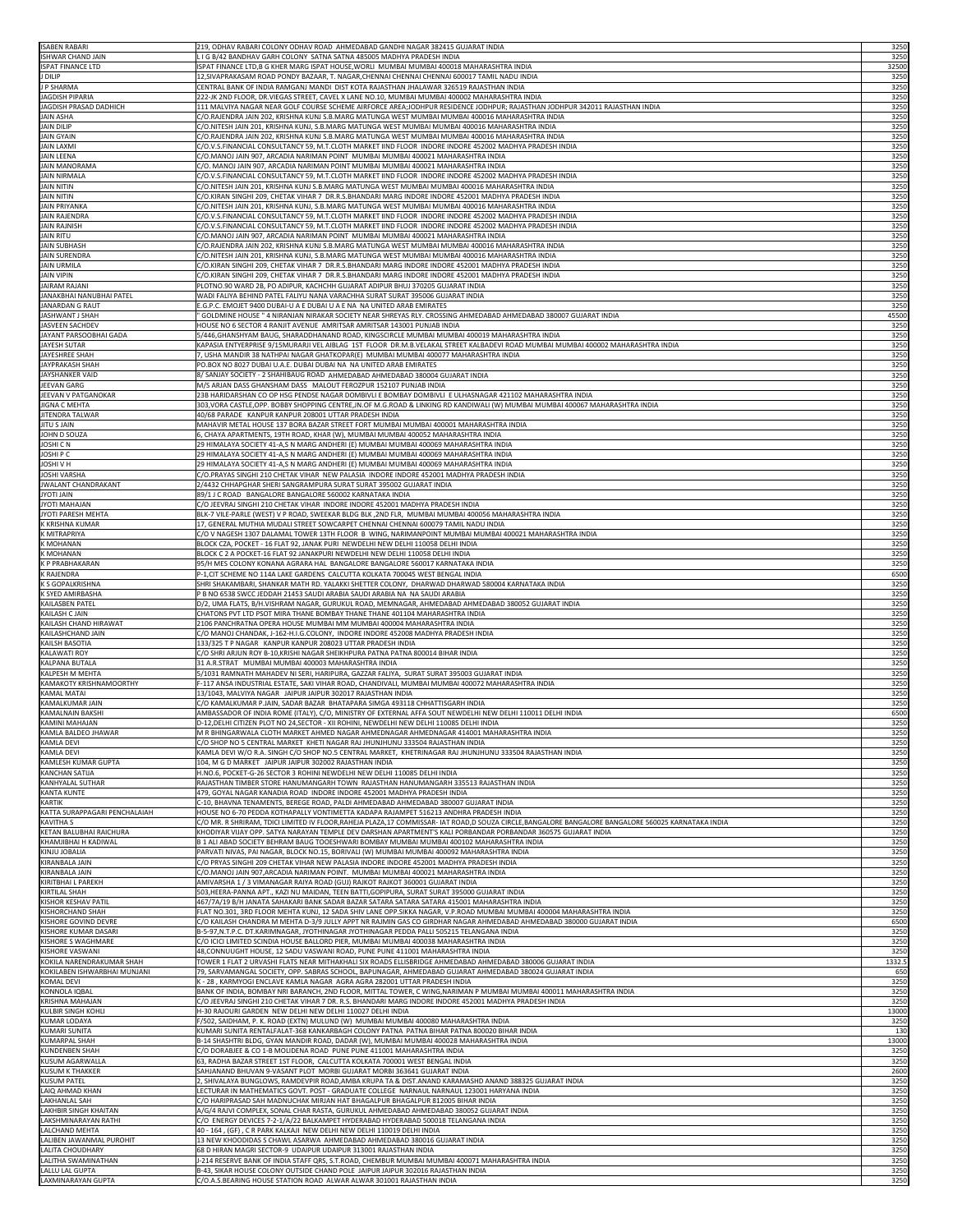| <b>ISABEN RABARI</b>                                       | 219, ODHAV RABARI COLONY ODHAV ROAD AHMEDABAD GANDHI NAGAR 382415 GUJARAT INDIA                                                                                                                                                            | 3250         |
|------------------------------------------------------------|--------------------------------------------------------------------------------------------------------------------------------------------------------------------------------------------------------------------------------------------|--------------|
| <b>ISHWAR CHAND JAIN</b>                                   | . I G B/42 BANDHAV GARH COLONY  SATNA SATNA 485005 MADHYA PRADESH INDIA                                                                                                                                                                    | 3250         |
| <b>ISPAT FINANCE LTD</b>                                   | ISPAT FINANCE LTD,B G KHER MARG ISPAT HOUSE,WORLI MUMBAI MUMBAI 400018 MAHARASHTRA INDIA                                                                                                                                                   | 32500        |
| J DILIP                                                    | 12,SIVAPRAKASAM ROAD PONDY BAZAAR, T. NAGAR,CHENNAI CHENNAI CHENNAI 600017 TAMIL NADU INDIA                                                                                                                                                | 3250         |
| J P SHARMA                                                 | CENTRAL BANK OF INDIA RAMGANJ MANDI DIST KOTA RAJASTHAN JHALAWAR 326519 RAJASTHAN INDIA                                                                                                                                                    | 3250         |
| <b>JAGDISH PIPARIA</b><br>JAGDISH PRASAD DADHICH           | 222-JK 2ND FLOOR, DR.VIEGAS STREET, CAVEL X LANE NO.10, MUMBAI MUMBAI 400002 MAHARASHTRA INDIA<br>111 MALVIYA NAGAR NEAR GOLF COURSE SCHEME AIRFORCE AREA;JODHPUR RESIDENCE JODHPUR; RAJASTHAN JODHPUR 342011 RAJASTHAN INDIA              | 3250<br>3250 |
| <b>JAIN ASHA</b>                                           | C/O.RAJENDRA JAIN 202, KRISHNA KUNJ S.B.MARG MATUNGA WEST MUMBAI MUMBAI 400016 MAHARASHTRA INDIA                                                                                                                                           | 3250         |
| <b>JAIN DILIP</b>                                          | C/O.NITESH JAIN 201, KRISHNA KUNJ, S.B.MARG MATUNGA WEST MUMBAI MUMBAI 400016 MAHARASHTRA INDIA                                                                                                                                            | 3250         |
| <b>JAIN GYAIN</b>                                          | C/O.RAJENDRA JAIN 202, KRISHNA KUNJ S.B.MARG MATUNGA WEST MUMBAI MUMBAI 400016 MAHARASHTRA INDIA                                                                                                                                           | 3250         |
| <b>JAIN LAXMI</b>                                          | C/O.V.S.FINANCIAL CONSULTANCY 59, M.T.CLOTH MARKET IIND FLOOR  INDORE INDORE 452002 MADHYA PRADESH INDIA                                                                                                                                   | 3250         |
| <b>JAIN LEENA</b><br><b>JAIN MANORAMA</b>                  | C/O.MANOJ JAIN 907, ARCADIA NARIMAN POINT MUMBAI MUMBAI 400021 MAHARASHTRA INDIA<br>C/O. MANOJ JAIN 907, ARCADIA NARIMAN POINT MUMBAI MUMBAI 400021 MAHARASHTRA INDIA                                                                      | 3250<br>3250 |
| <b>JAIN NIRMALA</b>                                        | C/O.V.S.FINANCIAL CONSULTANCY 59, M.T.CLOTH MARKET IIND FLOOR  INDORE INDORE 452002 MADHYA PRADESH INDIA                                                                                                                                   | 3250         |
| <b>JAIN NITIN</b>                                          | C/O.NITESH JAIN 201, KRISHNA KUNJ S.B.MARG MATUNGA WEST MUMBAI MUMBAI 400016 MAHARASHTRA INDIA                                                                                                                                             | 3250         |
| <b>JAIN NITIN</b>                                          | C/O.KIRAN SINGHI 209, CHETAK VIHAR 7  DR.R.S.BHANDARI MARG INDORE INDORE 452001 MADHYA PRADESH INDIA                                                                                                                                       | 3250         |
| <b>JAIN PRIYANKA</b><br><b>JAIN RAJENDRA</b>               | ./O.NITESH JAIN 201, KRISHNA KUNJ, S.B.MARG MATUNGA WEST MUMBAI MUMBAI 400016 MAHARASHTRA INDIA                                                                                                                                            | 3250<br>3250 |
| <b>JAIN RAJNISH</b>                                        | C/O.V.S.FINANCIAL CONSULTANCY 59, M.T.CLOTH MARKET IIND FLOOR  INDORE INDORE 452002 MADHYA PRADESH INDIA<br>C/O.V.S.FINANCIAL CONSULTANCY 59, M.T.CLOTH MARKET IIND FLOOR  INDORE INDORE 452002 MADHYA PRADESH INDIA                       | 3250         |
| <b>JAIN RITU</b>                                           | C/O.MANOJ JAIN 907, ARCADIA NARIMAN POINT MUMBAI MUMBAI 400021 MAHARASHTRA INDIA                                                                                                                                                           | 3250         |
| <b>JAIN SUBHASH</b>                                        | C/O.RAJENDRA JAIN 202, KRISHNA KUNJ S.B.MARG MATUNGA WEST MUMBAI MUMBAI 400016 MAHARASHTRA INDIA                                                                                                                                           | 3250         |
| <b>JAIN SURENDRA</b>                                       | C/O.NITESH JAIN 201, KRISHNA KUNJ, S.B.MARG MATUNGA WEST MUMBAI MUMBAI 400016 MAHARASHTRA INDIA                                                                                                                                            | 3250         |
| <b>JAIN URMILA</b><br><b>JAIN VIPIN</b>                    | C/O.KIRAN SINGHI 209, CHETAK VIHAR 7  DR.R.S.BHANDARI MARG INDORE INDORE 452001 MADHYA PRADESH INDIA<br>C/O.KIRAN SINGHI 209, CHETAK VIHAR 7  DR.R.S.BHANDARI MARG INDORE INDORE 452001 MADHYA PRADESH INDIA                               | 3250<br>3250 |
| <b>JAIRAM RAJANI</b>                                       | PLOTNO.90 WARD 2B, PO ADIPUR, KACHCHH GUJARAT ADIPUR BHUJ 370205 GUJARAT INDIA                                                                                                                                                             | 3250         |
| JANAKBHAI NANUBHAI PATEL                                   | WADI FALIYA BEHIND PATEL FALIYU NANA VARACHHA SURAT SURAT 395006 GUJARAT INDIA                                                                                                                                                             | 3250         |
| <b>JANARDAN G RAUT</b>                                     | E.G.P.C. EMOJET 9400 DUBAI-U A E DUBAI U A E NA NA UNITED ARAB EMIRATES                                                                                                                                                                    | 3250         |
| JASHWANT J SHAH                                            | GOLDMINE HOUSE " 4 NIRANJAN NIRAKAR SOCIETY NEAR SHREYAS RLY. CROSSING AHMEDABAD AHMEDABAD 380007 GUJARAT INDIA                                                                                                                            | 45500        |
| JASVEEN SACHDEV<br>JAYANT PARSOOBHAI GADA                  | HOUSE NO 6 SECTOR 4 RANJIT AVENUE AMRITSAR AMRITSAR 143001 PUNJAB INDIA<br>5/446, GHANSHYAM BAUG, SHARADDHANAND ROAD, KINGSCIRCLE MUMBAI MUMBAI 400019 MAHARASHTRA INDIA                                                                   | 3250<br>3250 |
| <b>JAYESH SUTAR</b>                                        | KAPASIA ENTYERPRISE 9/15MURARJI VEL AIBLAG 1ST FLOOR DR.M.B.VELAKAL STREET KALBADEVI ROAD MUMBAI MUMBAI 400002 MAHARASHTRA INDIA                                                                                                           | 3250         |
| JAYESHREE SHAH                                             | , USHA MANDIR 38 NATHPAI NAGAR GHATKOPAR(E) MUMBAI MUMBAI 400077 MAHARASHTRA INDIA                                                                                                                                                         | 3250         |
| <b>JAYPRAKASH SHAH</b>                                     | PO.BOX NO 8027 DUBAI U.A.E. DUBAI DUBAI NA  NA UNITED ARAB EMIRATES                                                                                                                                                                        | 3250         |
| JAYSHANKER VAID                                            | 8/ SANJAY SOCIETY - 2 SHAHIBAUG ROAD AHMEDABAD AHMEDABAD 380004 GUJARAT INDIA                                                                                                                                                              | 3250         |
| JEEVAN GARG<br>JEEVAN V PATGANOKAR                         | M/S ARJAN DASS GHANSHAM DASS MALOUT FEROZPUR 152107 PUNJAB INDIA<br>23B HARIDARSHAN CO OP HSG PENDSE NAGAR DOMBIVLI E BOMBAY DOMBIVLI E ULHASNAGAR 421102 MAHARASHTRA INDIA                                                                | 3250<br>3250 |
| <b>JIGNA C MEHTA</b>                                       | 303,VORA CASTLE,OPP. BOBBY SHOPPING CENTRE,JN.OF M.G.ROAD & LINKING RD KANDIWALI (W) MUMBAI MUMBAI 400067 MAHARASHTRA INDIA                                                                                                                | 3250         |
| JITENDRA TALWAR                                            | 40/68 PARADE KANPUR KANPUR 208001 UTTAR PRADESH INDIA                                                                                                                                                                                      | 3250         |
| <b>JITU S JAIN</b>                                         | MAHAVIR METAL HOUSE 137 BORA BAZAR STREET FORT MUMBAI MUMBAI 400001 MAHARASHTRA INDIA                                                                                                                                                      | 3250         |
| JOHN D SOUZA                                               | 5, CHAYA APARTMENTS, 19TH ROAD, KHAR (W), MUMBAI MUMBAI 400052 MAHARASHTRA INDIA                                                                                                                                                           | 3250         |
| <b>JOSHICN</b>                                             | 29 HIMALAYA SOCIETY 41-A,S N MARG ANDHERI (E) MUMBAI MUMBAI 400069 MAHARASHTRA INDIA<br>29 HIMALAYA SOCIETY 41-A,S N MARG ANDHERI (E) MUMBAI MUMBAI 400069 MAHARASHTRA INDIA                                                               | 3250         |
| <b>JOSHIPC</b><br><b>JOSHIVH</b>                           | 29 HIMALAYA SOCIETY 41-A,S N MARG ANDHERI (E) MUMBAI MUMBAI 400069 MAHARASHTRA INDIA                                                                                                                                                       | 3250<br>3250 |
| <b>JOSHI VARSHA</b>                                        | C/O.PRAYAS SINGHI 210 CHETAK VIHAR  NEW PALASIA  INDORE INDORE 452001 MADHYA PRADESH INDIA                                                                                                                                                 | 3250         |
| <b>JWALANT CHANDRAKANT</b>                                 | 2/4432 CHHAPGHAR SHERI SANGRAMPURA SURAT SURAT 395002 GUJARAT INDIA                                                                                                                                                                        | 3250         |
| JYOTI JAIN                                                 | 89/1 J C ROAD BANGALORE BANGALORE 560002 KARNATAKA INDIA                                                                                                                                                                                   | 3250         |
| JYOTI MAHAJAN                                              | C/O JEEVRAJ SINGHI 210 CHETAK VIHAR  INDORE INDORE 452001 MADHYA PRADESH INDIA                                                                                                                                                             | 3250         |
| JYOTI PARESH MEHTA<br>K KRISHNA KUMAR                      | BLK-7 VILE-PARLE (WEST) V P ROAD, SWEEKAR BLDG BLK ,2ND FLR,  MUMBAI MUMBAI 400056 MAHARASHTRA INDIA<br>17, GENERAL MUTHIA MUDALI STREET SOWCARPET CHENNAI CHENNAI 600079 TAMIL NADU INDIA                                                 | 3250<br>3250 |
| K MITRAPRIYA                                               | C/O V NAGESH 1307 DALAMAL TOWER 13TH FLOOR  B  WING, NARIMANPOINT MUMBAI MUMBAI 400021 MAHARASHTRA INDIA                                                                                                                                   | 3250         |
| <b>K MOHANAN</b>                                           | BLOCK CZA, POCKET - 16 FLAT 92, JANAK PURI NEWDELHI NEW DELHI 110058 DELHI INDIA                                                                                                                                                           | 3250         |
| <b>K MOHANAN</b>                                           | BLOCK C 2 A POCKET-16 FLAT 92 JANAKPURI NEWDELHI NEW DELHI 110058 DELHI INDIA                                                                                                                                                              | 3250         |
| K P PRABHAKARAN                                            | 95/H MES COLONY KONANA AGRARA HAL BANGALORE BANGALORE 560017 KARNATAKA INDIA                                                                                                                                                               | 3250         |
| <b>K RAJENDRA</b><br><b>K S GOPALKRISHNA</b>               | P-1, CIT SCHEME NO 114A LAKE GARDENS CALCUTTA KOLKATA 700045 WEST BENGAL INDIA<br>SHRI SHAKAMBARI, SHANKAR MATH RD. YALAKKI SHETTER COLONY, DHARWAD DHARWAD 580004 KARNATAKA INDIA                                                         | 6500<br>3250 |
| K SYED AMIRBASHA                                           | P B NO 6538 SWCC JEDDAH 21453 SAUDI ARABIA SAUDI ARABIA NA  NA SAUDI ARABIA                                                                                                                                                                | 3250         |
| <b>KAILASBEN PATEL</b>                                     | D/2, UMA FLATS, B/H.VISHRAM NAGAR, GURUKUL ROAD, MEMNAGAR, AHMEDABAD AHMEDABAD 380052 GUJARAT INDIA                                                                                                                                        | 3250         |
| <b>KAILASH C JAIN</b>                                      | CHATONS PVT LTD PSOT MIRA THANE BOMBAY THANE THANE 401104 MAHARASHTRA INDIA                                                                                                                                                                | 3250         |
| KAILASH CHAND HIRAWAT                                      | 2106 PANCHRATNA OPERA HOUSE MUMBAI MM MUMBAI 400004 MAHARASHTRA INDIA                                                                                                                                                                      | 3250         |
| KAILASHCHAND JAIN<br><b>KAILSH BASOTIA</b>                 | C/O MANOJ CHANDAK, J-162-H.I.G.COLONY,  INDORE INDORE 452008 MADHYA PRADESH INDIA<br>133/325 T P NAGAR KANPUR KANPUR 208023 UTTAR PRADESH INDIA                                                                                            | 3250<br>3250 |
| <b>KALAWATI ROY</b>                                        | C/O SHRI ARJUN ROY B-10,KRISHI NAGAR SHEIKHPURA PATNA PATNA 800014 BIHAR INDIA                                                                                                                                                             | 3250         |
| <b>KALPANA BUTALA</b>                                      | 31 A.R.STRAT MUMBAI MUMBAI 400003 MAHARASHTRA INDIA                                                                                                                                                                                        | 3250         |
| KALPESH M MEHTA                                            | 5/1031 RAMNATH MAHADEV NI SERI, HARIPURA, GAZZAR FALIYA, SURAT SURAT 395003 GUJARAT INDIA                                                                                                                                                  | 3250         |
| <b>KAMAKOTY KRISHNAMOORTHY</b>                             | F-117 ANSA INDUSTRIAL ESTATE, SAKI VIHAR ROAD, CHANDIVALI, MUMBAI MUMBAI 400072 MAHARASHTRA INDIA                                                                                                                                          | 3250         |
| <b>KAMAL MATAI</b><br><b>KAMALKUMAR JAIN</b>               | 13/1043, MALVIYA NAGAR JAIPUR JAIPUR 302017 RAJASTHAN INDIA<br>C/O KAMALKUMAR P.JAIN, SADAR BAZAR BHATAPARA SIMGA 493118 CHHATTISGARH INDIA                                                                                                | 3250<br>3250 |
| <b>KAMALNAIN BAKSHI</b>                                    | AMBASSADOR OF INDIA ROME (ITALY), C/O, MINISTRY OF EXTERNAL AFFA SOUT NEWDELHI NEW DELHI 110011 DELHI INDIA                                                                                                                                | 6500         |
| <b>KAMINI MAHAJAN</b>                                      | D-12,DELHI CITIZEN PLOT NO 24,SECTOR - XII ROHINI, NEWDELHI NEW DELHI 110085 DELHI INDIA                                                                                                                                                   | 3250         |
| KAMLA BALDEO JHAWAR                                        | M R BHINGARWALA CLOTH MARKET AHMED NAGAR AHMEDNAGAR AHMEDNAGAR 414001 MAHARASHTRA INDIA                                                                                                                                                    | 3250         |
| <b>KAMLA DEVI</b>                                          | C/O SHOP NO 5 CENTRAL MARKET KHETI NAGAR RAJ JHUNJHUNU 333504 RAJASTHAN INDIA                                                                                                                                                              | 3250         |
| <b>KAMLA DEVI</b><br><b>KAMLESH KUMAR GUPTA</b>            | KAMLA DEVI W/O R.A. SINGH C/O SHOP NO.5 CENTRAL MARKET,  KHETRINAGAR RAJ JHUNJHUNU 333504 RAJASTHAN INDIA<br>104, M G D MARKET JAIPUR JAIPUR 302002 RAJASTHAN INDIA                                                                        | 3250<br>3250 |
| <b>KANCHAN SATIJA</b>                                      | H.NO.6, POCKET-G-26 SECTOR 3 ROHINI NEWDELHI NEW DELHI 110085 DELHI INDIA                                                                                                                                                                  | 3250         |
| <b>KANHYALAL SUTHAR</b>                                    | RAJASTHAN TIMBER STORE HANUMANGARH TOWN RAJASTHAN HANUMANGARH 335513 RAJASTHAN INDIA                                                                                                                                                       | 3250         |
| <b>KANTA KUNTE</b>                                         | 479, GOYAL NAGAR KANADIA ROAD INDORE INDORE 452001 MADHYA PRADESH INDIA                                                                                                                                                                    | 3250         |
| <b>KARTIK</b>                                              | C-10, BHAVNA TENAMENTS, BEREGE ROAD, PALDI AHMEDABAD AHMEDABAD 380007 GUJARAT INDIA                                                                                                                                                        | 3250         |
| KATTA SURAPPAGARI PENCHALAIAH<br><b>KAVITHA S</b>          | HOUSE NO 6-70 PEDDA KOTHAPALLY VONTIMETTA KADAPA RAJAMPET 516213 ANDHRA PRADESH INDIA<br>C/O MR. R SHRIRAM, TDICI LIMITED IV FLOOR,RAHEJA PLAZA,17 COMMISSAR- IAT ROAD,D SOUZA CIRCLE,BANGALORE BANGALORE BANGALORE 560025 KARNATAKA INDIA | 3250<br>3250 |
| KETAN BALUBHAI RAICHURA                                    | KHODIYAR VIJAY OPP. SATYA NARAYAN TEMPLE DEV DARSHAN APARTMENT'S KALI PORBANDAR PORBANDAR 360575 GUJARAT INDIA                                                                                                                             | 3250         |
| KHAMJIBHAI H KADIWAL                                       | B 1 ALI ABAD SOCIETY BEHRAM BAUG TOOESHWARI BOMBAY MUMBAI MUMBAI 400102 MAHARASHTRA INDIA                                                                                                                                                  | 3250         |
| KINJU JOBALIA                                              | PARVATI NIVAS, PAI NAGAR, BLOCK NO.15, BORIVALI (W) MUMBAI MUMBAI 400092 MAHARASHTRA INDIA                                                                                                                                                 | 3250         |
| KIRANBALA JAIN                                             | C/O PRYAS SINGHI 209 CHETAK VIHAR NEW PALASIA INDORE INDORE 452001 MADHYA PRADESH INDIA<br>C/O.MANOJ JAIN 907,ARCADIA NARIMAN POINT. MUMBAI MUMBAI 400021 MAHARASHTRA INDIA                                                                | 3250         |
| KIRANBALA JAIN<br><b>KIRITBHAI L PAREKH</b>                | AMIVARSHA 1 / 3 VIMANAGAR RAIYA ROAD (GUJ) RAJKOT RAJKOT 360001 GUJARAT INDIA                                                                                                                                                              | 3250<br>3250 |
| <b>KIRTILAL SHAH</b>                                       | 503,HEERA-PANNA APT., KAZI NU MAIDAN, TEEN BATTI,GOPIPURA, SURAT SURAT 395000 GUJARAT INDIA                                                                                                                                                | 3250         |
| KISHOR KESHAV PATIL                                        | 467/7A/19 B/H JANATA SAHAKARI BANK SADAR BAZAR SATARA SATARA SATARA 415001 MAHARASHTRA INDIA                                                                                                                                               | 3250         |
| <b>KISHORCHAND SHAH</b>                                    | FLAT NO.301, 3RD FLOOR MEHTA KUNJ, 12 SADA SHIV LANE OPP.SIKKA NAGAR, V.P.ROAD MUMBAI MUMBAI 400004 MAHARASHTRA INDIA                                                                                                                      | 3250         |
| <b>KISHORE GOVIND DEVRE</b><br><b>KISHORE KUMAR DASARI</b> | C/O KAILASH CHANDRA M MEHTA D-3/9 JULLY APPT NR RAJMIN GAS CO GIRDHAR NAGAR AHMEDABAD AHMEDABAD 380000 GUJARAT INDIA<br>B-5-97,N.T.P.C. DT.KARIMNAGAR, JYOTHINAGAR JYOTHINAGAR PEDDA PALLI 505215 TELANGANA INDIA                          | 6500<br>3250 |
| <b>KISHORE S WAGHMARE</b>                                  | C/O ICICI LIMITED SCINDIA HOUSE BALLORD PIER, MUMBAI MUMBAI 400038 MAHARASHTRA INDIA                                                                                                                                                       | 3250         |
| <b>KISHORE VASWANI</b>                                     | 48, CONNUUGHT HOUSE, 12 SADU VASWANI ROAD, PUNE PUNE 411001 MAHARASHTRA INDIA                                                                                                                                                              | 3250         |
| KOKILA NARENDRAKUMAR SHAH                                  | TOWER 1 FLAT 2 URVASHI FLATS NEAR MITHAKHALI SIX ROADS ELLISBRIDGE AHMEDABAD AHMEDABAD 380006 GUJARAT INDIA                                                                                                                                | 1332.5       |
| KOKILABEN ISHWARBHAI MUNJANI                               | 79, SARVAMANGAL SOCIETY, OPP. SABRAS SCHOOL, BAPUNAGAR, AHMEDABAD GUJARAT AHMEDABAD 380024 GUJARAT INDIA                                                                                                                                   | 650<br>3250  |
| <b>KOMAL DEVI</b><br>KONNOLA IQBAL                         | K - 28 , KARMYOGI ENCLAVE KAMLA NAGAR AGRA AGRA 282001 UTTAR PRADESH INDIA<br>BANK OF INDIA, BOMBAY NRI BARANCH, 2ND FLOOR, MITTAL TOWER, C WING,NARIMAN P MUMBAI MUMBAI 400011 MAHARASHTRA INDIA                                          | 3250         |
| <b>KRISHNA MAHAJAN</b>                                     | C/O JEEVRAJ SINGHI 210 CHETAK VIHAR 7 DR. R.S. BHANDARI MARG INDORE INDORE 452001 MADHYA PRADESH INDIA                                                                                                                                     | 3250         |
| KULBIR SINGH KOHLI                                         | H-30 RAJOURI GARDEN NEW DELHI NEW DELHI 110027 DELHI INDIA                                                                                                                                                                                 | 13000        |
| <b>KUMAR LODAYA</b>                                        | F/502, SAIDHAM, P. K. ROAD (EXTN) MULUND (W) MUMBAI MUMBAI 400080 MAHARASHTRA INDIA                                                                                                                                                        | 3250         |
| <b>KUMARI SUNITA</b><br><b>KUMARPAL SHAH</b>               | KUMARI SUNITA RENTALFALAT-368 KANKARBAGH COLONY PATNA  PATNA BIHAR PATNA 800020 BIHAR INDIA                                                                                                                                                | 130<br>13000 |
| <b>KUNDENBEN SHAH</b>                                      | B-14 SHASHTRI BLDG, GYAN MANDIR ROAD, DADAR (W), MUMBAI MUMBAI 400028 MAHARASHTRA INDIA<br>C/O DORABJEE & CO 1-B MOLIDENA ROAD PUNE PUNE 411001 MAHARASHTRA INDIA                                                                          | 3250         |
| KUSUM AGARWALLA                                            | 63, RADHA BAZAR STREET 1ST FLOOR, CALCUTTA KOLKATA 700001 WEST BENGAL INDIA                                                                                                                                                                | 3250         |
| <b>KUSUM K THAKKER</b>                                     | SAHJANAND BHUVAN 9-VASANT PLOT MORBI GUJARAT MORBI 363641 GUJARAT INDIA                                                                                                                                                                    | 2600         |
| <b>KUSUM PATEL</b>                                         | 2, SHIVALAYA BUNGLOWS, RAMDEVPIR ROAD,AMBA KRUPA TA & DIST.ANAND KARAMASHD ANAND 388325 GUJARAT INDIA                                                                                                                                      | 3250         |
| LAIQ AHMAD KHAN<br><b>LAKHANLAL SAH</b>                    | LECTURAR IN MATHEMATICS GOVT. POST - GRADUATE COLLEGE NARNAUL NARNAUL 123001 HARYANA INDIA<br>C/O HARIPRASAD SAH MADNUCHAK MIRJAN HAT BHAGALPUR BHAGALPUR 812005 BIHAR INDIA                                                               | 3250<br>3250 |
| <b>LAKHBIR SINGH KHAITAN</b>                               | A/G/4 RAJVI COMPLEX, SONAL CHAR RASTA, GURUKUL AHMEDABAD AHMEDABAD 380052 GUJARAT INDIA                                                                                                                                                    | 3250         |
| LAKSHMINARAYAN RATHI                                       | C/O ENERGY DEVICES 7-2-1/A/22 BALKAMPET HYDERABAD HYDERABAD 500018 TELANGANA INDIA                                                                                                                                                         | 3250         |
| LALCHAND MEHTA                                             | 40 - 164 , (GF) , C R PARK KALKAJI NEW DELHI NEW DELHI 110019 DELHI INDIA                                                                                                                                                                  | 3250         |
| LALIBEN JAWANMAL PUROHIT                                   | 13 NEW KHOODIDAS S CHAWL ASARWA AHMEDABAD AHMEDABAD 380016 GUJARAT INDIA                                                                                                                                                                   | 3250         |
| <b>LALITA CHOUDHARY</b><br>LALITHA SWAMINATHAN             | 68 D HIRAN MAGRI SECTOR-9 UDAIPUR UDAIPUR 313001 RAJASTHAN INDIA<br>I-214 RESERVE BANK OF INDIA STAFF QRS, S.T.ROAD, CHEMBUR MUMBAI MUMBAI 400071 MAHARASHTRA INDIA                                                                        | 3250<br>3250 |
| LALLU LAL GUPTA                                            | B-43, SIKAR HOUSE COLONY OUTSIDE CHAND POLE JAIPUR JAIPUR 302016 RAJASTHAN INDIA                                                                                                                                                           | 3250         |
| LAXMINARAYAN GUPTA                                         | C/O.A.S.BEARING HOUSE STATION ROAD ALWAR ALWAR 301001 RAJASTHAN INDIA                                                                                                                                                                      | 3250         |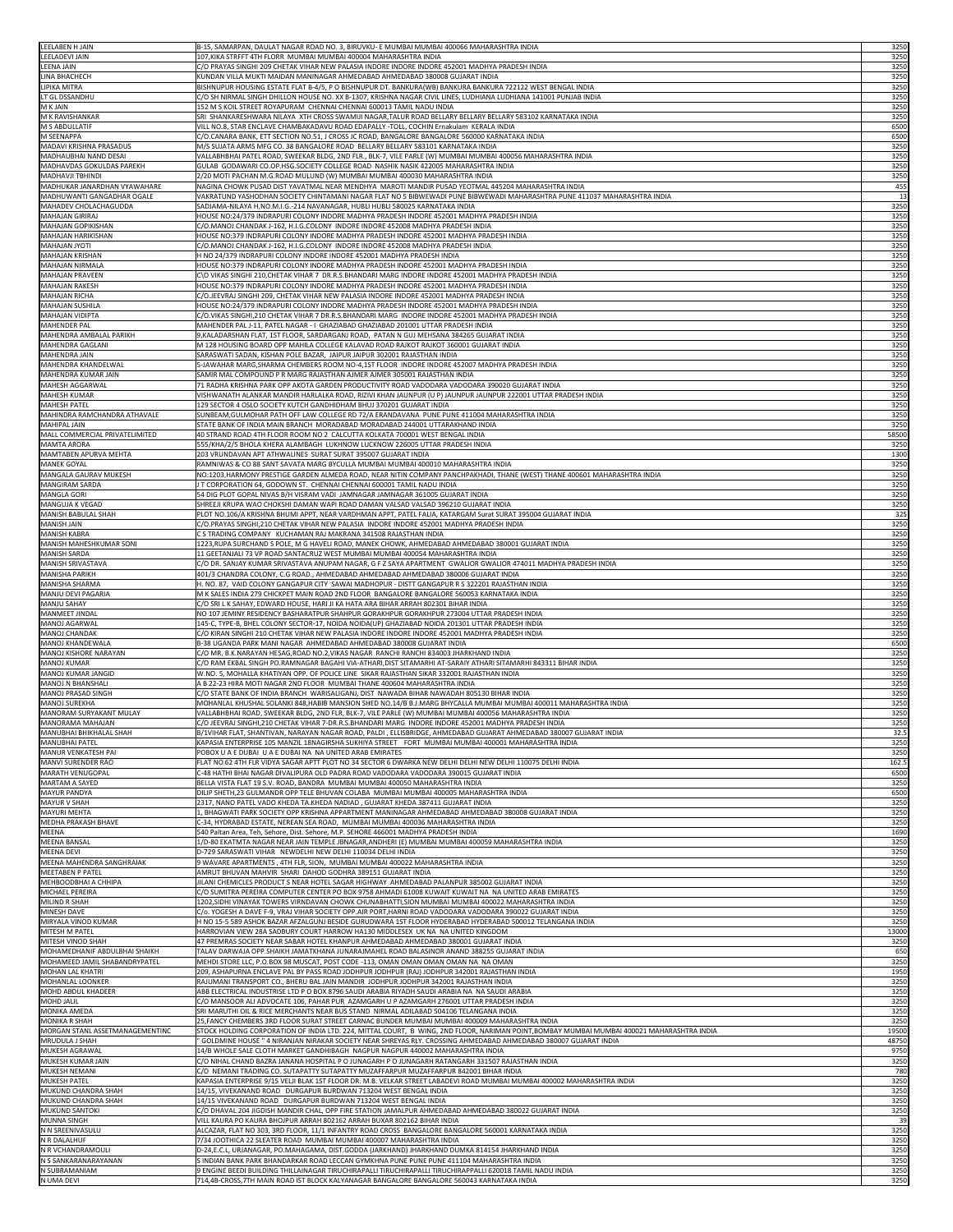| LEELABEN H JAIN                                          | B-15, SAMARPAN, DAULAT NAGAR ROAD NO. 3, BIRUVKU- E MUMBAI MUMBAI 400066 MAHARASHTRA INDIA                                                                                                                    | 3250          |
|----------------------------------------------------------|---------------------------------------------------------------------------------------------------------------------------------------------------------------------------------------------------------------|---------------|
| LEELADEVI JAIN                                           | 107,KIKA STRFFT 4TH FLORR  MUMBAI MUMBAI 400004 MAHARASHTRA INDIA                                                                                                                                             | 3250          |
| <b>LEENA JAIN</b>                                        | C/O PRAYAS SINGHI 209 CHETAK VIHAR NEW PALASIA INDORE INDORE INDORE 452001 MADHYA PRADESH INDIA                                                                                                               | 3250          |
| LINA BHACHECH<br>LIPIKA MITRA                            | KUNDAN VILLA MUKTI MAIDAN MANINAGAR AHMEDABAD AHMEDABAD 380008 GUJARAT INDIA<br>BISHNUPUR HOUSING ESTATE FLAT B-4/5, P O BISHNUPUR DT. BANKURA(WB) BANKURA BANKURA 722122 WEST BENGAL INDIA                   | 3250<br>3250  |
| LT GL DSSANDHU                                           | C/O SH NIRMAL SINGH DHILLON HOUSE NO. XX B-1307, KRISHNA NAGAR CIVIL LINES, LUDHIANA LUDHIANA 141001 PUNJAB INDIA                                                                                             | 3250          |
| <b>M K JAIN</b>                                          | 152 M S KOIL STREET ROYAPURAM CHENNAI CHENNAI 600013 TAMIL NADU INDIA                                                                                                                                         | 3250          |
| M K RAVISHANKAR                                          | SRI SHANKARESHWARA NILAYA XTH CROSS SWAMIJI NAGAR,TALUR ROAD BELLARY BELLARY BELLARY 583102 KARNATAKA INDIA                                                                                                   | 3250          |
| M S ABDULLATIF<br>M SEENAPPA                             | VILL NO.8, STAR ENCLAVE CHAMBAKADAVU ROAD EDAPALLY -TOLL, COCHIN Ernakulam KERALA INDIA<br>C/O.CANARA BANK, ETT SECTION NO.51, J CROSS JC ROAD, BANGALORE BANGALORE 560000 KARNATAKA INDIA                    | 6500<br>6500  |
| MADAVI KRISHNA PRASADUS                                  | M/S SUJATA ARMS MFG CO. 38 BANGALORE ROAD BELLARY BELLARY 583101 KARNATAKA INDIA                                                                                                                              | 3250          |
| MADHAUBHAI NAND DESAI                                    | VALLABHBHAI PATEL ROAD, SWEEKAR BLDG, 2ND FLR., BLK-7, VILE PARLE (W) MUMBAI MUMBAI 400056 MAHARASHTRA INDIA                                                                                                  | 3250          |
| MADHAVDAS GOKULDAS PAREKH<br>MADHAVJI TBHINDI            | GULAB GODAWARI CO.OP.HSG.SOCIETY COLLEGE ROAD NASHIK NASIK 422005 MAHARASHTRA INDIA<br>2/20 MOTI PACHAN M.G.ROAD MULUND (W) MUMBAI MUMBAI 400030 MAHARASHTRA INDIA                                            | 3250<br>3250  |
| MADHUKAR JANARDHAN VYAWAHARE                             | NAGINA CHOWK PUSAD DIST YAVATMAL NEAR MENDHYA MAROTI MANDIR PUSAD YEOTMAL 445204 MAHARASHTRA INDIA                                                                                                            | 455           |
| MADHUWANTI GANGADHAR OGALE                               | VAKRATUND YASHODHAN SOCIETY CHINTAMANI NAGAR FLAT NO 5 BIBWEWADI PUNE BIBWEWADI MAHARASHTRA PUNE 411037 MAHARASHTRA INDIA                                                                                     | 13            |
| MAHADEV CHOLACHAGUDDA                                    | SADJAMA-NILAYA H.NO.M.I.G.-214 NAVANAGAR, HUBLI HUBLI 580025 KARNATAKA INDIA                                                                                                                                  | 3250          |
| <b>MAHAJAN GIRIRAJ</b><br><b>MAHAJAN GOPIKISHAN</b>      | HOUSE NO:24/379 INDRAPURI COLONY INDORE MADHYA PRADESH INDORE 452001 MADHYA PRADESH INDIA<br>C/O.MANOJ CHANDAK J-162, H.I.G.COLONY INDORE INDORE 452008 MADHYA PRADESH INDIA                                  | 3250<br>3250  |
| <b>MAHAJAN HARIKISHAN</b>                                | HOUSE NO:379 INDRAPURI COLONY INDORE MADHYA PRADESH INDORE 452001 MADHYA PRADESH INDIA                                                                                                                        | 3250          |
| <b>MAHAJAN JYOTI</b>                                     | C/O.MANOJ CHANDAK J-162, H.I.G.COLONY  INDORE INDORE 452008 MADHYA PRADESH INDIA                                                                                                                              | 3250          |
| <b>MAHAJAN KRISHAN</b>                                   | H NO 24/379 INDRAPURI COLONY INDORE INDORE 452001 MADHYA PRADESH INDIA                                                                                                                                        | 3250          |
| <b>MAHAJAN NIRMALA</b><br><b>MAHAJAN PRAVEEN</b>         | HOUSE NO:379 INDRAPURI COLONY INDORE MADHYA PRADESH INDORE 452001 MADHYA PRADESH INDIA<br>C\O VIKAS SINGHI 210,CHETAK VIHAR 7  DR.R.S.BHANDARI MARG INDORE INDORE 452001 MADHYA PRADESH INDIA                 | 3250<br>3250  |
| <b>MAHAJAN RAKESH</b>                                    | HOUSE NO:379 INDRAPURI COLONY INDORE MADHYA PRADESH INDORE 452001 MADHYA PRADESH INDIA                                                                                                                        | 3250          |
| <b>MAHAJAN RICHA</b>                                     | C/O.JEEVRAJ SINGHI 209, CHETAK VIHAR NEW PALASIA INDORE INDORE 452001 MADHYA PRADESH INDIA                                                                                                                    | 3250          |
| <b>MAHAJAN SUSHILA</b><br><b>MAHAJAN VIDIPTA</b>         | HOUSE NO:24/379 INDRAPURI COLONY INDORE MADHYA PRADESH INDORE 452001 MADHYA PRADESH INDIA<br>C/O.VIKAS SINGHI,210 CHETAK VIHAR 7 DR.R.S.BHANDARI MARG  INDORE INDORE 452001 MADHYA PRADESH INDIA              | 3250<br>3250  |
| <b>MAHENDER PAL</b>                                      | MAHENDER PAL J-11, PATEL NAGAR - I GHAZIABAD GHAZIABAD 201001 UTTAR PRADESH INDIA                                                                                                                             | 3250          |
| MAHENDRA AMBALAL PARIKH                                  | 9,KALADARSHAN FLAT, 1ST FLOOR, SARDARGANJ ROAD, PATAN N GUJ MEHSANA 384265 GUJARAT INDIA                                                                                                                      | 3250          |
| <b>MAHENDRA GAGLANI</b>                                  | M 128 HOUSING BOARD OPP MAHILA COLLEGE KALAVAD ROAD RAJKOT RAJKOT 360001 GUJARAT INDIA                                                                                                                        | 3250          |
| <b>MAHENDRA JAIN</b>                                     | SARASWATI SADAN, KISHAN POLE BAZAR, JAIPUR JAIPUR 302001 RAJASTHAN INDIA                                                                                                                                      | 3250<br>3250  |
| MAHENDRA KHANDELWAL<br>MAHENDRA KUMAR JAIN               | 5-JAWAHAR MARG,SHARMA CHEMBERS ROOM NO-4,1ST FLOOR  INDORE INDORE 452007 MADHYA PRADESH INDIA<br>SAMIR MAL COMPOUND P R MARG RAJASTHAN AJMER AJMER 305001 RAJASTHAN INDIA                                     | 3250          |
| MAHESH AGGARWAL                                          | 71 RADHA KRISHNA PARK OPP AKOTA GARDEN PRODUCTIVITY ROAD VADODARA VADODARA 390020 GUJARAT INDIA                                                                                                               | 3250          |
| <b>MAHESH KUMAR</b>                                      | VISHWANATH ALANKAR MANDIR HARLALKA ROAD, RIZIVI KHAN JAUNPUR (U P) JAUNPUR JAUNPUR 222001 UTTAR PRADESH INDIA                                                                                                 | 3250          |
| <b>MAHESH PATEL</b><br>MAHINDRA RAMCHANDRA ATHAVALE      | 129 SECTOR 4 OSLO SOCIETY KUTCH GANDHIDHAM BHUJ 370201 GUJARAT INDIA<br>SUNBEAM, GULMOHAR PATH OFF LAW COLLEGE RD 72/A ERANDAVANA PUNE PUNE 411004 MAHARASHTRA INDIA                                          | 3250<br>3250  |
| <b>MAHIPAL JAIN</b>                                      | STATE BANK OF INDIA MAIN BRANCH MORADABAD MORADABAD 244001 UTTARAKHAND INDIA                                                                                                                                  | 3250          |
| MALL COMMERCIAL PRIVATELIMITED                           | 40 STRAND ROAD 4TH FLOOR ROOM NO 2 CALCUTTA KOLKATA 700001 WEST BENGAL INDIA                                                                                                                                  | 58500         |
| <b>MAMTA ARORA</b>                                       | 555/KHA/2/5 BHOLA KHERA ALAMBAGH LUKHNOW LUCKNOW 226005 UTTAR PRADESH INDIA                                                                                                                                   | 3250          |
| MAMTABEN APURVA MEHTA<br><b>MANEK GOYAL</b>              | 203 VRUNDAVAN APT ATHWALINES SURAT SURAT 395007 GUJARAT INDIA<br>RAMNIWAS & CO 88 SANT SAVATA MARG BYCULLA MUMBAI MUMBAI 400010 MAHARASHTRA INDIA                                                             | 1300<br>3250  |
| MANGALA GAURAV MUKESH                                    | NO:1203, HARMONY PRESTIGE GARDEN ALMEDA ROAD, NEAR NITIN COMPANY PANCHPAKHADI, THANE (WEST) THANE 400601 MAHARASHTRA INDIA                                                                                    | 3250          |
| <b>MANGIRAM SARDA</b>                                    | T CORPORATION 64, GODOWN ST. CHENNAI CHENNAI 600001 TAMIL NADU INDIA                                                                                                                                          | 3250          |
| <b>MANGLA GORI</b>                                       | 54 DIG PLOT GOPAL NIVAS B/H VISRAM VADI JAMNAGAR JAMNAGAR 361005 GUJARAT INDIA                                                                                                                                | 3250          |
| MANGUJA K VEGAD<br><b>MANISH BABULAL SHAH</b>            | SHREEJI KRUPA WAO CHOKSHI DAMAN WAPI ROAD DAMAN VALSAD VALSAD 396210 GUJARAT INDIA<br>PLOT NO.106/A KRISHNA BHUMI APPT, NEAR VARDHMAN APPT, PATEL FALIA, KATARGAM Surat SURAT 395004 GUJARAT INDIA            | 3250<br>325   |
| <b>MANISH JAIN</b>                                       | C/O.PRAYAS SINGHI,210 CHETAK VIHAR NEW PALASIA  INDORE INDORE 452001 MADHYA PRADESH INDIA                                                                                                                     | 3250          |
| <b>MANISH KABRA</b>                                      | C S TRADING COMPANY KUCHAMAN RAJ MAKRANA 341508 RAJASTHAN INDIA                                                                                                                                               | 3250          |
| MANISH MAHESHKUMAR SONI                                  | 1223,RUPA SURCHAND S POLE, M G HAVELI ROAD, MANEK CHOWK, AHMEDABAD AHMEDABAD 380001 GUJARAT INDIA                                                                                                             | 3250          |
| <b>MANISH SARDA</b><br>MANISH SRIVASTAVA                 | 11 GEETANJALI 73 VP ROAD SANTACRUZ WEST MUMBAI MUMBAI 400054 MAHARASHTRA INDIA<br>C/O DR. SANJAY KUMAR SRIVASTAVA ANUPAM NAGAR, G F Z SAYA APARTMENT  GWALIOR GWALIOR 474011 MADHYA PRADESH INDIA             | 3250<br>3250  |
| <b>MANISHA PARIKH</b>                                    | 401/3 CHANDRA COLONY, C.G ROAD., AHMEDABAD AHMEDABAD AHMEDABAD 380006 GUJARAT INDIA                                                                                                                           | 3250          |
| <b>MANISHA SHARMA</b>                                    | H. NO. 87, VAID COLONY GANGAPUR CITY SAWAI MADHOPUR - DISTT GANGAPUR R S 322201 RAJASTHAN INDIA                                                                                                               | 3250          |
| MANJU DEVI PAGARIA                                       | M K SALES INDIA 279 CHICKPET MAIN ROAD 2ND FLOOR BANGALORE BANGALORE 560053 KARNATAKA INDIA                                                                                                                   | 3250          |
| <b>MANJU SAHAY</b><br><b>MANMEET JINDAL</b>              | C/O SRI L K SAHAY, EDWARD HOUSE, HARI JI KA HATA ARA BIHAR ARRAH 802301 BIHAR INDIA<br>NO 107 JEMINY RESIDENCY BASHARATPUR SHAHPUR GORAKHPUR GORAKHPUR 273004 UTTAR PRADESH INDIA                             | 3250<br>3250  |
| <b>MANOJ AGARWAL</b>                                     | 145-C, TYPE-B, BHEL COLONY SECTOR-17, NOIDA NOIDA(UP) GHAZIABAD NOIDA 201301 UTTAR PRADESH INDIA                                                                                                              | 3250          |
| <b>MANOJ CHANDAK</b>                                     | C/O KIRAN SINGHI 210 CHETAK VIHAR NEW PALASIA INDORE INDORE INDORE 452001 MADHYA PRADESH INDIA                                                                                                                | 3250          |
| MANOJ KHANDEWALA                                         | B-38 UGANDA PARK MANI NAGAR AHMEDABAD AHMEDABAD 380008 GUJARAT INDIA                                                                                                                                          | 6500          |
| <b>MANOJ KISHORE NARAYAN</b><br><b>MANOJ KUMAR</b>       | C/O MR. B.K.NARAYAN HESAG,ROAD NO.2,VIKAS NAGAR  RANCHI RANCHI 834003 JHARKHAND INDIA<br>C/O RAM EKBAL SINGH PO.RAMNAGAR BAGAHI VIA-ATHARI,DIST SITAMARHI AT-SARAIY ATHARI SITAMARHI 843311 BIHAR INDIA       | 3250<br>3250  |
| <b>MANOJ KUMAR JANGID</b>                                | W.NO. 5, MOHALLA KHATIYAN OPP. OF POLICE LINE  SIKAR RAJASTHAN SIKAR 332001 RAJASTHAN INDIA                                                                                                                   | 3250          |
| <b>MANOJ N BHANSHALI</b>                                 | A B 22-23 HIRA MOTI NAGAR 2ND FLOOR MUMBAI THANE 400604 MAHARASHTRA INDIA                                                                                                                                     | 3250          |
| MANOJ PRASAD SINGH<br><b>MANOJ SUREKHA</b>               | C/O STATE BANK OF INDIA BRANCH WARISALIGANJ, DIST NAWADA BIHAR NAWADAH 805130 BIHAR INDIA<br>MOHANLAL KHUSHAL SOLANKI 848,HABIB MANSION SHED NO.14/B B.J.MARG BHYCALLA MUMBAI MUMBAI 400011 MAHARASHTRA INDIA | 3250<br>3250  |
| <b>MANORAM SURYAKANT MULAY</b>                           | VALLABHBHAI ROAD, SWEEKAR BLDG, 2ND FLR, BLK-7, VILE PARLE (W) MUMBAI MUMBAI 400056 MAHARASHTRA INDIA                                                                                                         | 3250          |
| <b>MANORAMA MAHAJAN</b>                                  | C/O JEEVRAJ SINGHI,210 CHETAK VIHAR 7-DR.R.S.BHANDARI MARG INDORE INDORE 452001 MADHYA PRADESH INDIA                                                                                                          | 3250          |
| MANUBHAI BHIKHALAL SHAH                                  | B/1VIHAR FLAT, SHANTIVAN, NARAYAN NAGAR ROAD, PALDI, ELLISBRIDGE, AHMEDABAD GUJARAT AHMEDABAD 380007 GUJARAT INDIA                                                                                            | 32.5          |
| <b>MANUBHAI PATEL</b><br>MANUR VENKATESH PAI             | KAPASIA ENTERPRISE 105 MANZIL 18NAGIRSHA SUKHIYA STREET FORT MUMBAI MUMBAI 400001 MAHARASHTRA INDIA<br>POBOX U A E DUBAI U A E DUBAI NA  NA UNITED ARAB EMIRATES                                              | 3250<br>3250  |
| MANVI SURENDER RAO                                       | FLAT NO 62 4TH FLR VIDYA SAGAR APTT PLOT NO 34 SECTOR 6 DWARKA NEW DELHI DELHI NEW DELHI 110075 DELHI INDIA                                                                                                   | 162.5         |
| MARATH VENUGOPAL                                         | C-48 HATHI BHAI NAGAR DIVALIPURA OLD PADRA ROAD VADODARA VADODARA 390015 GUJARAT INDIA                                                                                                                        | 6500          |
| <b>MARTAM A SAYED</b><br><b>MAYUR PANDYA</b>             | BELLA VISTA FLAT 19 S.V. ROAD, BANDRA MUMBAI MUMBAI 400050 MAHARASHTRA INDIA<br>DILIP SHETH, 23 GULMANDR OPP TELE BHUVAN COLABA MUMBAI MUMBAI 400005 MAHARASHTRA INDIA                                        | 3250<br>6500  |
| <b>MAYUR V SHAH</b>                                      | 2317, NANO PATEL VADO KHEDA TA.KHEDA NADIAD , GUJARAT KHEDA 387411 GUJARAT INDIA                                                                                                                              | 3250          |
| <b>MAYURI MEHTA</b>                                      | ., BHAGWATI PARK SOCIETY OPP KRISHNA APPARTMENT MANINAGAR AHMEDABAD AHMEDABAD 380008 GUJARAT INDIA                                                                                                            | 3250          |
| MEDHA PRAKASH BHAVE                                      | C-34, HYDRABAD ESTATE, NEREAN SEA ROAD,  MUMBAI MUMBAI 400036 MAHARASHTRA INDIA                                                                                                                               | 3250          |
| <b>MEENA</b><br><b>MEENA BANSAL</b>                      | 540 Paltan Area, Teh, Sehore, Dist. Sehore, M.P. SEHORE 466001 MADHYA PRADESH INDIA<br>1/D-80 EKATMTA NAGAR NEAR JAIN TEMPLE JBNAGAR,ANDHERI (E) MUMBAI MUMBAI 400059 MAHARASHTRA INDIA                       | 1690<br>3250  |
| <b>MEENA DEVI</b>                                        | D-729 SARASWATI VIHAR NEWDELHI NEW DELHI 110034 DELHI INDIA                                                                                                                                                   | 3250          |
| MEENA MAHENDRA SANGHRAIAK                                | 9 WAVARE APARTMENTS, 4TH FLR, SION, MUMBAI MUMBAI 400022 MAHARASHTRA INDIA                                                                                                                                    | 3250          |
| <b>MEETABEN P PATEL</b><br>MEHBOODBHAI A CHHIPA          | AMRUT BHUVAN MAHVIR SHARI DAHOD GODHRA 389151 GUJARAT INDIA<br>IILANI CHEMICLES PRODUCT S NEAR HOTEL SAGAR HIGHWAY AHMEDABAD PALANPUR 385002 GUJARAT INDIA                                                    | 3250<br>3250  |
| MICHAEL PEREIRA                                          | C/O SUMITRA PEREIRA COMPUTER CENTER PO BOX 9758 AHMADI 61008 KUWAIT KUWAIT NA  NA UNITED ARAB EMIRATES                                                                                                        | 3250          |
| <b>MILIND R SHAH</b>                                     | 1202,SIDHI VINAYAK TOWERS VIRNDAVAN CHOWK CHUNABHATTI,SION MUMBAI MUMBAI 400022 MAHARASHTRA INDIA                                                                                                             | 3250          |
| MINESH DAVE                                              | C/o. YOGESH A DAVE F-9, VRAJ VIHAR SOCIETY OPP.AIR PORT,HARNI ROAD VADODARA VADODARA 390022 GUJARAT INDIA                                                                                                     | 3250          |
| MIRYALA VINOD KUMAR<br>MITESH M PATEL                    | H NO 15-5 589 ASHOK BAZAR AFZALGUNJ BESIDE GURUDWARA 1ST FLOOR HYDERABAD HYDERABAD 500012 TELANGANA INDIA<br>HARROVIAN VIEW 28A SADBURY COURT HARROW HA130 MIDDLESEX UK NA NA UNITED KINGDOM                  | 3250<br>13000 |
| MITESH VINOD SHAH                                        | 47 PREMRAS SOCIETY NEAR SABAR HOTEL KHANPUR AHMEDABAD AHMEDABAD 380001 GUJARAT INDIA                                                                                                                          | 3250          |
| MOHAMEDHANIF ABDULBHAI SHAIKH                            | TALAV DARWAJA OPP.SHAIKH JAMATKHANA JUNARAJMAHEL ROAD BALASINOR ANAND 388255 GUJARAT INDIA                                                                                                                    | 650           |
| MOHAMEED JAMIL SHABANDRYPATEL<br><b>MOHAN LAL KHATRI</b> | MEHDI STORE LLC, P.O.BOX 98 MUSCAT, POST CODE -113, OMAN OMAN OMAN OMAN NA NA OMAN<br>209, ASHAPURNA ENCLAVE PAL BY PASS ROAD JODHPUR JODHPUR (RAJ) JODHPUR 342001 RAJASTHAN INDIA                            | 3250<br>1950  |
| <b>MOHANLAL LOONKER</b>                                  | RAJUMANI TRANSPORT CO., BHERU BAL JAIN MANDIR JODHPUR JODHPUR 342001 RAJASTHAN INDIA                                                                                                                          | 3250          |
| <b>MOHD ABDUL KHADEER</b>                                | ABB ELECTRICAL INDUSTRISE LTD P O BOX 8796 SAUDI ARABIA RIYADH SAUDI ARABIA NA NA SAUDI ARABIA                                                                                                                | 3250          |
| <b>MOHD JALIL</b>                                        | C/O MANSOOR ALI ADVOCATE 106, PAHAR PUR AZAMGARH U P AZAMGARH 276001 UTTAR PRADESH INDIA                                                                                                                      | 3250          |
| <b>MONIKA AMEDA</b><br><b>MONIKA R SHAH</b>              | SRI MARUTHI OIL & RICE MERCHANTS NEAR BUS STAND NIRMAL ADILABAD 504106 TELANGANA INDIA<br>25, FANCY CHEMBERS 3RD FLOOR SURAT STREET CARNAC BUNDER MUMBAI MUMBAI 400009 MAHARASHTRA INDIA                      | 3250<br>3250  |
| MORGAN STANL ASSETMANAGEMENTINC                          | STOCK HOLDING CORPORATION OF INDIA LTD. 224, MITTAL COURT, B WING, 2ND FLOOR, NARIMAN POINT,BOMBAY MUMBAI MUMBAI 400021 MAHARASHTRA INDIA                                                                     | 19500         |
| <b>MRUDULA J SHAH</b>                                    | GOLDMINE HOUSE " 4 NIRANJAN NIRAKAR SOCIETY NEAR SHREYAS RLY. CROSSING AHMEDABAD AHMEDABAD 380007 GUJARAT INDIA                                                                                               | 48750         |
| <b>MUKESH AGRAWAL</b>                                    | 14/B WHOLE SALE CLOTH MARKET GANDHIBAGH  NAGPUR NAGPUR 440002 MAHARASHTRA INDIA                                                                                                                               | 9750          |
| MUKESH KUMAR JAIN<br>MUKESH NEMANI                       | C/O NIHAL CHAND BAZRA JANANA HOSPITAL P O JUNAGARH P O JUNAGARH RATANGARH 331507 RAJASTHAN INDIA<br>C/O NEMANI TRADING CO. SUTAPATTY SUTAPATTY MUZAFFARPUR MUZAFFARPUR 842001 BIHAR INDIA                     | 3250<br>780   |
| <b>MUKESH PATEL</b>                                      | KAPASIA ENTERPRISE 9/15 VELJI BLAK 1ST FLOOR DR. M.B. VELKAR STREET LABADEVI ROAD MUMBAI MUMBAI 400002 MAHARASHTRA INDIA                                                                                      | 3250          |
| MUKUND CHANDRA SHAH                                      | 14/15, VIVEKANAND ROAD DURGAPUR BURDWAN 713204 WEST BENGAL INDIA                                                                                                                                              | 3250          |
| MUKUND CHANDRA SHAH                                      | 14/15 VIVEKANAND ROAD DURGAPUR BURDWAN 713204 WEST BENGAL INDIA                                                                                                                                               | 3250          |
| <b>MUKUND SANTOKI</b><br><b>MUNNA SINGH</b>              | C/O DHAVAL 204 JIGDISH MANDIR CHAL, OPP FIRE STATION JAMALPUR AHMEDABAD AHMEDABAD 380022 GUJARAT INDIA<br>VILL KAURA PO KAURA BHOJPUR ARRAH 802162 ARRAH BUXAR 802162 BIHAR INDIA                             | 3250<br>39    |
| N N SREENIVASULU                                         | ALCAZAR, FLAT NO 303, 3RD FLOOR, 11/1 INFANTRY ROAD CROSS  BANGALORE BANGALORE 560001 KARNATAKA INDIA                                                                                                         | 3250          |
| N R DALALHUF                                             | 7/34 JOOTHICA 22 SLEATER ROAD MUMBAI MUMBAI 400007 MAHARASHTRA INDIA                                                                                                                                          | 3250          |
| N R VCHANDRAMOULI<br>N S SANKARANARAYANAN                | D-24,E.C.L, URJANAGAR, PO.MAHAGAMA, DIST.GODDA (JARKHAND) JHARKHAND DUMKA 814154 JHARKHAND INDIA<br>S INDIAN BANK PARK BHANDARKAR ROAD LECCAN GYMKHNA PUNE PUNE PUNE 411104 MAHARASHTRA INDIA                 | 3250<br>3250  |
| N SUBRAMANIAM                                            | 9 ENGINE BEEDI BUILDING THILLAINAGAR TIRUCHIRAPALLI TIRUCHIRAPALLI TIRUCHIRAPPALLI 620018 TAMIL NADU INDIA                                                                                                    | 3250          |
|                                                          | 714,4B-CROSS,7TH MAIN ROAD IST BLOCK KALYANAGAR BANGALORE BANGALORE 560043 KARNATAKA INDIA                                                                                                                    | 3250          |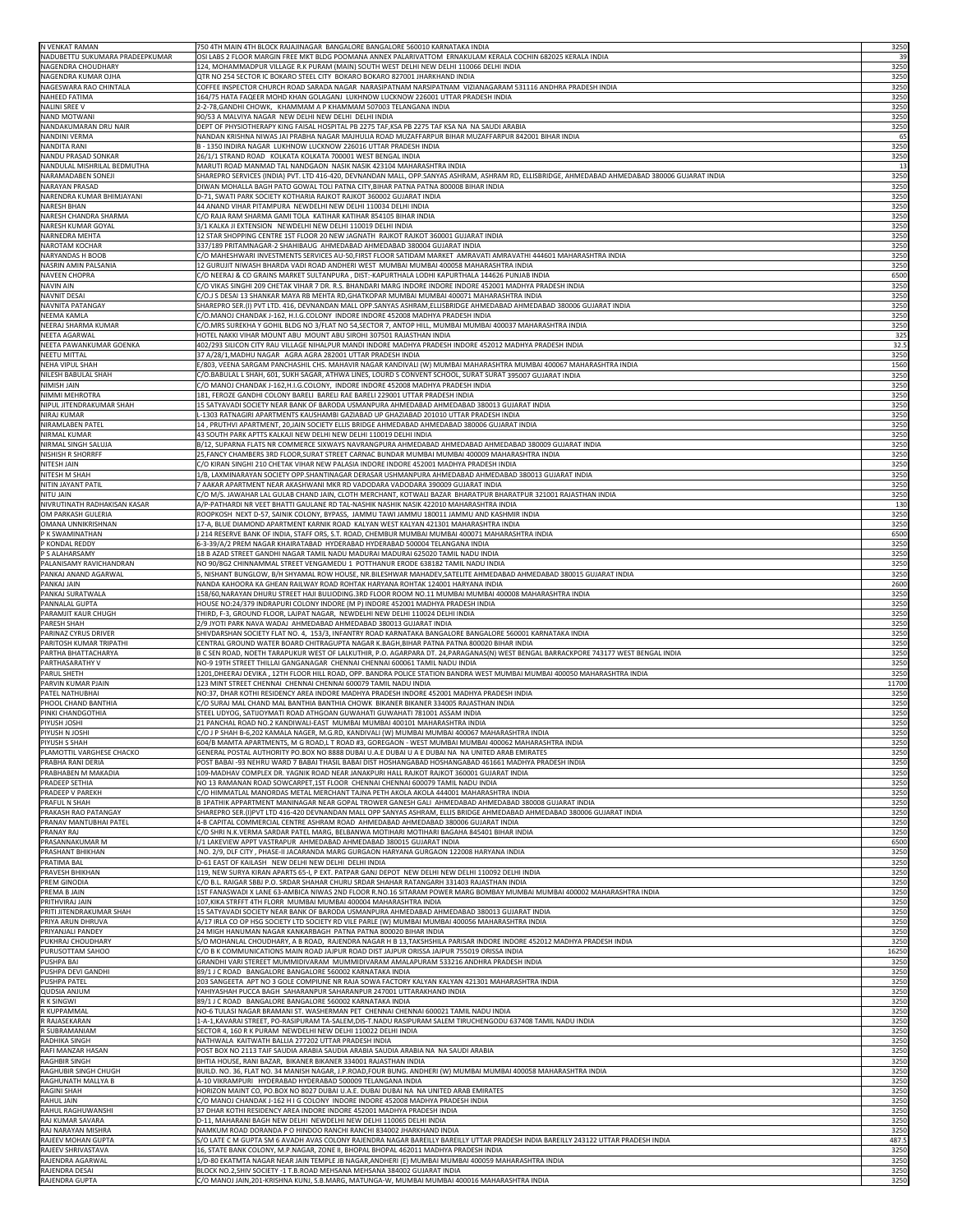| N VENKAT RAMAN                         | 750 4TH MAIN 4TH BLOCK RAJAJINAGAR BANGALORE BANGALORE 560010 KARNATAKA INDIA                                                                                                            | 3250         |
|----------------------------------------|------------------------------------------------------------------------------------------------------------------------------------------------------------------------------------------|--------------|
| NADUBETTU SUKUMARA PRADEEPKUMAR        | OSI LABS 2 FLOOR MARGIN FREE MKT BLDG POOMANA ANNEX PALARIVATTOM ERNAKULAM KERALA COCHIN 682025 KERALA INDIA                                                                             | 39           |
| NAGENDRA CHOUDHARY                     | 124, MOHAMMADPUR VILLAGE R.K PURAM (MAIN) SOUTH WEST DELHI NEW DELHI 110066 DELHI INDIA                                                                                                  | 3250         |
| NAGENDRA KUMAR OJHA                    | QTR NO 254 SECTOR IC BOKARO STEEL CITY BOKARO BOKARO 827001 JHARKHAND INDIA                                                                                                              | 3250         |
| NAGESWARA RAO CHINTALA                 | COFFEE INSPECTOR CHURCH ROAD SARADA NAGAR NARASIPATNAM NARSIPATNAM VIZIANAGARAM 531116 ANDHRA PRADESH INDIA                                                                              | 3250         |
| <b>NAHEED FATIMA</b>                   | 164/75 HATA FAQEER MOHD KHAN GOLAGANJ LUKHNOW LUCKNOW 226001 UTTAR PRADESH INDIA                                                                                                         | 3250         |
| <b>NALINI SREE V</b>                   | 2-2-78, GANDHI CHOWK, KHAMMAM A P KHAMMAM 507003 TELANGANA INDIA                                                                                                                         | 3250         |
| <b>NAND MOTWANI</b>                    | 90/53 A MALVIYA NAGAR NEW DELHI NEW DELHI DELHI INDIA                                                                                                                                    | 3250         |
| NANDAKUMARAN DRU NAIR                  | DEPT OF PHYSIOTHERAPY KING FAISAL HOSPITAL PB 2275 TAF,KSA PB 2275 TAF KSA NA  NA SAUDI ARABIA                                                                                           | 3250         |
| <b>NANDINI VERMA</b>                   | NANDAN KRISHNA NIWAS JAI PRABHA NAGAR MAJHULIA ROAD MUZAFFARPUR BIHAR MUZAFFARPUR 842001 BIHAR INDIA                                                                                     | 65           |
| <b>NANDITA RANI</b>                    | B - 1350 INDIRA NAGAR LUKHNOW LUCKNOW 226016 UTTAR PRADESH INDIA                                                                                                                         | 3250         |
| NANDU PRASAD SONKAR                    | 26/1/1 STRAND ROAD KOLKATA KOLKATA 700001 WEST BENGAL INDIA                                                                                                                              | 3250         |
| NANDULAL MISHRILAL BEDMUTHA            | MARUTI ROAD MANMAD TAL NANDGAON NASIK NASIK 423104 MAHARASHTRA INDIA                                                                                                                     | 13           |
| NARAMADABEN SONEJI                     | SHAREPRO SERVICES (INDIA) PVT. LTD 416-420, DEVNANDAN MALL, OPP.SANYAS ASHRAM, ASHRAM RD, ELLISBRIDGE, AHMEDABAD AHMEDABAD 380006 GUJARAT INDIA                                          | 3250         |
| NARAYAN PRASAD                         | DIWAN MOHALLA BAGH PATO GOWAL TOLI PATNA CITY,BIHAR PATNA PATNA 800008 BIHAR INDIA                                                                                                       | 3250         |
| NARENDRA KUMAR BHIMJAYANI              | D-71, SWATI PARK SOCIETY KOTHARIA RAJKOT RAJKOT 360002 GUJARAT INDIA                                                                                                                     | 3250         |
| <b>NARESH BHAN</b>                     | 44 ANAND VIHAR PITAMPURA NEWDELHI NEW DELHI 110034 DELHI INDIA                                                                                                                           | 3250         |
| NARESH CHANDRA SHARMA                  | C/O RAJA RAM SHARMA GAMI TOLA  KATIHAR KATIHAR 854105 BIHAR INDIA                                                                                                                        | 3250         |
| NARESH KUMAR GOYAL                     | 3/1 KALKA JI EXTENSION NEWDELHI NEW DELHI 110019 DELHI INDIA                                                                                                                             | 3250         |
| NARNEDRA MEHTA                         | 12 STAR SHOPPING CENTRE 1ST FLOOR 20 NEW JAGNATH RAJKOT RAJKOT 360001 GUJARAT INDIA                                                                                                      | 3250         |
| <b>NAROTAM KOCHAR</b>                  | 337/189 PRITAMNAGAR-2 SHAHIBAUG AHMEDABAD AHMEDABAD 380004 GUJARAT INDIA                                                                                                                 | 3250         |
| <b>NARYANDAS H BOOB</b>                | C/O MAHESHWARI INVESTMENTS SERVICES AU-50,FIRST FLOOR SATIDAM MARKET AMRAVATI AMRAVATHI 444601 MAHARASHTRA INDIA                                                                         | 3250         |
| NASRIN AMIN PALSANIA                   | 12 GURUJIT NIWASH BHARDA VADI ROAD ANDHERI WEST MUMBAI MUMBAI 400058 MAHARASHTRA INDIA                                                                                                   | 3250         |
| <b>NAVEEN CHOPRA</b>                   | C/O NEERAJ & CO GRAINS MARKET SULTANPURA , DIST:-KAPURTHALA LODHI KAPURTHALA 144626 PUNJAB INDIA                                                                                         | 6500         |
| <b>NAVIN AIN</b>                       | C/O VIKAS SINGHI 209 CHETAK VIHAR 7 DR. R.S. BHANDARI MARG INDORE INDORE INDORE 452001 MADHYA PRADESH INDIA                                                                              | 3250         |
| <b>NAVNIT DESAI</b>                    | C/O.J S DESAI 13 SHANKAR MAYA RB MEHTA RD, GHATKOPAR MUMBAI MUMBAI 400071 MAHARASHTRA INDIA                                                                                              | 3250         |
| NAVNITA PATANGAY                       | SHAREPRO SER.(I) PVT LTD. 416, DEVNANDAN MALL OPP.SANYAS ASHRAM,ELLISBRIDGE AHMEDABAD AHMEDABAD 380006 GUJARAT INDIA                                                                     | 3250         |
| <b>NEEMA KAMLA</b>                     | C/O.MANOJ CHANDAK J-162, H.I.G.COLONY  INDORE INDORE 452008 MADHYA PRADESH INDIA                                                                                                         | 3250         |
| NEERAJ SHARMA KUMAR                    | C/O.MRS SUREKHA Y GOHIL BLDG NO 3/FLAT NO 54,SECTOR 7, ANTOP HILL, MUMBAI MUMBAI 400037 MAHARASHTRA INDIA                                                                                | 3250         |
| <b>NEETA AGARWAL</b>                   | HOTEL NAKKI VIHAR MOUNT ABU MOUNT ABU SIROHI 307501 RAJASTHAN INDIA                                                                                                                      | 325          |
| NEETA PAWANKUMAR GOENKA                | 402/293 SILICON CITY RAU VILLAGE NIHALPUR MANDI INDORE MADHYA PRADESH INDORE 452012 MADHYA PRADESH INDIA                                                                                 | 32.5         |
| <b>NEETU MITTAL</b>                    | 37 A/28/1, MADHU NAGAR AGRA AGRA 282001 UTTAR PRADESH INDIA                                                                                                                              | 3250         |
| <b>NEHA VIPUL SHAH</b>                 | E/803, VEENA SARGAM PANCHASHIL CHS. MAHAVIR NAGAR KANDIVALI (W) MUMBAI MAHARASHTRA MUMBAI 400067 MAHARASHTRA INDIA                                                                       | 1560         |
| NILESH BABULAL SHAH                    | C/O.BABULAL L SHAH, 601, SUKH SAGAR, ATHWA LINES, LOURD S CONVENT SCHOOL, SURAT SURAT 395007 GUJARAT INDIA                                                                               | 3250         |
| NIMISH JAIN                            | C/O MANOJ CHANDAK J-162, H.I.G.COLONY, INDORE INDORE 452008 MADHYA PRADESH INDIA                                                                                                         | 3250         |
| NIMMI MEHROTRA                         | 181, FEROZE GANDHI COLONY BARELI BARELI RAE BARELI 229001 UTTAR PRADESH INDIA                                                                                                            | 3250         |
| NIPUL JITENDRAKUMAR SHAH               | 15 SATYAVADI SOCIETY NEAR BANK OF BARODA USMANPURA AHMEDABAD AHMEDABAD 380013 GUJARAT INDIA                                                                                              | 3250         |
| <b>NIRAJ KUMAR</b>                     | L-1303 RATNAGIRI APARTMENTS KAUSHAMBI GAZIABAD UP GHAZIABAD 201010 UTTAR PRADESH INDIA                                                                                                   | 3250         |
| NIRAMLABEN PATEL                       | 14 , PRUTHVI APARTMENT, 20,JAIN SOCIETY ELLIS BRIDGE AHMEDABAD AHMEDABAD 380006 GUJARAT INDIA                                                                                            | 3250         |
| <b>NIRMAL KUMAR</b>                    | 43 SOUTH PARK APTTS KALKAJI NEW DELHI NEW DELHI 110019 DELHI INDIA                                                                                                                       | 3250         |
| NIRMAL SINGH SALUJA                    | B/12, SUPARNA FLATS NR COMMERCE SIXWAYS NAVRANGPURA AHMEDABAD AHMEDABAD AHMEDABAD 380009 GUJARAT INDIA                                                                                   | 3250         |
| <b>NISHISH R SHORRFF</b>               | 25,FANCY CHAMBERS 3RD FLOOR,SURAT STREET CARNAC BUNDAR MUMBAI MUMBAI 400009 MAHARASHTRA INDIA                                                                                            | 3250         |
| NITESH JAIN                            | C/O KIRAN SINGHI 210 CHETAK VIHAR NEW PALASIA INDORE INDORE 452001 MADHYA PRADESH INDIA                                                                                                  | 3250         |
| <b>NITESH M SHAH</b>                   | 1/B, LAXMINARAYAN SOCIETY OPP.SHANTINAGAR DERASAR USHMANPURA AHMEDABAD AHMEDABAD 380013 GUJARAT INDIA                                                                                    | 3250         |
| NITIN JAYANT PATIL                     | 7 AAKAR APARTMENT NEAR AKASHWANI MKR RD VADODARA VADODARA 390009 GUJARAT INDIA                                                                                                           | 3250         |
| NITU JAIN                              | C/O M/S. JAWAHAR LAL GULAB CHAND JAIN, CLOTH MERCHANT, KOTWALI BAZAR  BHARATPUR BHARATPUR 321001 RAJASTHAN INDIA                                                                         | 3250         |
| NIVRUTINATH RADHAKISAN KASAR           | A/P-PATHARDI NR VEET BHATTI GAULANE RD TAL-NASHIK NASHIK NASIK 422010 MAHARASHTRA INDIA                                                                                                  | 130          |
| OM PARKASH GULERIA                     | ROOPKOSH NEXT D-57, SAINIK COLONY, BYPASS, JAMMU TAWI JAMMU 180011 JAMMU AND KASHMIR INDIA                                                                                               | 3250         |
| OMANA UNNIKRISHNAN                     | 17-A, BLUE DIAMOND APARTMENT KARNIK ROAD KALYAN WEST KALYAN 421301 MAHARASHTRA INDIA                                                                                                     | 3250         |
| P K SWAMINATHAN                        | I 214 RESERVE BANK OF INDIA, STAFF ORS, S.T. ROAD, CHEMBUR MUMBAI MUMBAI 400071 MAHARASHTRA INDIA                                                                                        | 6500         |
| P KONDAL REDDY                         | 6-3-39/A/2 PREM NAGAR KHAIRATABAD HYDERABAD HYDERABAD 500004 TELANGANA INDIA                                                                                                             | 3250         |
| P S ALAHARSAMY                         | 18 B AZAD STREET GANDHI NAGAR TAMIL NADU MADURAI MADURAI 625020 TAMIL NADU INDIA                                                                                                         | 3250         |
| PALANISAMY RAVICHANDRAN                | NO 90/8G2 CHINNAMMAL STREET VENGAMEDU 1 POTTHANUR ERODE 638182 TAMIL NADU INDIA                                                                                                          | 3250         |
| PANKAJ ANAND AGARWAL                   | 5, NISHANT BUNGLOW, B/H SHYAMAL ROW HOUSE, NR.BILESHWAR MAHADEV,SATELITE AHMEDABAD AHMEDABAD 380015 GUJARAT INDIA                                                                        | 3250<br>2600 |
| PANKAJ JAIN<br><b>PANKAJ SURATWALA</b> | NANDA KAHOORA KA GHEAN RAILWAY ROAD ROHTAK HARYANA ROHTAK 124001 HARYANA INDIA<br>158/60,NARAYAN DHURU STREET HAJI BULIODING.3RD FLOOR ROOM NO.11 MUMBAI MUMBAI 400008 MAHARASHTRA INDIA | 3250         |
| <b>PANNALAL GUPTA</b>                  | HOUSE NO:24/379 INDRAPURI COLONY INDORE (M P) INDORE 452001 MADHYA PRADESH INDIA                                                                                                         | 3250         |
| PARAMJIT KAUR CHUGH                    | THIRD, F-3, GROUND FLOOR, LAJPAT NAGAR, NEWDELHI NEW DELHI 110024 DELHI INDIA                                                                                                            | 3250         |
| <b>PARESH SHAH</b>                     | 2/9 JYOTI PARK NAVA WADAJ AHMEDABAD AHMEDABAD 380013 GUJARAT INDIA                                                                                                                       | 3250         |
| PARINAZ CYRUS DRIVER                   | SHIVDARSHAN SOCIETY FLAT NO. 4, 153/3, INFANTRY ROAD KARNATAKA BANGALORE BANGALORE 560001 KARNATAKA INDIA                                                                                | 3250         |
| PARITOSH KUMAR TRIPATHI                | CENTRAL GROUND WATER BOARD CHITRAGUPTA NAGAR K.BAGH,BIHAR PATNA PATNA 800020 BIHAR INDIA                                                                                                 | 3250         |
| <b>PARTHA BHATTACHARYA</b>             | B C SEN ROAD, NOETH TARAPUKUR WEST OF LALKUTHIR, P.O. AGARPARA DT. 24,PARAGANAS(N) WEST BENGAL BARRACKPORE 743177 WEST BENGAL INDIA                                                      | 3250         |
| <b>PARTHASARATHY V</b>                 | NO-9 19TH STREET THILLAI GANGANAGAR  CHENNAI CHENNAI 600061 TAMIL NADU INDIA                                                                                                             | 3250         |
| <b>PARUL SHETH</b>                     | 1201,DHEERAJ DEVIKA , 12TH FLOOR HILL ROAD, OPP. BANDRA POLICE STATION BANDRA WEST MUMBAI MUMBAI 400050 MAHARASHTRA INDIA                                                                | 3250         |
| PARVIN KUMAR PJAIN                     | 123 MINT STREET CHENNAI CHENNAI CHENNAI 600079 TAMIL NADU INDIA                                                                                                                          | 11700        |
| PATEL NATHUBHAI                        | NO:37, DHAR KOTHI RESIDENCY AREA INDORE MADHYA PRADESH INDORE 452001 MADHYA PRADESH INDIA                                                                                                | 3250         |
| PHOOL CHAND BANTHIA                    | C/O SURAJ MAL CHAND MAL BANTHIA BANTHIA CHOWK  BIKANER BIKANER 334005 RAJASTHAN INDIA                                                                                                    | 3250         |
| PINKI CHANDGOTHIA                      | STEEL UDYOG, SATIJOYMATI ROAD ATHGOAN GUWAHATI GUWAHATI 781001 ASSAM INDIA                                                                                                               | 3250         |
| PIYUSH JOSHI                           | 21 PANCHAL ROAD NO.2 KANDIWALI-EAST MUMBAI MUMBAI 400101 MAHARASHTRA INDIA                                                                                                               | 3250         |
| PIYUSH N JOSHI                         | C/O J P SHAH B-6,202 KAMALA NAGER, M.G.RD, KANDIVALI (W) MUMBAI MUMBAI 400067 MAHARASHTRA INDIA                                                                                          | 3250         |
| <b>PIYUSH S SHAH</b>                   | 604/B MAMTA APARTMENTS, M G ROAD,L T ROAD #3, GOREGAON - WEST MUMBAI MUMBAI 400062 MAHARASHTRA INDIA                                                                                     | 3250         |
| PLAMOTTIL VARGHESE CHACKO              | GENERAL POSTAL AUTHORITY PO.BOX NO 8888 DUBAI U.A.E DUBAI U A E DUBAI NA NA UNITED ARAB EMIRATES                                                                                         | 3250         |
| <b>PRABHA RANI DERIA</b>               | POST BABAI -93 NEHRU WARD 7 BABAI THASIL BABAI DIST HOSHANGABAD HOSHANGABAD 461661 MADHYA PRADESH INDIA                                                                                  | 3250         |
| PRABHABEN M MAKADIA                    | 109-MADHAV COMPLEX DR. YAGNIK ROAD NEAR JANAKPURI HALL RAJKOT RAJKOT 360001 GUJARAT INDIA                                                                                                | 3250         |
| <b>PRADEEP SETHIA</b>                  | NO 13 RAMANAN ROAD SOWCARPET, 1ST FLOOR CHENNAI CHENNAI 600079 TAMIL NADU INDIA                                                                                                          | 3250         |
| <b>PRADEEP V PAREKH</b>                | C/O HIMMATLAL MANORDAS METAL MERCHANT TAJNA PETH AKOLA AKOLA 444001 MAHARASHTRA INDIA                                                                                                    | 3250         |
| <b>PRAFUL N SHAH</b>                   | B 1PATHIK APPARTMENT MANINAGAR NEAR GOPAL TROWER GANESH GALI AHMEDABAD AHMEDABAD 380008 GUJARAT INDIA                                                                                    | 3250         |
| <b>PRAKASH RAO PATANGAY</b>            | SHAREPRO SER.(I)PVT LTD 416-420 DEVNANDAN MALL OPP SANYAS ASHRAM, ELLIS BRIDGE AHMEDABAD AHMEDABAD 380006 GUJARAT INDIA                                                                  | 3250         |
| <b>PRANAV MANTUBHAI PATEL</b>          | 4-B CAPITAL COMMERCIAL CENTRE ASHRAM ROAD AHMEDABAD AHMEDABAD 380006 GUJARAT INDIA                                                                                                       | 3250         |
| <b>PRANAY RAJ</b>                      | C/O SHRI N.K.VERMA SARDAR PATEL MARG, BELBANWA MOTIHARI MOTIHARI BAGAHA 845401 BIHAR INDIA                                                                                               | 3250         |
| PRASANNAKUMAR M                        | I/1 LAKEVIEW APPT VASTRAPUR AHMEDABAD AHMEDABAD 380015 GUJARAT INDIA                                                                                                                     | 6500         |
| <b>PRASHANT BHIKHAN</b>                | .NO. 2/9, DLF CITY , PHASE-II JACARANDA MARG GURGAON HARYANA GURGAON 122008 HARYANA INDIA                                                                                                | 3250         |
| <b>PRATIMA BAL</b>                     | D-61 EAST OF KAILASH NEW DELHI NEW DELHI DELHI INDIA                                                                                                                                     | 3250         |
| <b>PRAVESH BHIKHAN</b>                 | 119, NEW SURYA KIRAN APARTS 65-I, P EXT. PATPAR GANJ DEPOT NEW DELHI NEW DELHI 110092 DELHI INDIA                                                                                        | 3250         |
| <b>PREM GINODIA</b>                    | C/O B.L. RAIGAR SBBJ P.O. SRDAR SHAHAR CHURU SRDAR SHAHAR RATANGARH 331403 RAJASTHAN INDIA                                                                                               | 3250         |
| PREMA B JAIN                           | 1ST FANASWADI X LANE 63-AMBICA NIWAS 2ND FLOOR R.NO.16 SITARAM POWER MARG BOMBAY MUMBAI MUMBAI 400002 MAHARASHTRA INDIA                                                                  | 3250         |
| PRITHVIRAJ JAIN                        | 107,KIKA STRFFT 4TH FLORR MUMBAI MUMBAI 400004 MAHARASHTRA INDIA                                                                                                                         | 3250         |
| PRITI JITENDRAKUMAR SHAH               | 15 SATYAVADI SOCIETY NEAR BANK OF BARODA USMANPURA AHMEDABAD AHMEDABAD 380013 GUJARAT INDIA                                                                                              | 3250         |
| PRIYA ARUN DHRUVA<br>PRIYANJALI PANDEY | A/17 IRLA CO OP HSG SOCIETY LTD SOCIETY RD VILE PARLE (W) MUMBAI MUMBAI 400056 MAHARASHTRA INDIA<br>24 MIGH HANUMAN NAGAR KANKARBAGH PATNA PATNA 800020 BIHAR INDIA                      | 3250<br>3250 |
| PUKHRAJ CHOUDHARY                      | S/O MOHANLAL CHOUDHARY, A B ROAD, RAJENDRA NAGAR H B 13,TAKSHSHILA PARISAR INDORE INDORE 452012 MADHYA PRADESH INDIA                                                                     | 3250         |
| PURUSOTTAM SAHOO                       | C/O B K COMMUNICATIONS MAIN ROAD JAJPUR ROAD DIST JAJPUR ORISSA JAJPUR 755019 ORISSA INDIA                                                                                               | 16250        |
| <b>PUSHPA BAI</b>                      | GRANDHI VARI STEREET MUMMIDIVARAM MUMMIDIVARAM AMALAPURAM 533216 ANDHRA PRADESH INDIA                                                                                                    | 3250         |
| PUSHPA DEVI GANDHI                     | 89/1 J C ROAD BANGALORE BANGALORE 560002 KARNATAKA INDIA                                                                                                                                 | 3250         |
| <b>PUSHPA PATEL</b>                    | 203 SANGEETA  APT NO 3 GOLE COMPIUNE NR RAJA SOWA FACTORY KALYAN KALYAN 421301 MAHARASHTRA INDIA                                                                                         | 3250         |
| <b>QUDSIA ANJUM</b>                    | YAHIYASHAH PUCCA BAGH SAHARANPUR SAHARANPUR 247001 UTTARAKHAND INDIA                                                                                                                     | 3250         |
| R K SINGWI                             | 89/1 J C ROAD BANGALORE BANGALORE 560002 KARNATAKA INDIA                                                                                                                                 | 3250         |
| R KUPPAMMAL                            | NO-6 TULASI NAGAR BRAMANI ST. WASHERMAN PET CHENNAI CHENNAI 600021 TAMIL NADU INDIA                                                                                                      | 3250         |
| R RAJASEKARAN                          | 1-A-1,KAVARAI STREET, PO-RASIPURAM TA-SALEM,DIS-T.NADU RASIPURAM SALEM TIRUCHENGODU 637408 TAMIL NADU INDIA                                                                              | 3250         |
| R SUBRAMANIAM                          | SECTOR 4, 160 R K PURAM NEWDELHI NEW DELHI 110022 DELHI INDIA                                                                                                                            | 3250         |
| RADHIKA SINGH                          | NATHWALA KAITWATH BALLIA 277202 UTTAR PRADESH INDIA                                                                                                                                      | 3250         |
| RAFI MANZAR HASAN                      | POST BOX NO 2113 TAIF SAUDIA ARABIA SAUDIA ARABIA SAUDIA ARABIA NA  NA SAUDI ARABIA                                                                                                      | 3250         |
| <b>RAGHBIR SINGH</b>                   | BHTIA HOUSE, RANI BAZAR, BIKANER BIKANER 334001 RAJASTHAN INDIA                                                                                                                          | 3250         |
| RAGHUBIR SINGH CHUGH                   | BUILD. NO. 36, FLAT NO. 34 MANISH NAGAR, J.P.ROAD,FOUR BUNG. ANDHERI (W) MUMBAI MUMBAI 400058 MAHARASHTRA INDIA                                                                          | 3250         |
| RAGHUNATH MALLYA B                     | A-10 VIKRAMPURI HYDERABAD HYDERABAD 500009 TELANGANA INDIA                                                                                                                               | 3250         |
| <b>RAGINI SHAH</b>                     | HORIZON MAINT CO, PO.BOX NO 8027 DUBAI U.A.E. DUBAI DUBAI NA NA UNITED ARAB EMIRATES                                                                                                     | 3250         |
| <b>RAHUL JAIN</b>                      | C/O MANOJ CHANDAK J-162 H I G COLONY INDORE INDORE 452008 MADHYA PRADESH INDIA                                                                                                           | 3250         |
| RAHUL RAGHUWANSHI                      | 37 DHAR KOTHI RESIDENCY AREA INDORE INDORE 452001 MADHYA PRADESH INDIA                                                                                                                   | 3250         |
| RAJ KUMAR SAVARA                       | D-11, MAHARANI BAGH NEW DELHI NEWDELHI NEW DELHI 110065 DELHI INDIA                                                                                                                      | 3250         |
| RAJ NARAYAN MISHRA                     | NAMKUM ROAD DORANDA P O HINDOO RANCHI RANCHI 834002 JHARKHAND INDIA                                                                                                                      | 3250         |
|                                        |                                                                                                                                                                                          | 487.5        |
| RAJEEV MOHAN GUPTA                     | S/O LATE C M GUPTA SM 6 AVADH AVAS COLONY RAJENDRA NAGAR BAREILLY BAREILLY UTTAR PRADESH INDIA BAREILLY 243122 UTTAR PRADESH INDIA                                                       |              |
| RAJEEV SHRIVASTAVA                     | 16, STATE BANK COLONY, M.P.NAGAR, ZONE II, BHOPAL BHOPAL 462011 MADHYA PRADESH INDIA                                                                                                     | 3250         |
| RAJENDRA AGARWAL                       | 1/D-80 EKATMTA NAGAR NEAR JAIN TEMPLE JB NAGAR,ANDHERI (E) MUMBAI MUMBAI 400059 MAHARASHTRA INDIA                                                                                        | 3250         |
| RAJENDRA DESAI<br>RAJENDRA GUPTA       | BLOCK NO.2, SHIV SOCIETY -1 T.B.ROAD MEHSANA MEHSANA 384002 GUJARAT INDIA<br>C/O MANOJ JAIN, 201-KRISHNA KUNJ, S.B.MARG, MATUNGA-W, MUMBAI MUMBAI 400016 MAHARASHTRA INDIA               | 3250<br>3250 |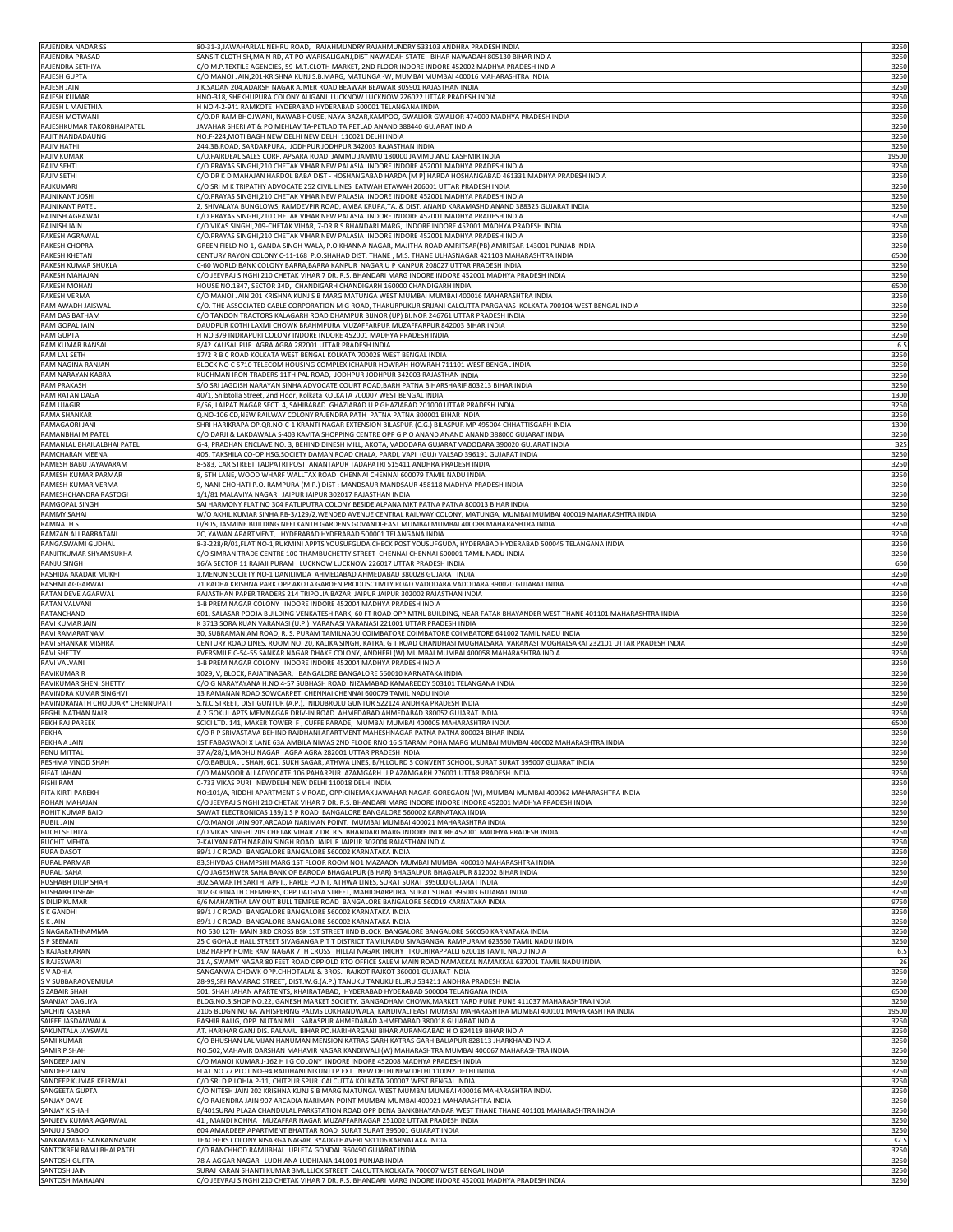| RAJENDRA NADAR SS<br>RAJENDRA PRASAD<br>RAJENDRA SETHIYA | 80-31-3, JAWAHARLAL NEHRU ROAD, RAJAHMUNDRY RAJAHMUNDRY 533103 ANDHRA PRADESH INDIA                                                                                                                                                          | 3250            |
|----------------------------------------------------------|----------------------------------------------------------------------------------------------------------------------------------------------------------------------------------------------------------------------------------------------|-----------------|
|                                                          | SANSIT CLOTH SH,MAIN RD, AT PO WARISALIGANJ,DIST NAWADAH STATE - BIHAR NAWADAH 805130 BIHAR INDIA                                                                                                                                            | 3250            |
|                                                          | C/O M.P.TEXTILE AGENCIES, 59-M.T.CLOTH MARKET, 2ND FLOOR INDORE INDORE 452002 MADHYA PRADESH INDIA                                                                                                                                           | 3250            |
| <b>RAJESH GUPTA</b>                                      | C/O MANOJ JAIN, 201-KRISHNA KUNJ S.B.MARG, MATUNGA -W, MUMBAI MUMBAI 400016 MAHARASHTRA INDIA                                                                                                                                                | 3250            |
| <b>RAJESH JAIN</b>                                       | J.K.SADAN 204,ADARSH NAGAR AJMER ROAD BEAWAR BEAWAR 305901 RAJASTHAN INDIA                                                                                                                                                                   | 3250            |
| <b>RAJESH KUMAR</b>                                      | HNO-318, SHEKHUPURA COLONY ALIGANJ LUCKNOW LUCKNOW 226022 UTTAR PRADESH INDIA                                                                                                                                                                | 3250            |
| RAJESH L MAJETHIA<br><b>RAJESH MOTWANI</b>               | H NO 4-2-941 RAMKOTE HYDERABAD HYDERABAD 500001 TELANGANA INDIA<br>C/O.DR RAM BHOJWANI, NAWAB HOUSE, NAYA BAZAR, KAMPOO, GWALIOR GWALIOR 474009 MADHYA PRADESH INDIA                                                                         | 3250<br>3250    |
| RAJESHKUMAR TAKORBHAIPATEL                               | JAVAHAR SHERI AT & PO MEHLAV TA-PETLAD TA PETLAD ANAND 388440 GUJARAT INDIA                                                                                                                                                                  | 3250            |
| RAJIT NANDADAUNG                                         | NO:F-224, MOTI BAGH NEW DELHI NEW DELHI 110021 DELHI INDIA                                                                                                                                                                                   | 3250            |
| <b>RAJIV HATHI</b>                                       | 244,3B.ROAD, SARDARPURA, JODHPUR JODHPUR 342003 RAJASTHAN INDIA                                                                                                                                                                              | 3250            |
| <b>RAJIV KUMAR</b>                                       | C/O.FAIRDEAL SALES CORP. APSARA ROAD JAMMU JAMMU 180000 JAMMU AND KASHMIR INDIA                                                                                                                                                              | 19500           |
| <b>RAJIV SEHTI</b>                                       | C/O.PRAYAS SINGHI,210 CHETAK VIHAR NEW PALASIA INDORE INDORE 452001 MADHYA PRADESH INDIA                                                                                                                                                     | 3250            |
| <b>RAJIV SETHI</b>                                       | C/O DR K D MAHAJAN HARDOL BABA DIST - HOSHANGABAD HARDA [M P] HARDA HOSHANGABAD 461331 MADHYA PRADESH INDIA                                                                                                                                  | 3250            |
| RAJKUMARI<br>RAJNIKANT JOSHI                             | C/O SRI M K TRIPATHY ADVOCATE 252 CIVIL LINES EATWAH ETAWAH 206001 UTTAR PRADESH INDIA<br>C/O.PRAYAS SINGHI,210 CHETAK VIHAR NEW PALASIA INDORE INDORE 452001 MADHYA PRADESH INDIA                                                           | 3250<br>3250    |
| RAJNIKANT PATEL                                          | 2, SHIVALAYA BUNGLOWS, RAMDEVPIR ROAD, AMBA KRUPA,TA. & DIST. ANAND KARAMASHD ANAND 388325 GUJARAT INDIA                                                                                                                                     | 3250            |
| <b>RAJNISH AGRAWAL</b>                                   | C/O.PRAYAS SINGHI,210 CHETAK VIHAR NEW PALASIA  INDORE INDORE 452001 MADHYA PRADESH INDIA                                                                                                                                                    | 3250            |
| <b>RAJNISH JAIN</b>                                      | C/O VIKAS SINGHI,209-CHETAK VIHAR, 7-DR R.S.BHANDARI MARG, INDORE INDORE 452001 MADHYA PRADESH INDIA                                                                                                                                         | 3250            |
| <b>RAKESH AGRAWAL</b>                                    | C/O.PRAYAS SINGHI,210 CHETAK VIHAR NEW PALASIA INDORE INDORE 452001 MADHYA PRADESH INDIA                                                                                                                                                     | 3250            |
| <b>RAKESH CHOPRA</b>                                     | GREEN FIELD NO 1, GANDA SINGH WALA, P.O KHANNA NAGAR, MAJITHA ROAD AMRITSAR(PB) AMRITSAR 143001 PUNJAB INDIA                                                                                                                                 | 3250            |
| <b>RAKESH KHETAN</b>                                     | CENTURY RAYON COLONY C-11-168 P.O.SHAHAD DIST. THANE , M.S. THANE ULHASNAGAR 421103 MAHARASHTRA INDIA                                                                                                                                        | 6500            |
| RAKESH KUMAR SHUKLA                                      | C-60 WORLD BANK COLONY BARRA, BARRA KANPUR NAGAR U P KANPUR 208027 UTTAR PRADESH INDIA                                                                                                                                                       | 3250            |
| <b>RAKESH MAHAJAN</b><br><b>RAKESH MOHAN</b>             | C/O JEEVRAJ SINGHI 210 CHETAK VIHAR 7 DR. R.S. BHANDARI MARG INDORE INDORE 452001 MADHYA PRADESH INDIA                                                                                                                                       | 3250<br>6500    |
| RAKESH VERMA                                             | HOUSE NO.1847, SECTOR 34D, CHANDIGARH CHANDIGARH 160000 CHANDIGARH INDIA<br>C/O MANOJ JAIN 201 KRISHNA KUNJ S B MARG MATUNGA WEST MUMBAI MUMBAI 400016 MAHARASHTRA INDIA                                                                     | 3250            |
| RAM AWADH JAISWAL                                        | C/O. THE ASSOCIATED CABLE CORPORATION M G ROAD, THAKURPUKUR SRIJANI CALCUTTA PARGANAS KOLKATA 700104 WEST BENGAL INDIA                                                                                                                       | 3250            |
| RAM DAS BATHAM                                           | C/O TANDON TRACTORS KALAGARH ROAD DHAMPUR BIJNOR (UP) BIJNOR 246761 UTTAR PRADESH INDIA                                                                                                                                                      | 3250            |
| RAM GOPAL JAIN                                           | DAUDPUR KOTHI LAXMI CHOWK BRAHMPURA MUZAFFARPUR MUZAFFARPUR 842003 BIHAR INDIA                                                                                                                                                               | 3250            |
| <b>RAM GUPTA</b>                                         | H NO 379 INDRAPURI COLONY INDORE INDORE 452001 MADHYA PRADESH INDIA                                                                                                                                                                          | 3250            |
| RAM KUMAR BANSAL                                         | 8/42 KAUSAL PUR AGRA AGRA 282001 UTTAR PRADESH INDIA                                                                                                                                                                                         | 6.5             |
| RAM LAL SETH                                             | 17/2 R B C ROAD KOLKATA WEST BENGAL KOLKATA 700028 WEST BENGAL INDIA                                                                                                                                                                         | 3250            |
| RAM NAGINA RANJAN                                        | BLOCK NO C 5710 TELECOM HOUSING COMPLEX ICHAPUR HOWRAH HOWRAH 711101 WEST BENGAL INDIA                                                                                                                                                       | 3250            |
| RAM NARAYAN KABRA<br><b>RAM PRAKASH</b>                  | KUCHMAN IRON TRADERS 11TH PAL ROAD, JODHPUR JODHPUR 342003 RAJASTHAN INDIA<br>S/O SRI JAGDISH NARAYAN SINHA ADVOCATE COURT ROAD, BARH PATNA BIHARSHARIF 803213 BIHAR INDIA                                                                   | 3250<br>3250    |
| RAM RATAN DAGA                                           | 40/1, Shibtolla Street, 2nd Floor, Kolkata KOLKATA 700007 WEST BENGAL INDIA                                                                                                                                                                  | 1300            |
| <b>RAM UJAGIR</b>                                        | B/56, LAJPAT NAGAR SECT. 4, SAHIBABAD GHAZIABAD U P GHAZIABAD 201000 UTTAR PRADESH INDIA                                                                                                                                                     | 3250            |
| RAMA SHANKAR                                             | Q.NO-106 CD,NEW RAILWAY COLONY RAJENDRA PATH PATNA PATNA 800001 BIHAR INDIA                                                                                                                                                                  | 3250            |
| RAMAGAORI JANI                                           | SHRI HARIKRAPA OP.QR.NO-C-1 KRANTI NAGAR EXTENSION BILASPUR (C.G.) BILASPUR MP 495004 CHHATTISGARH INDIA                                                                                                                                     | 1300            |
| RAMANBHAI M PATEL                                        | C/O DARJI & LAKDAWALA S-403 KAVITA SHOPPING CENTRE OPP G P O ANAND ANAND ANAND 388000 GUJARAT INDIA                                                                                                                                          | 3250            |
| RAMANLAL BHAILALBHAI PATEL                               | G-4, PRADHAN ENCLAVE NO. 3, BEHIND DINESH MILL, AKOTA, VADODARA GUJARAT VADODARA 390020 GUJARAT INDIA                                                                                                                                        | 325             |
| RAMCHARAN MEENA<br>RAMESH BABU JAYAVARAM                 | 405, TAKSHILA CO-OP.HSG.SOCIETY DAMAN ROAD CHALA, PARDI, VAPI (GUJ) VALSAD 396191 GUJARAT INDIA<br>8-583, CAR STREET TADPATRI POST ANANTAPUR TADAPATRI 515411 ANDHRA PRADESH INDIA                                                           | 3250<br>3250    |
| RAMESH KUMAR PARMAR                                      | 8, 5TH LANE, WOOD WHARF WALLTAX ROAD CHENNAI CHENNAI 600079 TAMIL NADU INDIA                                                                                                                                                                 | 3250            |
| RAMESH KUMAR VERMA                                       | 9, NANI CHOHATI P.O. RAMPURA (M.P.) DIST : MANDSAUR MANDSAUR 458118 MADHYA PRADESH INDIA                                                                                                                                                     | 3250            |
| RAMESHCHANDRA RASTOGI                                    | 1/1/81 MALAVIYA NAGAR JAIPUR JAIPUR 302017 RAJASTHAN INDIA                                                                                                                                                                                   | 3250            |
| RAMGOPAL SINGH                                           | SAI HARMONY FLAT NO 304 PATLIPUTRA COLONY BESIDE ALPANA MKT PATNA PATNA 800013 BIHAR INDIA                                                                                                                                                   | 3250            |
| <b>RAMMY SAHAI</b>                                       | W/O AKHIL KUMAR SINHA RB-3/129/2,WENDED AVENUE CENTRAL RAILWAY COLONY, MATUNGA, MUMBAI MUMBAI 400019 MAHARASHTRA INDIA                                                                                                                       | 3250            |
| <b>RAMNATH S</b>                                         | D/805, JASMINE BUILDING NEELKANTH GARDENS GOVANDI-EAST MUMBAI MUMBAI 400088 MAHARASHTRA INDIA                                                                                                                                                | 3250            |
| RAMZAN ALI PARBATANI                                     | 2C, YAWAN APARTMENT, HYDERABAD HYDERABAD 500001 TELANGANA INDIA                                                                                                                                                                              | 3250            |
| RANGASWAMI GUDHAL                                        | 8-3-228/R/01,FLAT NO-1,RUKMINI APPTS YOUSUFGUDA CHECK POST YOUSUFGUDA, HYDERABAD HYDERABAD 500045 TELANGANA INDIA                                                                                                                            | 3250            |
| RANJITKUMAR SHYAMSUKHA<br><b>RANJU SINGH</b>             | C/O SIMRAN TRADE CENTRE 100 THAMBUCHETTY STREET CHENNAI CHENNAI 600001 TAMIL NADU INDIA<br>16/A SECTOR 11 RAJAJI PURAM . LUCKNOW LUCKNOW 226017 UTTAR PRADESH INDIA                                                                          | 3250<br>650     |
| RASHIDA AKADAR MUKHI                                     | 1,MENON SOCIETY NO-1 DANILIMDA  AHMEDABAD AHMEDABAD 380028 GUJARAT INDIA                                                                                                                                                                     | 3250            |
| RASHMI AGGARWAL                                          | 71 RADHA KRISHNA PARK OPP AKOTA GARDEN PRODUSCTIVITY ROAD VADODARA VADODARA 390020 GUJARAT INDIA                                                                                                                                             | 3250            |
| RATAN DEVE AGARWAL                                       | RAJASTHAN PAPER TRADERS 214 TRIPOLIA BAZAR JAIPUR JAIPUR 302002 RAJASTHAN INDIA                                                                                                                                                              | 3250            |
| RATAN VALVANI                                            | 1-B PREM NAGAR COLONY   INDORE INDORE 452004 MADHYA PRADESH INDIA                                                                                                                                                                            | 3250            |
| <b>RATANCHAND</b>                                        | 601, SALASAR POOJA BUILDING VENKATESH PARK, 60 FT ROAD OPP MTNL BUILDING, NEAR FATAK BHAYANDER WEST THANE 401101 MAHARASHTRA INDIA                                                                                                           | 3250            |
| RAVI KUMAR JAIN                                          | K 3713 SORA KUAN VARANASI (U.P.) VARANASI VARANASI 221001 UTTAR PRADESH INDIA                                                                                                                                                                | 3250            |
| RAVI RAMARATNAM<br>RAVI SHANKAR MISHRA                   | 30, SUBRAMANIAM ROAD, R. S. PURAM TAMILNADU COIMBATORE COIMBATORE COIMBATORE 641002 TAMIL NADU INDIA<br>CENTURY ROAD LINES, ROOM NO. 20, KALIKA SINGH, KATRA, G T ROAD CHANDHASI MUGHALSARAI VARANASI MOGHALSARAI 232101 UTTAR PRADESH INDIA | 3250<br>3250    |
| <b>RAVI SHETTY</b>                                       | EVERSMILE C-54-55 SANKAR NAGAR DHAKE COLONY, ANDHERI (W) MUMBAI MUMBAI 400058 MAHARASHTRA INDIA                                                                                                                                              | 3250            |
| RAVI VALVANI                                             | 1-B PREM NAGAR COLONY INDORE INDORE 452004 MADHYA PRADESH INDIA                                                                                                                                                                              | 3250            |
| <b>RAVIKUMAR R</b>                                       | 1029, V, BLOCK, RAJATINAGAR, BANGALORE BANGALORE 560010 KARNATAKA INDIA                                                                                                                                                                      | 3250            |
| RAVIKUMAR SHENI SHETTY                                   | C/O G NARAYAYANA H.NO 4-57 SUBHASH ROAD NIZAMABAD KAMAREDDY 503101 TELANGANA INDIA                                                                                                                                                           | 3250            |
| RAVINDRA KUMAR SINGHVI                                   | 13 RAMANAN ROAD SOWCARPET CHENNAI CHENNAI 600079 TAMIL NADU INDIA                                                                                                                                                                            | 3250            |
| RAVINDRANATH CHOUDARY CHENNUPATI                         | S.N.C.STREET, DIST.GUNTUR (A.P.), NIDUBROLU GUNTUR 522124 ANDHRA PRADESH INDIA                                                                                                                                                               | 3250            |
| <b>REGHUNATHAN NAIR</b>                                  | A 2 GOKUL APTS MEMNAGAR DRIV-IN ROAD AHMEDABAD AHMEDABAD 380052 GUJARAT INDIA                                                                                                                                                                | 3250            |
| REKH RAJ PAREEK                                          | SCICI LTD. 141, MAKER TOWER F, CUFFE PARADE, MUMBAI MUMBAI 400005 MAHARASHTRA INDIA<br>C/O R P SRIVASTAVA BEHIND RAJDHANI APARTMENT MAHESHNAGAR PATNA PATNA 800024 BIHAR INDIA                                                               | 6500            |
|                                                          |                                                                                                                                                                                                                                              |                 |
| <b>REKHA</b>                                             |                                                                                                                                                                                                                                              | 3250            |
| <b>REKHA A JAIN</b>                                      | 1ST FABASWADI X LANE 63A AMBILA NIWAS 2ND FLOOE RNO 16 SITARAM POHA MARG MUMBAI MUMBAI 400002 MAHARASHTRA INDIA<br>37 A/28/1, MADHU NAGAR AGRA AGRA 282001 UTTAR PRADESH INDIA                                                               | 3250            |
| <b>RENU MITTAL</b><br><b>RESHMA VINOD SHAH</b>           | C/O.BABULAL L SHAH, 601, SUKH SAGAR, ATHWA LINES, B/H.LOURD S CONVENT SCHOOL, SURAT SURAT 395007 GUJARAT INDIA                                                                                                                               | 3250<br>3250    |
| RIFAT JAHAN                                              | C/O MANSOOR ALI ADVOCATE 106 PAHARPUR AZAMGARH U P AZAMGARH 276001 UTTAR PRADESH INDIA                                                                                                                                                       | 3250            |
| <b>RISHI RAM</b>                                         | C-733 VIKAS PURI NEWDELHI NEW DELHI 110018 DELHI INDIA                                                                                                                                                                                       | 3250            |
| RITA KIRTI PAREKH                                        | NO:101/A, RIDDHI APARTMENT SV ROAD, OPP:CINEMAX JAWAHAR NAGAR GOREGAON (W), MUMBAI MUMBAI 400062 MAHARASHTRA INDIA                                                                                                                           | 3250            |
| ROHAN MAHAJAN                                            | C/O JEEVRAJ SINGHI 210 CHETAK VIHAR 7 DR. R.S. BHANDARI MARG INDORE INDORE INDORE 452001 MADHYA PRADESH INDIA                                                                                                                                | 3250            |
| ROHIT KUMAR BAID                                         | SAWAT ELECTRONICAS 139/1 S P ROAD BANGALORE BANGALORE 560002 KARNATAKA INDIA                                                                                                                                                                 | 3250            |
| <b>RUBIL JAIN</b>                                        | C/O.MANOJ JAIN 907,ARCADIA NARIMAN POINT. MUMBAI MUMBAI 400021 MAHARASHTRA INDIA                                                                                                                                                             | 3250            |
| RUCHI SETHIYA<br><b>RUCHIT MEHTA</b>                     | C/O VIKAS SINGHI 209 CHETAK VIHAR 7 DR. R.S. BHANDARI MARG INDORE INDORE 452001 MADHYA PRADESH INDIA<br>7-KALYAN PATH NARAIN SINGH ROAD JAIPUR JAIPUR 302004 RAJASTHAN INDIA                                                                 | 3250<br>3250    |
| <b>RUPA DASOT</b>                                        | 89/1 J C ROAD BANGALORE BANGALORE 560002 KARNATAKA INDIA                                                                                                                                                                                     | 3250            |
| <b>RUPAL PARMAR</b>                                      | 83, SHIVDAS CHAMPSHI MARG 1ST FLOOR ROOM NO1 MAZAAON MUMBAI MUMBAI 400010 MAHARASHTRA INDIA                                                                                                                                                  | 3250            |
| <b>RUPALI SAHA</b>                                       | C/O JAGESHWER SAHA BANK OF BARODA BHAGALPUR (BIHAR) BHAGALPUR BHAGALPUR 812002 BIHAR INDIA                                                                                                                                                   | 3250            |
| <b>RUSHABH DILIP SHAH</b>                                | 302, SAMARTH SARTHI APPT., PARLE POINT, ATHWA LINES, SURAT SURAT 395000 GUJARAT INDIA                                                                                                                                                        | 3250            |
| <b>RUSHABH DSHAH</b>                                     | 102, GOPINATH CHEMBERS, OPP.DALGIYA STREET, MAHIDHARPURA, SURAT SURAT 395003 GUJARAT INDIA                                                                                                                                                   | 3250            |
| S DILIP KUMAR                                            | 6/6 MAHANTHA LAY OUT BULL TEMPLE ROAD BANGALORE BANGALORE 560019 KARNATAKA INDIA                                                                                                                                                             | 9750            |
| <b>S K GANDHI</b>                                        | 89/1 J C ROAD BANGALORE BANGALORE 560002 KARNATAKA INDIA<br>89/1 J C ROAD BANGALORE BANGALORE 560002 KARNATAKA INDIA                                                                                                                         | 3250            |
| S K JAIN<br>S NAGARATHNAMMA                              | NO 530 12TH MAIN 3RD CROSS BSK 1ST STREET IIND BLOCK BANGALORE BANGALORE 560050 KARNATAKA INDIA                                                                                                                                              | 3250<br>3250    |
| <b>S P SEEMAN</b>                                        | 25 C GOHALE HALL STREET SIVAGANGA P T T DISTRICT TAMILNADU SIVAGANGA RAMPURAM 623560 TAMIL NADU INDIA                                                                                                                                        | 3250            |
| S RAJASEKARAN                                            | D82 HAPPY HOME RAM NAGAR 7TH CROSS THILLAI NAGAR TRICHY TIRUCHIRAPPALLI 620018 TAMIL NADU INDIA                                                                                                                                              | 6.5             |
| S RAJESWARI                                              | 21 A, SWAMY NAGAR 80 FEET ROAD OPP OLD RTO OFFICE SALEM MAIN ROAD NAMAKKAL NAMAKKAL 637001 TAMIL NADU INDIA                                                                                                                                  | $\overline{26}$ |
| <b>SV ADHIA</b>                                          | SANGANWA CHOWK OPP.CHHOTALAL & BROS. RAJKOT RAJKOT 360001 GUJARAT INDIA                                                                                                                                                                      | 3250            |
| S V SUBBARAOVEMULA                                       | 28-99, SRI RAMARAO STREET, DIST.W.G. (A.P.) TANUKU TANUKU ELURU 534211 ANDHRA PRADESH INDIA                                                                                                                                                  | 3250            |
| <b>S ZABAIR SHAH</b>                                     | 501, SHAH JAHAN APARTENTS, KHAIRATABAD, HYDERABAD HYDERABAD 500004 TELANGANA INDIA                                                                                                                                                           | 6500            |
| SAANJAY DAGLIYA<br><b>SACHIN KASERA</b>                  | BLDG.NO.3,SHOP NO.22, GANESH MARKET SOCIETY, GANGADHAM CHOWK,MARKET YARD PUNE PUNE 411037 MAHARASHTRA INDIA<br>2105 BLDGN NO 6A WHISPERING PALMS LOKHANDWALA, KANDIVALI EAST MUMBAI MAHARASHTRA MUMBAI 400101 MAHARASHTRA INDIA              | 3250            |
| SAIFEE JASDANWALA                                        | BASHIR BAUG, OPP. NUTAN MILL SARASPUR AHMEDABAD AHMEDABAD 380018 GUJARAT INDIA                                                                                                                                                               | 19500<br>3250   |
| SAKUNTALA JAYSWAL                                        | AT. HARIHAR GANJ DIS. PALAMU BIHAR PO.HARIHARGANJ BIHAR AURANGABAD H O 824119 BIHAR INDIA                                                                                                                                                    | 3250            |
| <b>SAMI KUMAR</b>                                        | C/O BHUSHAN LAL VIJAN HANUMAN MENSION KATRAS GARH KATRAS GARH BALIAPUR 828113 JHARKHAND INDIA                                                                                                                                                | 3250            |
| <b>SAMIR P SHAH</b>                                      | NO:502,MAHAVIR DARSHAN MAHAVIR NAGAR KANDIWALI (W) MAHARASHTRA MUMBAI 400067 MAHARASHTRA INDIA                                                                                                                                               | 3250            |
| SANDEEP JAIN                                             | C/O MANOJ KUMAR J-162 H I G COLONY INDORE INDORE 452008 MADHYA PRADESH INDIA                                                                                                                                                                 | 3250            |
| <b>SANDEEP JAIN</b>                                      | FLAT NO.77 PLOT NO-94 RAJDHANI NIKUNJ I P EXT. NEW DELHI NEW DELHI 110092 DELHI INDIA                                                                                                                                                        | 3250            |
| SANDEEP KUMAR KEJRIWAL                                   | C/O SRI D P LOHIA P-11, CHITPUR SPUR CALCUTTA KOLKATA 700007 WEST BENGAL INDIA                                                                                                                                                               | 3250            |
| <b>SANGEETA GUPTA</b><br><b>SANJAY DAVE</b>              | C/O NITESH JAIN 202 KRISHNA KUNJ S B MARG MATUNGA WEST MUMBAI MUMBAI 400016 MAHARASHTRA INDIA<br>IC/O RAJENDRA JAIN 907 ARCADIA NARIMAN POINT MUMBAI MUMBAI 400021 MAHARASHTRA INDIA                                                         | 3250<br>3250    |
| <b>SANJAY K SHAH</b>                                     | B/401SURAJ PLAZA CHANDULAL PARKSTATION ROAD OPP DENA BANKBHAYANDAR WEST THANE THANE 401101 MAHARASHTRA INDIA                                                                                                                                 | 3250            |
| SANJEEV KUMAR AGARWAL                                    | 41, MANDI KOHNA MUZAFFAR NAGAR MUZAFFARNAGAR 251002 UTTAR PRADESH INDIA                                                                                                                                                                      | 3250            |
| SANJU J SABOO                                            | 604 AMARDEEP APARTMENT BHATTAR ROAD SURAT SURAT 395001 GUJARAT INDIA                                                                                                                                                                         | 3250            |
| SANKAMMA G SANKANNAVAR                                   | TEACHERS COLONY NISARGA NAGAR BYADGI HAVERI 581106 KARNATAKA INDIA                                                                                                                                                                           | 32.5            |
| SANTOKBEN RAMJIBHAI PATEL                                | C/O RANCHHOD RAMJIBHAI UPLETA GONDAL 360490 GUJARAT INDIA                                                                                                                                                                                    | 3250            |
| <b>SANTOSH GUPTA</b><br>SANTOSH JAIN                     | 78 A AGGAR NAGAR LUDHIANA LUDHIANA 141001 PUNJAB INDIA<br>SURAJ KARAN SHANTI KUMAR 3MULLICK STREET CALCUTTA KOLKATA 700007 WEST BENGAL INDIA                                                                                                 | 3250<br>3250    |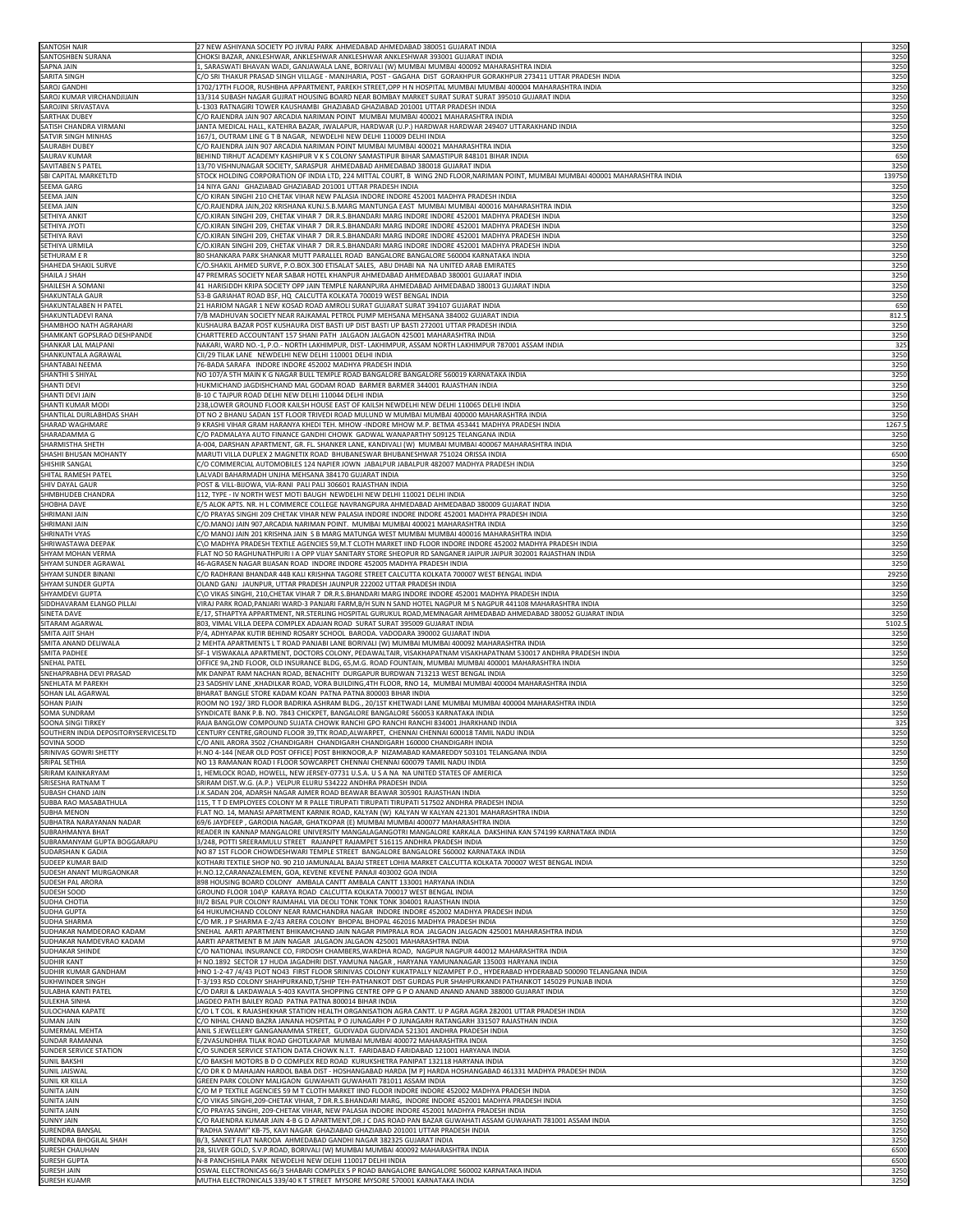| <b>SANTOSH NAIR</b>                                            | 27 NEW ASHIYANA SOCIETY PO JIVRAJ PARK AHMEDABAD AHMEDABAD 380051 GUJARAT INDIA                                                                                                                                   | 3250           |
|----------------------------------------------------------------|-------------------------------------------------------------------------------------------------------------------------------------------------------------------------------------------------------------------|----------------|
| SANTOSHBEN SURANA                                              | CHOKSI BAZAR, ANKLESHWAR, ANKLESHWAR ANKLESHWAR ANKLESHWAR 393001 GUJARAT INDIA                                                                                                                                   | 3250           |
| <b>SAPNA JAIN</b>                                              | 1, SARASWATI BHAVAN WADI, GANJAWALA LANE, BORIVALI (W) MUMBAI MUMBAI 400092 MAHARASHTRA INDIA                                                                                                                     | 3250           |
| SARITA SINGH                                                   | C/O SRI THAKUR PRASAD SINGH VILLAGE - MANJHARIA, POST - GAGAHA DIST GORAKHPUR GORAKHPUR 273411 UTTAR PRADESH INDIA                                                                                                | 3250           |
| <b>SAROJ GANDHI</b><br>SAROJ KUMAR VIRCHANDJIJAIN              | 1702/17TH FLOOR, RUSHBHA APPARTMENT, PAREKH STREET, OPP H N HOSPITAL MUMBAI MUMBAI 400004 MAHARASHTRA INDIA<br>13/314 SUBASH NAGAR GUJRAT HOUSING BOARD NEAR BOMBAY MARKET SURAT SURAT SURAT 395010 GUJARAT INDIA | 3250<br>3250   |
| SAROJINI SRIVASTAVA                                            | L-1303 RATNAGIRI TOWER KAUSHAMBI  GHAZIABAD GHAZIABAD 201001 UTTAR PRADESH INDIA                                                                                                                                  | 3250           |
| <b>SARTHAK DUBEY</b>                                           | C/O RAJENDRA JAIN 907 ARCADIA NARIMAN POINT MUMBAI MUMBAI 400021 MAHARASHTRA INDIA                                                                                                                                | 3250           |
| <b>SATISH CHANDRA VIRMANI</b>                                  | JANTA MEDICAL HALL, KATEHRA BAZAR, JWALAPUR, HARDWAR (U.P.) HARDWAR HARDWAR 249407 UTTARAKHAND INDIA                                                                                                              | 3250           |
| SATVIR SINGH MINHAS                                            | 167/1, OUTRAM LINE G T B NAGAR, NEWDELHI NEW DELHI 110009 DELHI INDIA                                                                                                                                             | 3250           |
| <b>SAURABH DUBEY</b><br><b>SAURAV KUMAR</b>                    | C/O RAJENDRA JAIN 907 ARCADIA NARIMAN POINT MUMBAI MUMBAI 400021 MAHARASHTRA INDIA<br>BEHIND TIRHUT ACADEMY KASHIPUR V K S COLONY SAMASTIPUR BIHAR SAMASTIPUR 848101 BIHAR INDIA                                  | 3250<br>650    |
| SAVITABEN S PATEL                                              | 13/70 VISHNUNAGAR SOCIETY, SARASPUR AHMEDABAD AHMEDABAD 380018 GUJARAT INDIA                                                                                                                                      | 3250           |
| <b>SBI CAPITAL MARKETLTD</b>                                   | STOCK HOLDING CORPORATION OF INDIA LTD, 224 MITTAL COURT, B WING 2ND FLOOR,NARIMAN POINT, MUMBAI MUMBAI 400001 MAHARASHTRA INDIA                                                                                  | 139750         |
| <b>SEEMA GARG</b>                                              | 14 NIYA GANJ GHAZIABAD GHAZIABAD 201001 UTTAR PRADESH INDIA                                                                                                                                                       | 3250           |
| <b>SEEMA JAIN</b><br><b>SEEMA JAIN</b>                         | C/O KIRAN SINGHI 210 CHETAK VIHAR NEW PALASIA INDORE INDORE 452001 MADHYA PRADESH INDIA<br>C/O.RAJENDRA JAIN,202 KRISHANA KUNJ.S.B.MARG MANTUNGA EAST MUMBAI MUMBAI 400016 MAHARASHTRA INDIA                      | 3250<br>3250   |
| <b>SETHIYA ANKIT</b>                                           | C/O.KIRAN SINGHI 209, CHETAK VIHAR 7  DR.R.S.BHANDARI MARG INDORE INDORE 452001 MADHYA PRADESH INDIA                                                                                                              | 3250           |
| <b>SETHIYA JYOTI</b>                                           | C/O.KIRAN SINGHI 209, CHETAK VIHAR 7  DR.R.S.BHANDARI MARG INDORE INDORE 452001 MADHYA PRADESH INDIA                                                                                                              | 3250           |
| <b>SETHIYA RAVI</b>                                            | C/O.KIRAN SINGHI 209, CHETAK VIHAR 7 DR.R.S.BHANDARI MARG INDORE INDORE 452001 MADHYA PRADESH INDIA                                                                                                               | 3250           |
| SETHIYA URMILA<br><b>SETHURAM E R</b>                          | C/O.KIRAN SINGHI 209, CHETAK VIHAR 7 DR.R.S.BHANDARI MARG INDORE INDORE 452001 MADHYA PRADESH INDIA<br>80 SHANKARA PARK SHANKAR MUTT PARALLEL ROAD BANGALORE BANGALORE 560004 KARNATAKA INDIA                     | 3250<br>3250   |
| SHAHEDA SHAKIL SURVE                                           | C/O.SHAKIL AHMED SURVE, P.O.BOX.300 ETISALAT SALES, ABU DHABI NA NA UNITED ARAB EMIRATES                                                                                                                          | 3250           |
| SHAILA J SHAH                                                  | 47 PREMRAS SOCIETY NEAR SABAR HOTEL KHANPUR AHMEDABAD AHMEDABAD 380001 GUJARAT INDIA                                                                                                                              | 3250           |
| SHAILESH A SOMANI                                              | 41 HARISIDDH KRIPA SOCIETY OPP JAIN TEMPLE NARANPURA AHMEDABAD AHMEDABAD 380013 GUJARAT INDIA                                                                                                                     | 3250           |
| <b>SHAKUNTALA GAUR</b>                                         | 53-B GARIAHAT ROAD BSF, HQ CALCUTTA KOLKATA 700019 WEST BENGAL INDIA                                                                                                                                              | 3250           |
| SHAKUNTALABEN H PATEL<br>SHAKUNTLADEVI RANA                    | 21 HARIOM NAGAR 1 NEW KOSAD ROAD AMROLI SURAT GUJARAT SURAT 394107 GUJARAT INDIA<br>7/B MADHUVAN SOCIETY NEAR RAJKAMAL PETROL PUMP MEHSANA MEHSANA 384002 GUJARAT INDIA                                           | 650<br>812.5   |
| SHAMBHOO NATH AGRAHARI                                         | KUSHAURA BAZAR POST KUSHAURA DIST BASTI UP DIST BASTI UP BASTI 272001 UTTAR PRADESH INDIA                                                                                                                         | 3250           |
| SHAMKANT GOPSLRAO DESHPANDE                                    | CHARTTERED ACCOUNTANT 157 SHANI PATH JALGAON JALGAON 425001 MAHARASHTRA INDIA                                                                                                                                     | 3250           |
| SHANKAR LAL MALPANI                                            | NAKARI, WARD NO.-1, P.O.- NORTH LAKHIMPUR, DIST- LAKHIMPUR, ASSAM NORTH LAKHIMPUR 787001 ASSAM INDIA                                                                                                              | 325            |
| SHANKUNTALA AGRAWAL<br><b>SHANTABAI NEEMA</b>                  | CII/29 TILAK LANE NEWDELHI NEW DELHI 110001 DELHI INDIA                                                                                                                                                           | 3250           |
| SHANTHI S SHIYAL                                               | 76-BADA SARAFA INDORE INDORE 452002 MADHYA PRADESH INDIA<br>NO 107/A 5TH MAIN K G NAGAR BULL TEMPLE ROAD BANGALORE BANGALORE 560019 KARNATAKA INDIA                                                               | 3250<br>3250   |
| <b>SHANTI DEVI</b>                                             | HUKMICHAND JAGDISHCHAND MAL GODAM ROAD BARMER BARMER 344001 RAJASTHAN INDIA                                                                                                                                       | 3250           |
| <b>SHANTI DEVI JAIN</b>                                        | B-10 C TAJPUR ROAD DELHI NEW DELHI 110044 DELHI INDIA                                                                                                                                                             | 3250           |
| <b>SHANTI KUMAR MODI</b>                                       | 238, LOWER GROUND FLOOR KAILSH HOUSE EAST OF KAILSH NEWDELHI NEW DELHI 110065 DELHI INDIA                                                                                                                         | 3250           |
| SHANTILAL DURLABHDAS SHAH<br>SHARAD WAGHMARE                   | DT NO 2 BHANU SADAN 1ST FLOOR TRIVEDI ROAD MULUND W MUMBAI MUMBAI 400000 MAHARASHTRA INDIA<br>9 KRASHI VIHAR GRAM HARANYA KHEDI TEH. MHOW -INDORE MHOW M.P. BETMA 453441 MADHYA PRADESH INDIA                     | 3250<br>1267.5 |
| SHARADAMMA G                                                   | C/O PADMALAYA AUTO FINANCE GANDHI CHOWK GADWAL WANAPARTHY 509125 TELANGANA INDIA                                                                                                                                  | 3250           |
| SHARMISTHA SHETH                                               | A-004, DARSHAN APARTMENT, GR. FL. SHANKER LANE, KANDIVALI (W) MUMBAI MUMBAI 400067 MAHARASHTRA INDIA                                                                                                              | 3250           |
| <b>SHASHI BHUSAN MOHANTY</b>                                   | MARUTI VILLA DUPLEX 2 MAGNETIX ROAD BHUBANESWAR BHUBANESHWAR 751024 ORISSA INDIA                                                                                                                                  | 6500           |
| SHISHIR SANGAL<br>SHITAL RAMESH PATEL                          | C/O COMMERCIAL AUTOMOBILES 124 NAPIER JOWN JABALPUR JABALPUR 482007 MADHYA PRADESH INDIA<br>LALVADI BAHARMADH UNJHA MEHSANA 384170 GUJARAT INDIA                                                                  | 3250<br>3250   |
| <b>SHIV DAYAL GAUR</b>                                         | POST & VILL-BIJOWA, VIA-RANI PALI PALI 306601 RAJASTHAN INDIA                                                                                                                                                     | 3250           |
| SHMBHUDEB CHANDRA                                              | 112, TYPE - IV NORTH WEST MOTI BAUGH NEWDELHI NEW DELHI 110021 DELHI INDIA                                                                                                                                        | 3250           |
| <b>SHOBHA DAVE</b>                                             | E/5 ALOK APTS. NR. H L COMMERCE COLLEGE NAVRANGPURA AHMEDABAD AHMEDABAD 380009 GUJARAT INDIA                                                                                                                      | 3250           |
| <b>SHRIMANI JAIN</b>                                           | C/O PRAYAS SINGHI 209 CHETAK VIHAR NEW PALASIA INDORE INDORE INDORE 452001 MADHYA PRADESH INDIA                                                                                                                   | 3250           |
| <b>SHRIMANI JAIN</b><br>SHRINATH VYAS                          | C/O.MANOJ JAIN 907,ARCADIA NARIMAN POINT. MUMBAI MUMBAI 400021 MAHARASHTRA INDIA<br>C/O MANOJ JAIN 201 KRISHNA JAIN S B MARG MATUNGA WEST MUMBAI MUMBAI 400016 MAHARASHTRA INDIA                                  | 3250<br>3250   |
| SHRIWASTAWA DEEPAK                                             | C\O MADHYA PRADESH TEXTILE AGENCIES 59,M.T CLOTH MARKET IIND FLOOR INDORE INDORE 452002 MADHYA PRADESH INDIA                                                                                                      | 3250           |
| SHYAM MOHAN VERMA                                              | FLAT NO 50 RAGHUNATHPURI I A OPP VIJAY SANITARY STORE SHEOPUR RD SANGANER JAIPUR JAIPUR 302001 RAJASTHAN INDIA                                                                                                    | 3250           |
| SHYAM SUNDER AGRAWAL                                           | 46-AGRASEN NAGAR BIJASAN ROAD INDORE INDORE 452005 MADHYA PRADESH INDIA                                                                                                                                           | 3250           |
| SHYAM SUNDER BINANI                                            | C/O RADHRANI BHANDAR 44B KALI KRISHNA TAGORE STREET CALCUTTA KOLKATA 700007 WEST BENGAL INDIA                                                                                                                     | 29250<br>3250  |
| SHYAM SUNDER GUPTA<br>SHYAMDEVI GUPTA                          | OLAND GANJ JAUNPUR, UTTAR PRADESH JAUNPUR 222002 UTTAR PRADESH INDIA<br>C\O VIKAS SINGHI, 210,CHETAK VIHAR 7 DR.R.S.BHANDARI MARG INDORE INDORE 452001 MADHYA PRADESH INDIA                                       | 3250           |
| SIDDHAVARAM ELANGO PILLAI                                      | VIRAJ PARK ROAD,PANJARI WARD-3 PANJARI FARM,B/H SUN N SAND HOTEL NAGPUR M S NAGPUR 441108 MAHARASHTRA INDIA                                                                                                       | 3250           |
|                                                                |                                                                                                                                                                                                                   |                |
| SINETA DAVE                                                    | [E/17, STHAPTYA APPARTMENT, NR.STERLING HOSPITAL GURUKUL ROAD,MEMNAGAR AHMEDABAD AHMEDABAD 380052 GUJARAT INDIA                                                                                                   | 3250           |
| SITARAM AGARWAL                                                | 803, VIMAL VILLA DEEPA COMPLEX ADAJAN ROAD SURAT SURAT 395009 GUJARAT INDIA                                                                                                                                       | 5102.5         |
| <b>SMITA AJIT SHAH</b>                                         | P/4, ADHYAPAK KUTIR BEHIND ROSARY SCHOOL BARODA. VADODARA 390002 GUJARAT INDIA                                                                                                                                    | 3250           |
| SMITA ANAND DELIWALA<br><b>SMITA PADHEE</b>                    | 2 MEHTA APARTMENTS L T ROAD PANJABI LANE BORIVALI (W) MUMBAI MUMBAI 400092 MAHARASHTRA INDIA<br>SF-1 VISWAKALA APARTMENT, DOCTORS COLONY, PEDAWALTAIR, VISAKHAPATNAM VISAKHAPATNAM 530017 ANDHRA PRADESH INDIA    | 3250<br>3250   |
| <b>SNEHAL PATEL</b>                                            | OFFICE 9A,2ND FLOOR, OLD INSURANCE BLDG, 65, M.G. ROAD FOUNTAIN, MUMBAI MUMBAI 400001 MAHARASHTRA INDIA                                                                                                           | 3250           |
| SNEHAPRABHA DEVI PRASAD                                        | MK DANPAT RAM NACHAN ROAD, BENACHITY DURGAPUR BURDWAN 713213 WEST BENGAL INDIA                                                                                                                                    | 3250           |
| <b>SNEHLATA M PAREKH</b>                                       | 23 SADSHIV LANE ,KHADILKAR ROAD, VORA BUILDING,4TH FLOOR, RNO 14, MUMBAI MUMBAI 400004 MAHARASHTRA INDIA                                                                                                          | 3250           |
| SOHAN LAL AGARWAL<br><b>SOHAN PJAIN</b>                        | BHARAT BANGLE STORE KADAM KOAN PATNA PATNA 800003 BIHAR INDIA<br>ROOM NO 192/ 3RD FLOOR BADRIKA ASHRAM BLDG., 20/1ST KHETWADI LANE MUMBAI MUMBAI 400004 MAHARASHTRA INDIA                                         | 3250<br>3250   |
| <b>SOMA SUNDRAM</b>                                            | SYNDICATE BANK P.B. NO. 7843 CHICKPET, BANGALORE BANGALORE 560053 KARNATAKA INDIA                                                                                                                                 | 3250           |
| <b>SOONA SINGI TIRKEY</b>                                      | RAJA BANGLOW COMPOUND SUJATA CHOWK RANCHI GPO RANCHI RANCHI 834001 JHARKHAND INDIA                                                                                                                                | 325            |
| SOUTHERN INDIA DEPOSITORYSERVICESLTD                           | CENTURY CENTRE, GROUND FLOOR 39, TTK ROAD, ALWARPET, CHENNAI CHENNAI 600018 TAMIL NADU INDIA                                                                                                                      | 3250           |
| SOVINA SOOD<br>SRINIVAS GOWRI SHETTY                           | C/O ANIL ARORA 3502 / CHANDIGARH CHANDIGARH CHANDIGARH 160000 CHANDIGARH INDIA<br>H.NO 4-144 [NEAR OLD POST OFFICE] POST BHIKNOOR,A.P  NIZAMABAD KAMAREDDY 503101 TELANGANA INDIA                                 | 3250<br>3250   |
| SRIPAL SETHIA                                                  | NO 13 RAMANAN ROAD I FLOOR SOWCARPET CHENNAI CHENNAI 600079 TAMIL NADU INDIA                                                                                                                                      | 3250           |
| SRIRAM KAINKARYAM                                              | 1, HEMLOCK ROAD, HOWELL, NEW JERSEY-07731 U.S.A. U S A NA NA UNITED STATES OF AMERICA                                                                                                                             | 3250           |
| SRISESHA RATNAM T                                              | SRIRAM DIST.W.G. (A.P.) VELPUR ELURU 534222 ANDHRA PRADESH INDIA                                                                                                                                                  | 3250           |
| <b>SUBASH CHAND JAIN</b><br>SUBBA RAO MASABATHULA              | J.K.SADAN 204, ADARSH NAGAR AJMER ROAD BEAWAR BEAWAR 305901 RAJASTHAN INDIA<br>115, T T D EMPLOYEES COLONY M R PALLE TIRUPATI TIRUPATI TIRUPATI 517502 ANDHRA PRADESH INDIA                                       | 3250<br>3250   |
| <b>SUBHA MENON</b>                                             | FLAT NO. 14, MANASI APARTMENT KARNIK ROAD, KALYAN (W) KALYAN W KALYAN 421301 MAHARASHTRA INDIA                                                                                                                    | 3250           |
| SUBHATRA NARAYANAN NADAR                                       | 69/6 JAYDFEEP, GARODIA NAGAR, GHATKOPAR (E) MUMBAI MUMBAI 400077 MAHARASHTRA INDIA                                                                                                                                | 3250           |
| SUBRAHMANYA BHAT                                               | READER IN KANNAP MANGALORE UNIVERSITY MANGALAGANGOTRI MANGALORE KARKALA DAKSHINA KAN 574199 KARNATAKA INDIA                                                                                                       | 3250           |
| SUBRAMANYAM GUPTA BOGGARAPU<br><b>SUDARSHAN K GADIA</b>        | 3/248, POTTI SREERAMULU STREET RAJANPET RAJAMPET 516115 ANDHRA PRADESH INDIA<br>NO 87 1ST FLOOR CHOWDESHWARI TEMPLE STREET BANGALORE BANGALORE 560002 KARNATAKA INDIA                                             | 3250<br>3250   |
| <b>SUDEEP KUMAR BAID</b>                                       | KOTHARI TEXTILE SHOP NO. 90 210 JAMUNALAL BAJAJ STREET LOHIA MARKET CALCUTTA KOLKATA 700007 WEST BENGAL INDIA                                                                                                     | 3250           |
| <b>SUDESH ANANT MURGAONKAR</b>                                 | H.NO.12, CARANAZALEMEN, GOA, KEVENE KEVENE PANAJI 403002 GOA INDIA                                                                                                                                                | 3250           |
| <b>SUDESH PAL ARORA</b>                                        | 898 HOUSING BOARD COLONY AMBALA CANTT AMBALA CANTT 133001 HARYANA INDIA                                                                                                                                           | 3250           |
| SUDESH SOOD<br><b>SUDHA CHOTIA</b>                             | GROUND FLOOR 104\P KARAYA ROAD CALCUTTA KOLKATA 700017 WEST BENGAL INDIA<br>III/2 BISAL PUR COLONY RAJMAHAL VIA DEOLI TONK TONK TONK 304001 RAJASTHAN INDIA                                                       | 3250           |
| <b>SUDHA GUPTA</b>                                             | 164 HUKUMCHAND COLONY NEAR RAMCHANDRA NAGAR INDORE INDORE 452002 MADHYA PRADESH INDIA                                                                                                                             | 3250<br>3250   |
| <b>SUDHA SHARMA</b>                                            | C/O MR. J P SHARMA E-2/43 ARERA COLONY BHOPAL BHOPAL 462016 MADHYA PRADESH INDIA                                                                                                                                  | 3250           |
| SUDHAKAR NAMDEORAO KADAM                                       | SNEHAL AARTI APARTMENT BHIKAMCHAND JAIN NAGAR PIMPRALA ROA JALGAON JALGAON 425001 MAHARASHTRA INDIA                                                                                                               | 3250           |
| SUDHAKAR NAMDEVRAO KADAM<br><b>SUDHAKAR SHINDE</b>             | AARTI APARTMENT B M JAIN NAGAR JALGAON JALGAON 425001 MAHARASHTRA INDIA<br>C/O NATIONAL INSURANCE CO, FIRDOSH CHAMBERS, WARDHA ROAD, NAGPUR NAGPUR 440012 MAHARASHTRA INDIA                                       | 9750<br>3250   |
| <b>SUDHIR KANT</b>                                             | H NO.1892 SECTOR 17 HUDA JAGADHRI DIST.YAMUNA NAGAR, HARYANA YAMUNANAGAR 135003 HARYANA INDIA                                                                                                                     | 3250           |
| SUDHIR KUMAR GANDHAM                                           | HNO 1-2-47 /4/43 PLOT NO43 FIRST FLOOR SRINIVAS COLONY KUKATPALLY NIZAMPET P.O., HYDERABAD HYDERABAD 500090 TELANGANA INDIA                                                                                       | 3250           |
| <b>SUKHWINDER SINGH</b>                                        | T-3/193 RSD COLONY SHAHPURKAND,T/SHIP TEH-PATHANKOT DIST GURDAS PUR SHAHPURKANDI PATHANKOT 145029 PUNJAB INDIA                                                                                                    | 3250           |
| SULABHA KANTI PATEL<br><b>SULEKHA SINHA</b>                    | C/O DARJI & LAKDAWALA S-403 KAVITA SHOPPING CENTRE OPP G P O ANAND ANAND ANAND 388000 GUJARAT INDIA<br>JAGDEO PATH BAILEY ROAD PATNA PATNA 800014 BIHAR INDIA                                                     | 3250           |
| <b>SULOCHANA KAPATE</b>                                        | C/O L T COL. K RAJASHEKHAR STATION HEALTH ORGANISATION AGRA CANTT. U P AGRA AGRA 282001 UTTAR PRADESH INDIA                                                                                                       | 3250<br>3250   |
| <b>SUMAN JAIN</b>                                              | C/O NIHAL CHAND BAZRA JANANA HOSPITAL P O JUNAGARH P O JUNAGARH RATANGARH 331507 RAJASTHAN INDIA                                                                                                                  | 3250           |
| <b>SUMERMAL MEHTA</b>                                          | ANIL S JEWELLERY GANGANAMMA STREET, GUDIVADA GUDIVADA 521301 ANDHRA PRADESH INDIA                                                                                                                                 | 3250           |
| <b>SUNDAR RAMANNA</b>                                          | E/2VASUNDHRA TILAK ROAD GHOTLKAPAR MUMBAI MUMBAI 400072 MAHARASHTRA INDIA                                                                                                                                         | 3250           |
| <b>SUNDER SERVICE STATION</b><br><b>SUNIL BAKSHI</b>           | C/O SUNDER SERVICE STATION DATA CHOWK N.I.T. FARIDABAD FARIDABAD 121001 HARYANA INDIA<br>C/O BAKSHI MOTORS B D O COMPLEX RED ROAD KURUKSHETRA PANIPAT 132118 HARYANA INDIA                                        | 3250<br>3250   |
| <b>SUNIL JAISWAL</b>                                           | C/O DR K D MAHAJAN HARDOL BABA DIST - HOSHANGABAD HARDA [M P] HARDA HOSHANGABAD 461331 MADHYA PRADESH INDIA                                                                                                       | 3250           |
| <b>SUNIL KR KILLA</b>                                          | GREEN PARK COLONY MALIGAON GUWAHATI GUWAHATI 781011 ASSAM INDIA                                                                                                                                                   | 3250           |
|                                                                | C/O M P TEXTILE AGENCIES 59 M T CLOTH MARKET IIND FLOOR INDORE INDORE 452002 MADHYA PRADESH INDIA                                                                                                                 | 3250           |
| <b>SUNITA JAIN</b><br><b>SUNITA JAIN</b><br><b>SUNITA JAIN</b> | C/O VIKAS SINGHI,209-CHETAK VIHAR, 7 DR.R.S.BHANDARI MARG, INDORE INDORE 452001 MADHYA PRADESH INDIA<br>C/O PRAYAS SINGHI, 209-CHETAK VIHAR, NEW PALASIA INDORE INDORE 452001 MADHYA PRADESH INDIA                | 3250<br>3250   |
| <b>SUNNY JAIN</b>                                              | C/O RAJENDRA KUMAR JAIN 4-B G D APARTMENT,DR.J C DAS ROAD PAN BAZAR GUWAHATI ASSAM GUWAHATI 781001 ASSAM INDIA                                                                                                    | 3250           |
| <b>SURENDRA BANSAL</b>                                         | "RADHA SWAMI" KB-75, KAVI NAGAR  GHAZIABAD GHAZIABAD 201001 UTTAR PRADESH INDIA                                                                                                                                   | 3250           |
| SURENDRA BHOGILAL SHAH                                         | B/3, SANKET FLAT NARODA AHMEDABAD GANDHI NAGAR 382325 GUJARAT INDIA                                                                                                                                               | 3250           |
| <b>SURESH CHAUHAN</b><br><b>SURESH GUPTA</b>                   | 28, SILVER GOLD, S.V.P.ROAD, BORIVALI (W) MUMBAI MUMBAI 400092 MAHARASHTRA INDIA<br>N-8 PANCHSHILA PARK NEWDELHI NEW DELHI 110017 DELHI INDIA                                                                     | 6500<br>6500   |
| <b>SURESH JAIN</b><br><b>SURESH KUAMR</b>                      | OSWAL ELECTRONICAS 66/3 SHABARI COMPLEX S P ROAD BANGALORE BANGALORE 560002 KARNATAKA INDIA<br>MUTHA ELECTRONICALS 339/40 K T STREET MYSORE MYSORE 570001 KARNATAKA INDIA                                         | 3250<br>3250   |